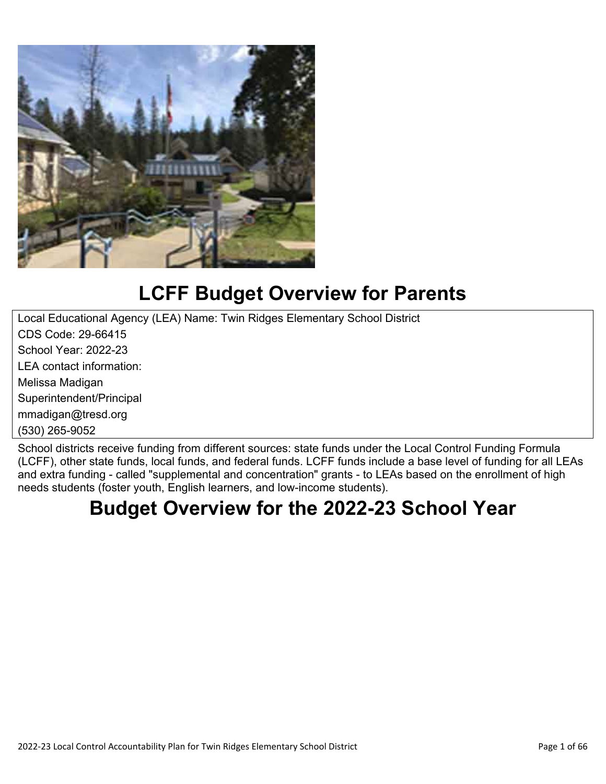

# **LCFF Budget Overview for Parents**

Local Educational Agency (LEA) Name: Twin Ridges Elementary School District CDS Code: 29-66415 School Year: 2022-23 LEA contact information: Melissa Madigan Superintendent/Principal mmadigan@tresd.org (530) 265-9052

School districts receive funding from different sources: state funds under the Local Control Funding Formula (LCFF), other state funds, local funds, and federal funds. LCFF funds include a base level of funding for all LEAs and extra funding - called "supplemental and concentration" grants - to LEAs based on the enrollment of high needs students (foster youth, English learners, and low-income students).

# **Budget Overview for the 2022-23 School Year**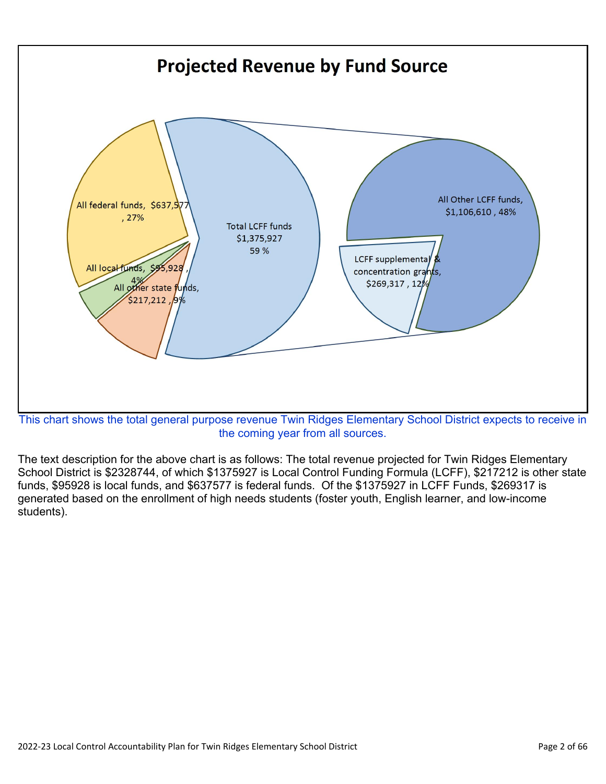

the coming year from all sources.

The text description for the above chart is as follows: The total revenue projected for Twin Ridges Elementary School District is \$2328744, of which \$1375927 is Local Control Funding Formula (LCFF), \$217212 is other state funds, \$95928 is local funds, and \$637577 is federal funds. Of the \$1375927 in LCFF Funds, \$269317 is generated based on the enrollment of high needs students (foster youth, English learner, and low-income students).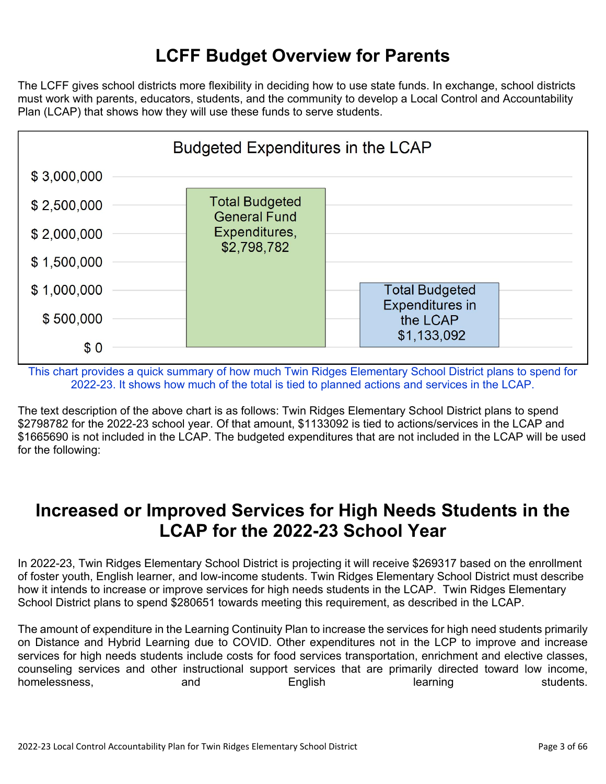## **LCFF Budget Overview for Parents**

The LCFF gives school districts more flexibility in deciding how to use state funds. In exchange, school districts must work with parents, educators, students, and the community to develop a Local Control and Accountability Plan (LCAP) that shows how they will use these funds to serve students.



This chart provides a quick summary of how much Twin Ridges Elementary School District plans to spend for 2022-23. It shows how much of the total is tied to planned actions and services in the LCAP.

The text description of the above chart is as follows: Twin Ridges Elementary School District plans to spend \$2798782 for the 2022-23 school year. Of that amount, \$1133092 is tied to actions/services in the LCAP and \$1665690 is not included in the LCAP. The budgeted expenditures that are not included in the LCAP will be used for the following:

## **Increased or Improved Services for High Needs Students in the LCAP for the 2022-23 School Year**

In 2022-23, Twin Ridges Elementary School District is projecting it will receive \$269317 based on the enrollment of foster youth, English learner, and low-income students. Twin Ridges Elementary School District must describe how it intends to increase or improve services for high needs students in the LCAP. Twin Ridges Elementary School District plans to spend \$280651 towards meeting this requirement, as described in the LCAP.

The amount of expenditure in the Learning Continuity Plan to increase the services for high need students primarily on Distance and Hybrid Learning due to COVID. Other expenditures not in the LCP to improve and increase services for high needs students include costs for food services transportation, enrichment and elective classes, counseling services and other instructional support services that are primarily directed toward low income, homelessness, and and English learning students.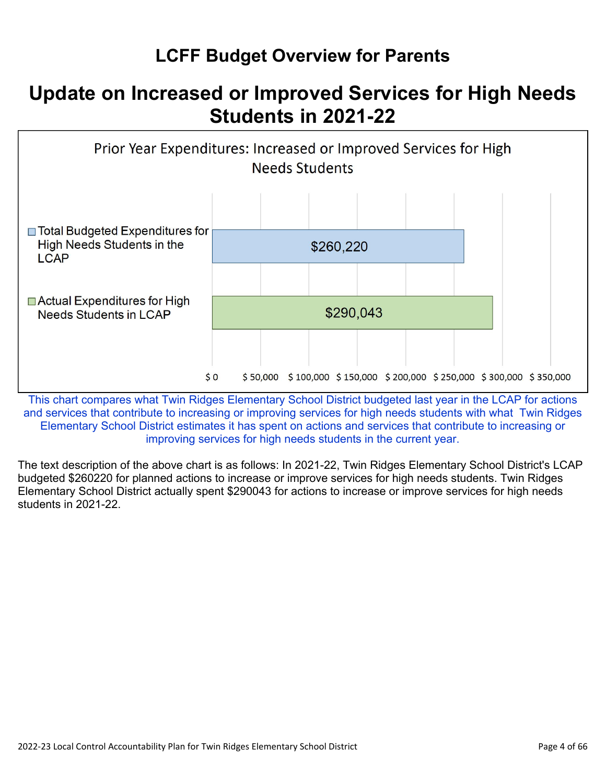# **LCFF Budget Overview for Parents**

# **Update on Increased or Improved Services for High Needs Students in 2021-22**



This chart compares what Twin Ridges Elementary School District budgeted last year in the LCAP for actions and services that contribute to increasing or improving services for high needs students with what Twin Ridges Elementary School District estimates it has spent on actions and services that contribute to increasing or improving services for high needs students in the current year.

The text description of the above chart is as follows: In 2021-22, Twin Ridges Elementary School District's LCAP budgeted \$260220 for planned actions to increase or improve services for high needs students. Twin Ridges Elementary School District actually spent \$290043 for actions to increase or improve services for high needs students in 2021-22.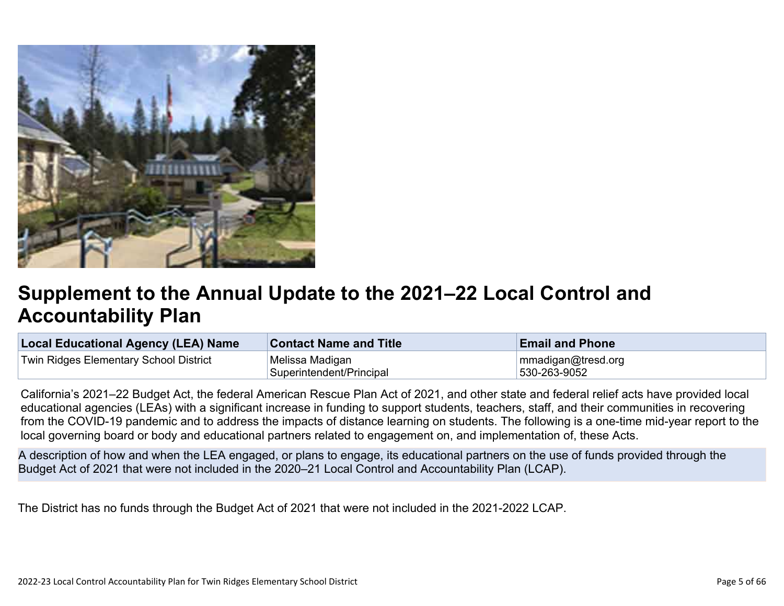

# **Supplement to the Annual Update to the 2021–22 Local Control and Accountability Plan**

| <b>Local Educational Agency (LEA) Name</b> | <b>Contact Name and Title</b> | <b>Email and Phone</b> |
|--------------------------------------------|-------------------------------|------------------------|
| Twin Ridges Elementary School District     | Melissa Madigan               | mmadigan@tresd.org     |
|                                            | Superintendent/Principal      | 530-263-9052           |

California's 2021–22 Budget Act, the federal American Rescue Plan Act of 2021, and other state and federal relief acts have provided local educational agencies (LEAs) with a significant increase in funding to support students, teachers, staff, and their communities in recovering from the COVID-19 pandemic and to address the impacts of distance learning on students. The following is a one-time mid-year report to the local governing board or body and educational partners related to engagement on, and implementation of, these Acts.

A description of how and when the LEA engaged, or plans to engage, its educational partners on the use of funds provided through the Budget Act of 2021 that were not included in the 2020–21 Local Control and Accountability Plan (LCAP).

The District has no funds through the Budget Act of 2021 that were not included in the 2021-2022 LCAP.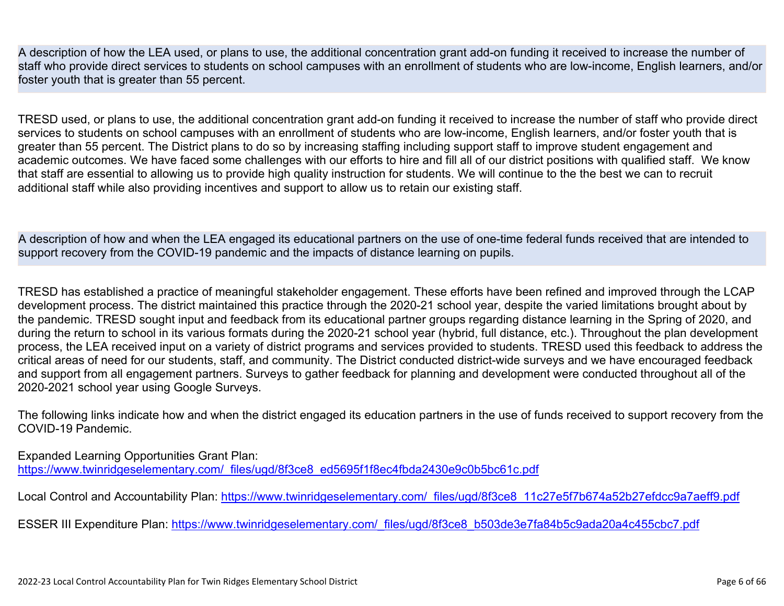A description of how the LEA used, or plans to use, the additional concentration grant add-on funding it received to increase the number of staff who provide direct services to students on school campuses with an enrollment of students who are low-income, English learners, and/or foster youth that is greater than 55 percent.

TRESD used, or plans to use, the additional concentration grant add-on funding it received to increase the number of staff who provide direct services to students on school campuses with an enrollment of students who are low-income, English learners, and/or foster youth that is greater than 55 percent. The District plans to do so by increasing staffing including support staff to improve student engagement and academic outcomes. We have faced some challenges with our efforts to hire and fill all of our district positions with qualified staff. We know that staff are essential to allowing us to provide high quality instruction for students. We will continue to the the best we can to recruit additional staff while also providing incentives and support to allow us to retain our existing staff.

A description of how and when the LEA engaged its educational partners on the use of one-time federal funds received that are intended to support recovery from the COVID-19 pandemic and the impacts of distance learning on pupils.

TRESD has established a practice of meaningful stakeholder engagement. These efforts have been refined and improved through the LCAP development process. The district maintained this practice through the 2020-21 school year, despite the varied limitations brought about by the pandemic. TRESD sought input and feedback from its educational partner groups regarding distance learning in the Spring of 2020, and during the return to school in its various formats during the 2020-21 school year (hybrid, full distance, etc.). Throughout the plan development process, the LEA received input on a variety of district programs and services provided to students. TRESD used this feedback to address the critical areas of need for our students, staff, and community. The District conducted district-wide surveys and we have encouraged feedback and support from all engagement partners. Surveys to gather feedback for planning and development were conducted throughout all of the 2020-2021 school year using Google Surveys.

The following links indicate how and when the district engaged its education partners in the use of funds received to support recovery from the COVID-19 Pandemic.

Expanded Learning Opportunities Grant Plan:

[https://www.twinridgeselementary.com/\\_files/ugd/8f3ce8\\_ed5695f1f8ec4fbda2430e9c0b5bc61c.pdf](https://www.twinridgeselementary.com/_files/ugd/8f3ce8_ed5695f1f8ec4fbda2430e9c0b5bc61c.pdf)

Local Control and Accountability Plan: [https://www.twinridgeselementary.com/\\_files/ugd/8f3ce8\\_11c27e5f7b674a52b27efdcc9a7aeff9.pdf](https://www.twinridgeselementary.com/_files/ugd/8f3ce8_11c27e5f7b674a52b27efdcc9a7aeff9.pdf)

ESSER III Expenditure Plan: [https://www.twinridgeselementary.com/\\_files/ugd/8f3ce8\\_b503de3e7fa84b5c9ada20a4c455cbc7.pdf](https://www.twinridgeselementary.com/_files/ugd/8f3ce8_b503de3e7fa84b5c9ada20a4c455cbc7.pdf)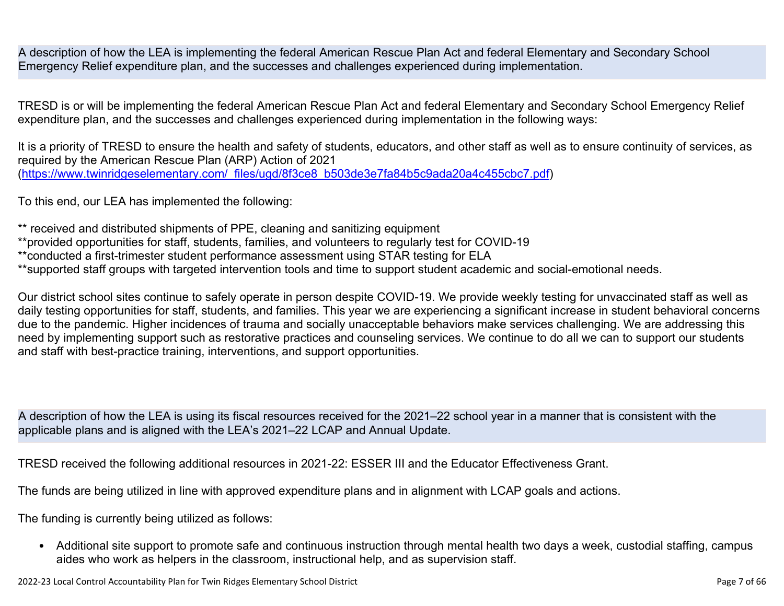A description of how the LEA is implementing the federal American Rescue Plan Act and federal Elementary and Secondary School Emergency Relief expenditure plan, and the successes and challenges experienced during implementation.

TRESD is or will be implementing the federal American Rescue Plan Act and federal Elementary and Secondary School Emergency Relief expenditure plan, and the successes and challenges experienced during implementation in the following ways:

It is a priority of TRESD to ensure the health and safety of students, educators, and other staff as well as to ensure continuity of services, as required by the American Rescue Plan (ARP) Action of 2021 ([https://www.twinridgeselementary.com/\\_files/ugd/8f3ce8\\_b503de3e7fa84b5c9ada20a4c455cbc7.pdf](https://www.twinridgeselementary.com/_files/ugd/8f3ce8_b503de3e7fa84b5c9ada20a4c455cbc7.pdf))

To this end, our LEA has implemented the following:

\*\* received and distributed shipments of PPE, cleaning and sanitizing equipment

- \*\*provided opportunities for staff, students, families, and volunteers to regularly test for COVID-19
- \*\*conducted a first-trimester student performance assessment using STAR testing for ELA
- \*\*supported staff groups with targeted intervention tools and time to support student academic and social-emotional needs.

Our district school sites continue to safely operate in person despite COVID-19. We provide weekly testing for unvaccinated staff as well as daily testing opportunities for staff, students, and families. This year we are experiencing a significant increase in student behavioral concerns due to the pandemic. Higher incidences of trauma and socially unacceptable behaviors make services challenging. We are addressing this need by implementing support such as restorative practices and counseling services. We continue to do all we can to support our students and staff with best-practice training, interventions, and support opportunities.

A description of how the LEA is using its fiscal resources received for the 2021–22 school year in a manner that is consistent with the applicable plans and is aligned with the LEA's 2021–22 LCAP and Annual Update.

TRESD received the following additional resources in 2021-22: ESSER III and the Educator Effectiveness Grant.

The funds are being utilized in line with approved expenditure plans and in alignment with LCAP goals and actions.

The funding is currently being utilized as follows:

• Additional site support to promote safe and continuous instruction through mental health two days a week, custodial staffing, campus aides who work as helpers in the classroom, instructional help, and as supervision staff.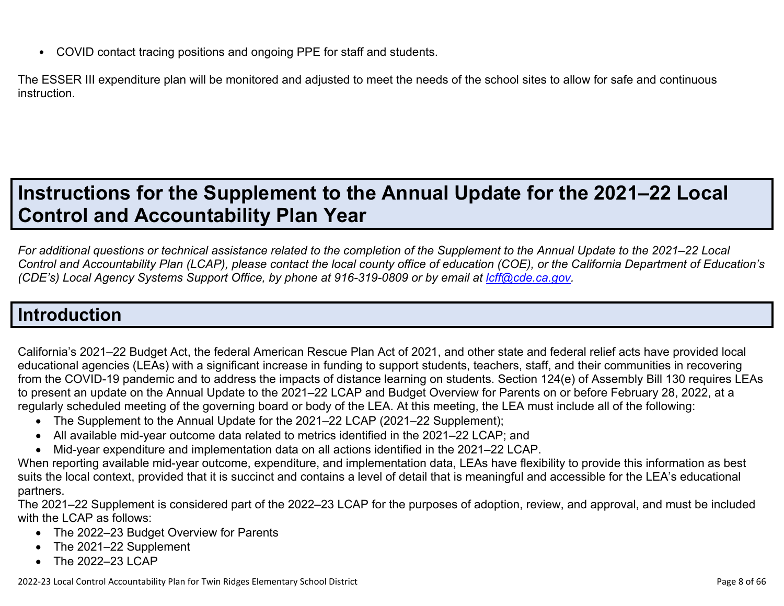• COVID contact tracing positions and ongoing PPE for staff and students.

The ESSER III expenditure plan will be monitored and adjusted to meet the needs of the school sites to allow for safe and continuous instruction.

# **Instructions for the Supplement to the Annual Update for the 2021–22 Local Control and Accountability Plan Year**

*For additional questions or technical assistance related to the completion of the Supplement to the Annual Update to the 2021–22 Local Control and Accountability Plan (LCAP), please contact the local county office of education (COE), or the California Department of Education's (CDE's)* Local Agency Systems Support Office, by phone at 916-319-0809 or by email at *[lcff@cde.ca.gov](mailto:lcff@cde.ca.gov)*.

# **Introduction**

California's 2021–22 Budget Act, the federal American Rescue Plan Act of 2021, and other state and federal relief acts have provided local educational agencies (LEAs) with a significant increase in funding to support students, teachers, staff, and their communities in recovering from the COVID-19 pandemic and to address the impacts of distance learning on students. Section 124(e) of Assembly Bill 130 requires LEAs to present an update on the Annual Update to the 2021–22 LCAP and Budget Overview for Parents on or before February 28, 2022, at a regularly scheduled meeting of the governing board or body of the LEA. At this meeting, the LEA must include all of the following:

- The Supplement to the Annual Update for the 2021–22 LCAP (2021–22 Supplement);
- All available mid-year outcome data related to metrics identified in the 2021–22 LCAP; and
- Mid-year expenditure and implementation data on all actions identified in the 2021–22 LCAP.

When reporting available mid-year outcome, expenditure, and implementation data, LEAs have flexibility to provide this information as best suits the local context, provided that it is succinct and contains a level of detail that is meaningful and accessible for the LEA's educational partners.

The 2021–22 Supplement is considered part of the 2022–23 LCAP for the purposes of adoption, review, and approval, and must be included with the LCAP as follows:

- The 2022–23 Budget Overview for Parents
- The 2021–22 Supplement
- The 2022-23 LCAP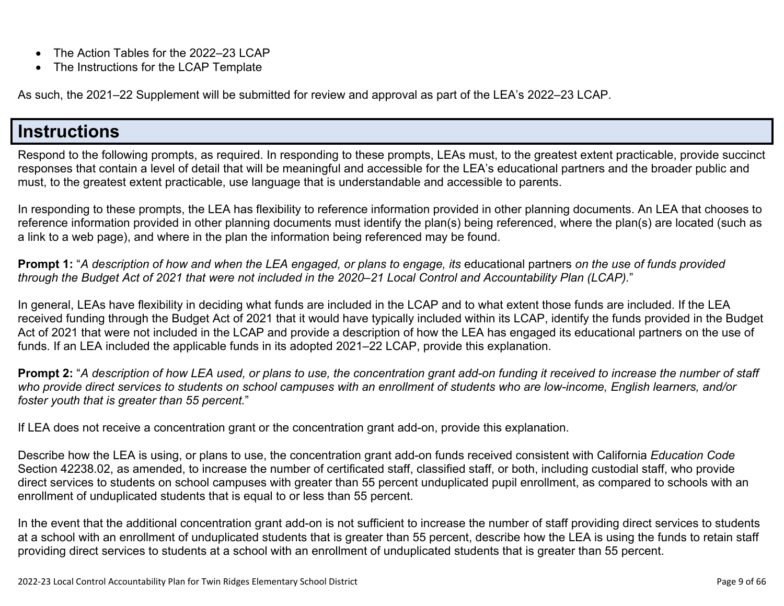- The Action Tables for the 2022–23 LCAP
- The Instructions for the LCAP Template

As such, the 2021–22 Supplement will be submitted for review and approval as part of the LEA's 2022–23 LCAP.

## **Instructions**

Respond to the following prompts, as required. In responding to these prompts, LEAs must, to the greatest extent practicable, provide succinct responses that contain a level of detail that will be meaningful and accessible for the LEA's educational partners and the broader public and must, to the greatest extent practicable, use language that is understandable and accessible to parents.

In responding to these prompts, the LEA has flexibility to reference information provided in other planning documents. An LEA that chooses to reference information provided in other planning documents must identify the plan(s) being referenced, where the plan(s) are located (such as a link to a web page), and where in the plan the information being referenced may be found.

**Prompt 1:** "*A description of how and when the LEA engaged, or plans to engage, its* educational partners *on the use of funds provided through the Budget Act of 2021 that were not included in the 2020–21 Local Control and Accountability Plan (LCAP).*"

In general, LEAs have flexibility in deciding what funds are included in the LCAP and to what extent those funds are included. If the LEA received funding through the Budget Act of 2021 that it would have typically included within its LCAP, identify the funds provided in the Budget Act of 2021 that were not included in the LCAP and provide a description of how the LEA has engaged its educational partners on the use of funds. If an LEA included the applicable funds in its adopted 2021–22 LCAP, provide this explanation.

**Prompt 2:** "*A description of how LEA used, or plans to use, the concentration grant add-on funding it received to increase the number of staff who provide direct services to students on school campuses with an enrollment of students who are low-income, English learners, and/or foster youth that is greater than 55 percent.*"

If LEA does not receive a concentration grant or the concentration grant add-on, provide this explanation.

Describe how the LEA is using, or plans to use, the concentration grant add-on funds received consistent with California *Education Code* Section 42238.02, as amended, to increase the number of certificated staff, classified staff, or both, including custodial staff, who provide direct services to students on school campuses with greater than 55 percent unduplicated pupil enrollment, as compared to schools with an enrollment of unduplicated students that is equal to or less than 55 percent.

In the event that the additional concentration grant add-on is not sufficient to increase the number of staff providing direct services to students at a school with an enrollment of unduplicated students that is greater than 55 percent, describe how the LEA is using the funds to retain staff providing direct services to students at a school with an enrollment of unduplicated students that is greater than 55 percent.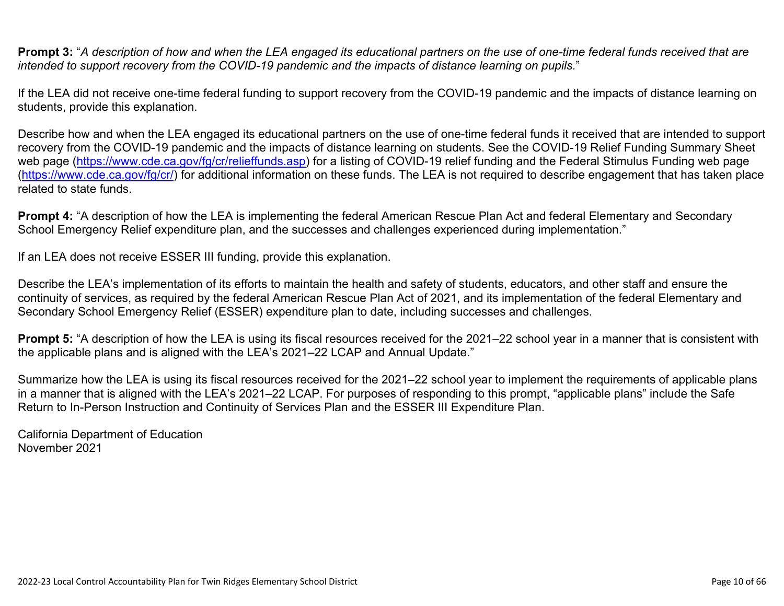**Prompt 3:** "*A description of how and when the LEA engaged its educational partners on the use of one-time federal funds received that are intended to support recovery from the COVID-19 pandemic and the impacts of distance learning on pupils.*"

If the LEA did not receive one-time federal funding to support recovery from the COVID-19 pandemic and the impacts of distance learning on students, provide this explanation.

Describe how and when the LEA engaged its educational partners on the use of one-time federal funds it received that are intended to support recovery from the COVID-19 pandemic and the impacts of distance learning on students. See the COVID-19 Relief Funding Summary Sheet web page [\(https://www.cde.ca.gov/fg/cr/relieffunds.asp\)](https://www.cde.ca.gov/fg/cr/relieffunds.asp) for a listing of COVID-19 relief funding and the Federal Stimulus Funding web page (<https://www.cde.ca.gov/fg/cr/>) for additional information on these funds. The LEA is not required to describe engagement that has taken place related to state funds.

**Prompt 4:** "A description of how the LEA is implementing the federal American Rescue Plan Act and federal Elementary and Secondary School Emergency Relief expenditure plan, and the successes and challenges experienced during implementation."

If an LEA does not receive ESSER III funding, provide this explanation.

Describe the LEA's implementation of its efforts to maintain the health and safety of students, educators, and other staff and ensure the continuity of services, as required by the federal American Rescue Plan Act of 2021, and its implementation of the federal Elementary and Secondary School Emergency Relief (ESSER) expenditure plan to date, including successes and challenges.

**Prompt 5:** "A description of how the LEA is using its fiscal resources received for the 2021–22 school year in a manner that is consistent with the applicable plans and is aligned with the LEA's 2021–22 LCAP and Annual Update."

Summarize how the LEA is using its fiscal resources received for the 2021–22 school year to implement the requirements of applicable plans in a manner that is aligned with the LEA's 2021–22 LCAP. For purposes of responding to this prompt, "applicable plans" include the Safe Return to In-Person Instruction and Continuity of Services Plan and the ESSER III Expenditure Plan.

California Department of Education November 2021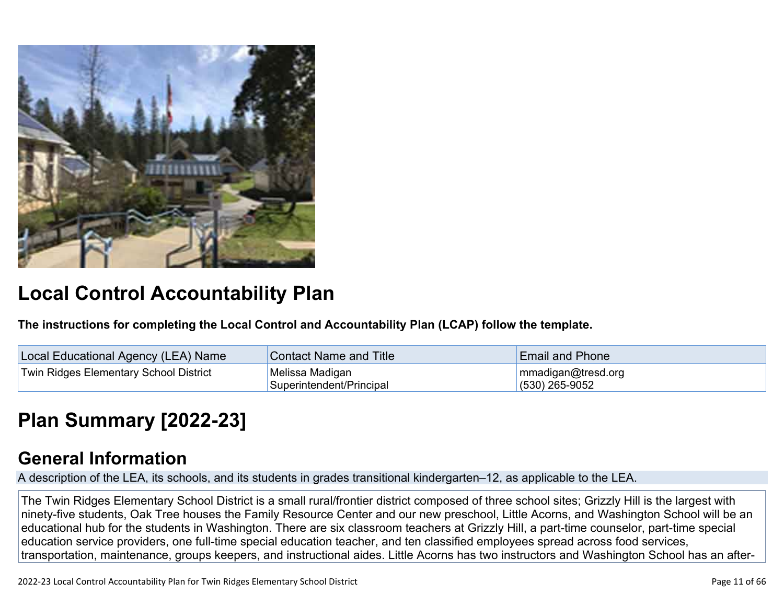

# **Local Control Accountability Plan**

**The instructions for completing the Local Control and Accountability Plan (LCAP) follow the template.**

| <b>Local Educational Agency (LEA) Name</b> | <b>Contact Name and Title</b>               | <b>Email and Phone</b>                 |
|--------------------------------------------|---------------------------------------------|----------------------------------------|
| Twin Ridges Elementary School District     | Melissa Madigan<br>Superintendent/Principal | mmadigan@tresd.org<br>$(530)$ 265-9052 |

# **[Plan Summary \[2022-23\]](http://www.doc-tracking.com/screenshots/22LCAP/Instructions/22LCAPInstructions.htm#PlanSummary)**

## **[General Information](http://www.doc-tracking.com/screenshots/22LCAP/Instructions/22LCAPInstructions.htm#generalinformation)**

A description of the LEA, its schools, and its students in grades transitional kindergarten–12, as applicable to the LEA.

The Twin Ridges Elementary School District is a small rural/frontier district composed of three school sites; Grizzly Hill is the largest with ninety-five students, Oak Tree houses the Family Resource Center and our new preschool, Little Acorns, and Washington School will be an educational hub for the students in Washington. There are six classroom teachers at Grizzly Hill, a part-time counselor, part-time special education service providers, one full-time special education teacher, and ten classified employees spread across food services, transportation, maintenance, groups keepers, and instructional aides. Little Acorns has two instructors and Washington School has an after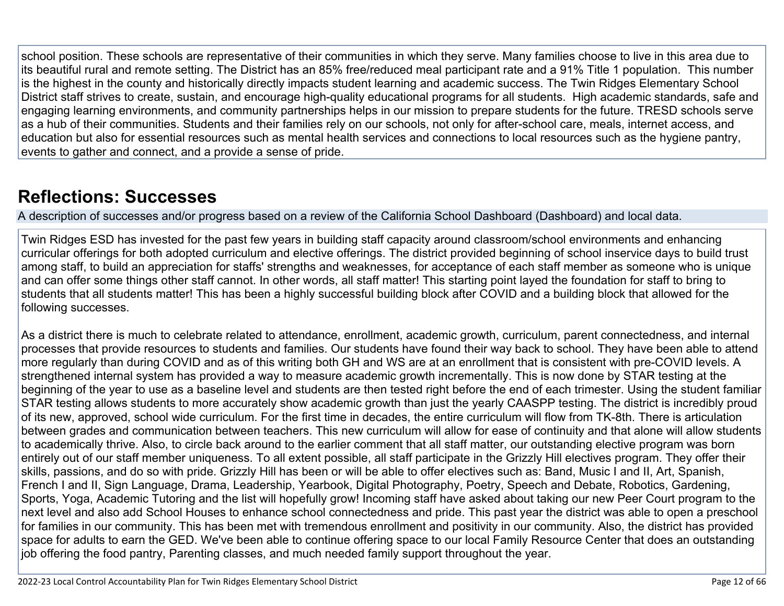school position. These schools are representative of their communities in which they serve. Many families choose to live in this area due to its beautiful rural and remote setting. The District has an 85% free/reduced meal participant rate and a 91% Title 1 population. This number is the highest in the county and historically directly impacts student learning and academic success. The Twin Ridges Elementary School District staff strives to create, sustain, and encourage high-quality educational programs for all students. High academic standards, safe and engaging learning environments, and community partnerships helps in our mission to prepare students for the future. TRESD schools serve as a hub of their communities. Students and their families rely on our schools, not only for after-school care, meals, internet access, and education but also for essential resources such as mental health services and connections to local resources such as the hygiene pantry, events to gather and connect, and a provide a sense of pride.

## **[Reflections: Successes](http://www.doc-tracking.com/screenshots/22LCAP/Instructions/22LCAPInstructions.htm#ReflectionsSuccesses)**

A description of successes and/or progress based on a review of the California School Dashboard (Dashboard) and local data.

Twin Ridges ESD has invested for the past few years in building staff capacity around classroom/school environments and enhancing curricular offerings for both adopted curriculum and elective offerings. The district provided beginning of school inservice days to build trust among staff, to build an appreciation for staffs' strengths and weaknesses, for acceptance of each staff member as someone who is unique and can offer some things other staff cannot. In other words, all staff matter! This starting point layed the foundation for staff to bring to students that all students matter! This has been a highly successful building block after COVID and a building block that allowed for the following successes.

As a district there is much to celebrate related to attendance, enrollment, academic growth, curriculum, parent connectedness, and internal processes that provide resources to students and families. Our students have found their way back to school. They have been able to attend more regularly than during COVID and as of this writing both GH and WS are at an enrollment that is consistent with pre-COVID levels. A strengthened internal system has provided a way to measure academic growth incrementally. This is now done by STAR testing at the beginning of the year to use as a baseline level and students are then tested right before the end of each trimester. Using the student familiar STAR testing allows students to more accurately show academic growth than just the yearly CAASPP testing. The district is incredibly proud of its new, approved, school wide curriculum. For the first time in decades, the entire curriculum will flow from TK-8th. There is articulation between grades and communication between teachers. This new curriculum will allow for ease of continuity and that alone will allow students to academically thrive. Also, to circle back around to the earlier comment that all staff matter, our outstanding elective program was born entirely out of our staff member uniqueness. To all extent possible, all staff participate in the Grizzly Hill electives program. They offer their skills, passions, and do so with pride. Grizzly Hill has been or will be able to offer electives such as: Band, Music I and II, Art, Spanish, French I and II, Sign Language, Drama, Leadership, Yearbook, Digital Photography, Poetry, Speech and Debate, Robotics, Gardening, Sports, Yoga, Academic Tutoring and the list will hopefully grow! Incoming staff have asked about taking our new Peer Court program to the next level and also add School Houses to enhance school connectedness and pride. This past year the district was able to open a preschool for families in our community. This has been met with tremendous enrollment and positivity in our community. Also, the district has provided space for adults to earn the GED. We've been able to continue offering space to our local Family Resource Center that does an outstanding job offering the food pantry, Parenting classes, and much needed family support throughout the year.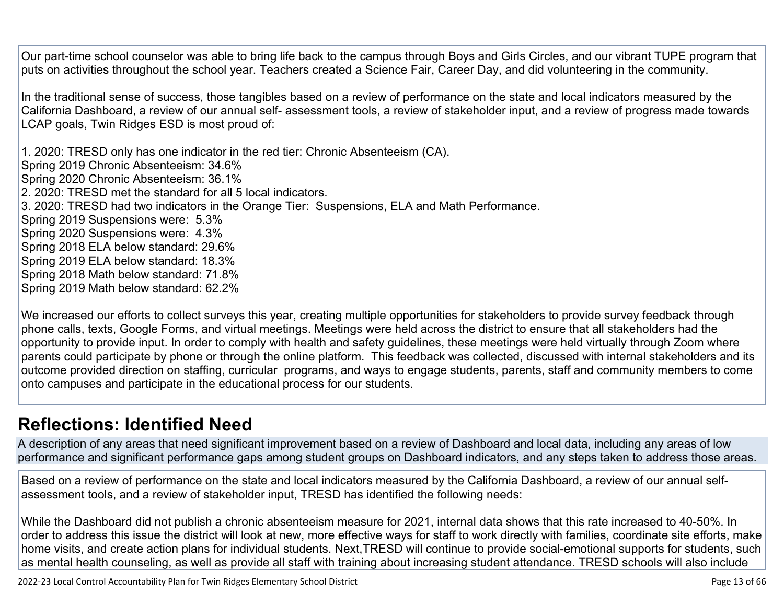Our part-time school counselor was able to bring life back to the campus through Boys and Girls Circles, and our vibrant TUPE program that puts on activities throughout the school year. Teachers created a Science Fair, Career Day, and did volunteering in the community.

In the traditional sense of success, those tangibles based on a review of performance on the state and local indicators measured by the California Dashboard, a review of our annual self- assessment tools, a review of stakeholder input, and a review of progress made towards LCAP goals, Twin Ridges ESD is most proud of:

1. 2020: TRESD only has one indicator in the red tier: Chronic Absenteeism (CA). Spring 2019 Chronic Absenteeism: 34.6% Spring 2020 Chronic Absenteeism: 36.1% 2. 2020: TRESD met the standard for all 5 local indicators. 3. 2020: TRESD had two indicators in the Orange Tier: Suspensions, ELA and Math Performance. Spring 2019 Suspensions were: 5.3% Spring 2020 Suspensions were: 4.3% Spring 2018 ELA below standard: 29.6% Spring 2019 ELA below standard: 18.3% Spring 2018 Math below standard: 71.8% Spring 2019 Math below standard: 62.2%

We increased our efforts to collect surveys this year, creating multiple opportunities for stakeholders to provide survey feedback through phone calls, texts, Google Forms, and virtual meetings. Meetings were held across the district to ensure that all stakeholders had the opportunity to provide input. In order to comply with health and safety guidelines, these meetings were held virtually through Zoom where parents could participate by phone or through the online platform. This feedback was collected, discussed with internal stakeholders and its outcome provided direction on staffing, curricular programs, and ways to engage students, parents, staff and community members to come onto campuses and participate in the educational process for our students.

## **[Reflections: Identified Need](http://www.doc-tracking.com/screenshots/22LCAP/Instructions/22LCAPInstructions.htm#ReflectionsIdentifiedNeed)**

A description of any areas that need significant improvement based on a review of Dashboard and local data, including any areas of low performance and significant performance gaps among student groups on Dashboard indicators, and any steps taken to address those areas.

Based on a review of performance on the state and local indicators measured by the California Dashboard, a review of our annual selfassessment tools, and a review of stakeholder input, TRESD has identified the following needs:

While the Dashboard did not publish a chronic absenteeism measure for 2021, internal data shows that this rate increased to 40-50%. In order to address this issue the district will look at new, more effective ways for staff to work directly with families, coordinate site efforts, make home visits, and create action plans for individual students. Next,TRESD will continue to provide social-emotional supports for students, such as mental health counseling, as well as provide all staff with training about increasing student attendance. TRESD schools will also include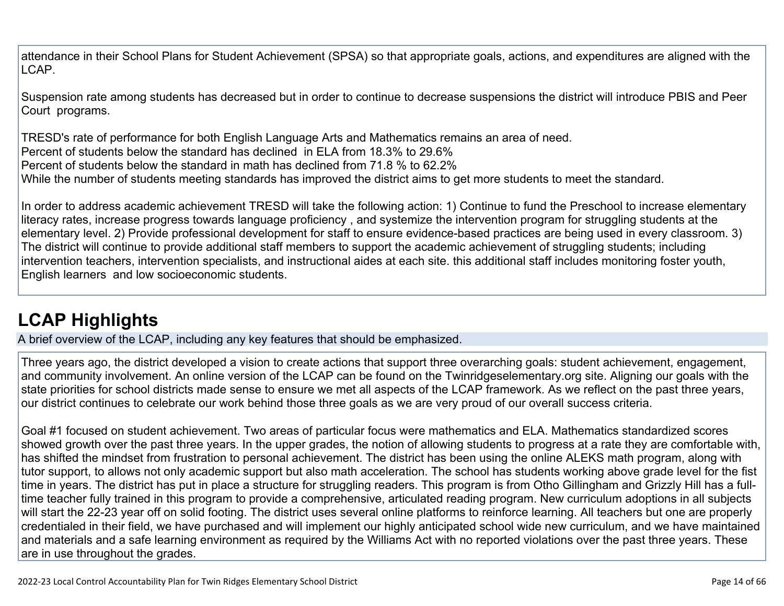attendance in their School Plans for Student Achievement (SPSA) so that appropriate goals, actions, and expenditures are aligned with the LCAP.

Suspension rate among students has decreased but in order to continue to decrease suspensions the district will introduce PBIS and Peer Court programs.

TRESD's rate of performance for both English Language Arts and Mathematics remains an area of need. Percent of students below the standard has declined in ELA from 18.3% to 29.6% Percent of students below the standard in math has declined from 71.8 % to 62.2% While the number of students meeting standards has improved the district aims to get more students to meet the standard.

In order to address academic achievement TRESD will take the following action: 1) Continue to fund the Preschool to increase elementary literacy rates, increase progress towards language proficiency , and systemize the intervention program for struggling students at the elementary level. 2) Provide professional development for staff to ensure evidence-based practices are being used in every classroom. 3) The district will continue to provide additional staff members to support the academic achievement of struggling students; including intervention teachers, intervention specialists, and instructional aides at each site. this additional staff includes monitoring foster youth, English learners and low socioeconomic students.

# **[LCAP Highlights](http://www.doc-tracking.com/screenshots/22LCAP/Instructions/22LCAPInstructions.htm#LCAPHighlights)**

A brief overview of the LCAP, including any key features that should be emphasized.

Three years ago, the district developed a vision to create actions that support three overarching goals: student achievement, engagement, and community involvement. An online version of the LCAP can be found on the Twinridgeselementary.org site. Aligning our goals with the state priorities for school districts made sense to ensure we met all aspects of the LCAP framework. As we reflect on the past three years, our district continues to celebrate our work behind those three goals as we are very proud of our overall success criteria.

Goal #1 focused on student achievement. Two areas of particular focus were mathematics and ELA. Mathematics standardized scores showed growth over the past three years. In the upper grades, the notion of allowing students to progress at a rate they are comfortable with, has shifted the mindset from frustration to personal achievement. The district has been using the online ALEKS math program, along with tutor support, to allows not only academic support but also math acceleration. The school has students working above grade level for the fist time in years. The district has put in place a structure for struggling readers. This program is from Otho Gillingham and Grizzly Hill has a fulltime teacher fully trained in this program to provide a comprehensive, articulated reading program. New curriculum adoptions in all subjects will start the 22-23 year off on solid footing. The district uses several online platforms to reinforce learning. All teachers but one are properly credentialed in their field, we have purchased and will implement our highly anticipated school wide new curriculum, and we have maintained and materials and a safe learning environment as required by the Williams Act with no reported violations over the past three years. These are in use throughout the grades.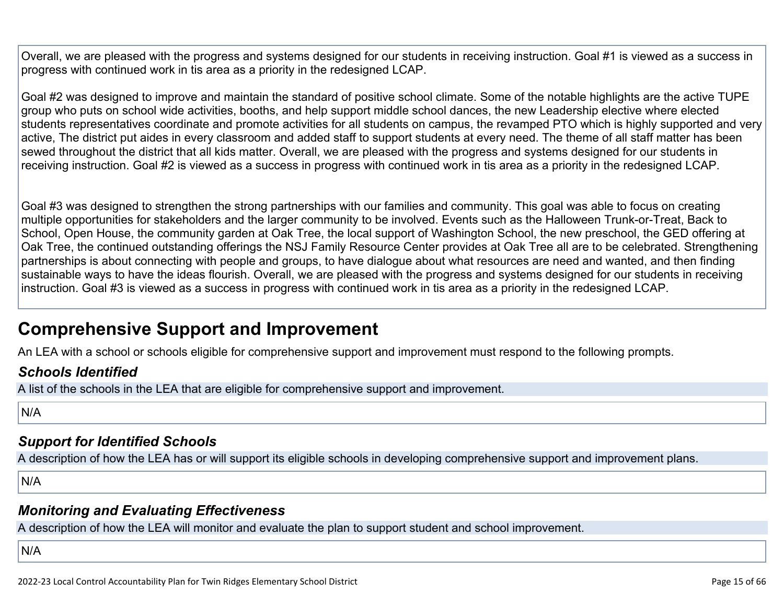Overall, we are pleased with the progress and systems designed for our students in receiving instruction. Goal #1 is viewed as a success in progress with continued work in tis area as a priority in the redesigned LCAP.

Goal #2 was designed to improve and maintain the standard of positive school climate. Some of the notable highlights are the active TUPE group who puts on school wide activities, booths, and help support middle school dances, the new Leadership elective where elected students representatives coordinate and promote activities for all students on campus, the revamped PTO which is highly supported and very active, The district put aides in every classroom and added staff to support students at every need. The theme of all staff matter has been sewed throughout the district that all kids matter. Overall, we are pleased with the progress and systems designed for our students in receiving instruction. Goal #2 is viewed as a success in progress with continued work in tis area as a priority in the redesigned LCAP.

Goal #3 was designed to strengthen the strong partnerships with our families and community. This goal was able to focus on creating multiple opportunities for stakeholders and the larger community to be involved. Events such as the Halloween Trunk-or-Treat, Back to School, Open House, the community garden at Oak Tree, the local support of Washington School, the new preschool, the GED offering at Oak Tree, the continued outstanding offerings the NSJ Family Resource Center provides at Oak Tree all are to be celebrated. Strengthening partnerships is about connecting with people and groups, to have dialogue about what resources are need and wanted, and then finding sustainable ways to have the ideas flourish. Overall, we are pleased with the progress and systems designed for our students in receiving instruction. Goal #3 is viewed as a success in progress with continued work in tis area as a priority in the redesigned LCAP.

## **Comprehensive Support and Improvement**

An LEA with a school or schools eligible for comprehensive support and improvement must respond to the following prompts.

### *[Schools Identified](http://www.doc-tracking.com/screenshots/22LCAP/Instructions/22LCAPInstructions.htm#SchoolsIdentified)*

A list of the schools in the LEA that are eligible for comprehensive support and improvement.

N/A

### *[Support for Identified Schools](http://www.doc-tracking.com/screenshots/22LCAP/Instructions/22LCAPInstructions.htm#SupportforIdentifiedSchools)*

A description of how the LEA has or will support its eligible schools in developing comprehensive support and improvement plans.

N/A

### *[Monitoring and Evaluating Effectiveness](http://www.doc-tracking.com/screenshots/22LCAP/Instructions/22LCAPInstructions.htm#MonitoringandEvaluatingEffectiveness)*

A description of how the LEA will monitor and evaluate the plan to support student and school improvement.

N/A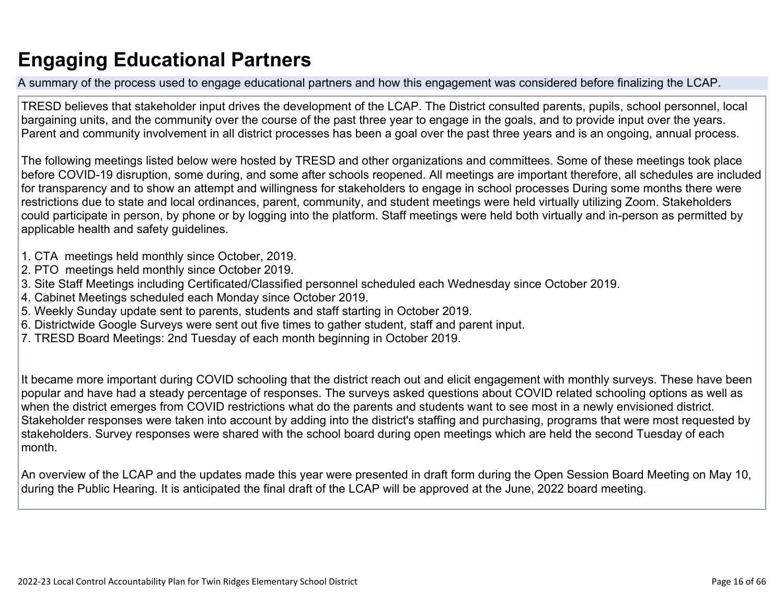# **Engaging Educational Partners**

A summary of the process used to engage educational partners and how this engagement was considered before finalizing the LCAP.

TRESD believes that stakeholder input drives the development of the LCAP. The District consulted parents, pupils, school personnel, local bargaining units, and the community over the course of the past three year to engage in the goals, and to provide input over the years. Parent and community involvement in all district processes has been a goal over the past three years and is an ongoing, annual process.

The following meetings listed below were hosted by TRESD and other organizations and committees. Some of these meetings took place before COVID-19 disruption, some during, and some after schools reopened. All meetings are important therefore, all schedules are included for transparency and to show an attempt and willingness for stakeholders to engage in school processes During some months there were restrictions due to state and local ordinances, parent, community, and student meetings were held virtually utilizing Zoom. Stakeholders could participate in person, by phone or by logging into the platform. Staff meetings were held both virtually and in-person as permitted by applicable health and safety guidelines.

- 1. CTA meetings held monthly since October, 2019.
- 2. PTO meetings held monthly since October 2019.
- 3. Site Staff Meetings including Certificated/Classified personnel scheduled each Wednesday since October 2019.
- 4. Cabinet Meetings scheduled each Monday since October 2019.
- 5. Weekly Sunday update sent to parents, students and staff starting in October 2019.
- 6. Districtwide Google Surveys were sent out five times to gather student, staff and parent input.
- 7. TRESD Board Meetings: 2nd Tuesday of each month beginning in October 2019.

It became more important during COVID schooling that the district reach out and elicit engagement with monthly surveys. These have been popular and have had a steady percentage of responses. The surveys asked questions about COVID related schooling options as well as when the district emerges from COVID restrictions what do the parents and students want to see most in a newly envisioned district. Stakeholder responses were taken into account by adding into the district's staffing and purchasing, programs that were most requested by stakeholders. Survey responses were shared with the school board during open meetings which are held the second Tuesday of each month.

An overview of the LCAP and the updates made this year were presented in draft form during the Open Session Board Meeting on May 10, during the Public Hearing. It is anticipated the final draft of the LCAP will be approved at the June, 2022 board meeting.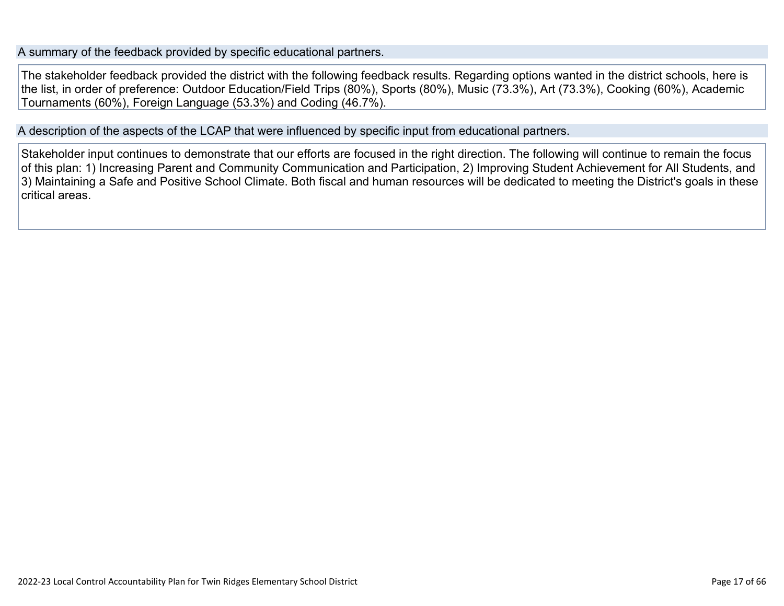A summary of the feedback provided by specific educational partners.

The stakeholder feedback provided the district with the following feedback results. Regarding options wanted in the district schools, here is the list, in order of preference: Outdoor Education/Field Trips (80%), Sports (80%), Music (73.3%), Art (73.3%), Cooking (60%), Academic Tournaments (60%), Foreign Language (53.3%) and Coding (46.7%).

A description of the aspects of the LCAP that were influenced by specific input from educational partners.

Stakeholder input continues to demonstrate that our efforts are focused in the right direction. The following will continue to remain the focus of this plan: 1) Increasing Parent and Community Communication and Participation, 2) Improving Student Achievement for All Students, and 3) Maintaining a Safe and Positive School Climate. Both fiscal and human resources will be dedicated to meeting the District's goals in these critical areas.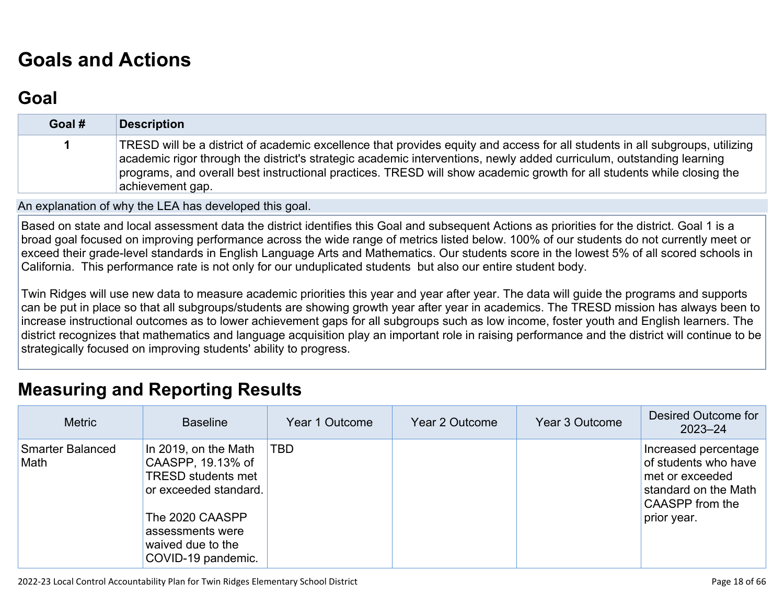# **[Goals and Actions](http://www.doc-tracking.com/screenshots/22LCAP/Instructions/22LCAPInstructions.htm#GoalsandActions)**

## **[Goal](http://www.doc-tracking.com/screenshots/22LCAP/Instructions/22LCAPInstructions.htm#goalDescription)**

| Goal # | <b>Description</b>                                                                                                                                                                                                                                                                                                                                                                                 |
|--------|----------------------------------------------------------------------------------------------------------------------------------------------------------------------------------------------------------------------------------------------------------------------------------------------------------------------------------------------------------------------------------------------------|
|        | TRESD will be a district of academic excellence that provides equity and access for all students in all subgroups, utilizing<br>academic rigor through the district's strategic academic interventions, newly added curriculum, outstanding learning<br>programs, and overall best instructional practices. TRESD will show academic growth for all students while closing the<br>achievement gap. |

#### An explanation of why the LEA has developed this goal.

Based on state and local assessment data the district identifies this Goal and subsequent Actions as priorities for the district. Goal 1 is a broad goal focused on improving performance across the wide range of metrics listed below. 100% of our students do not currently meet or exceed their grade-level standards in English Language Arts and Mathematics. Our students score in the lowest 5% of all scored schools in California. This performance rate is not only for our unduplicated students but also our entire student body.

Twin Ridges will use new data to measure academic priorities this year and year after year. The data will guide the programs and supports can be put in place so that all subgroups/students are showing growth year after year in academics. The TRESD mission has always been to increase instructional outcomes as to lower achievement gaps for all subgroups such as low income, foster youth and English learners. The district recognizes that mathematics and language acquisition play an important role in raising performance and the district will continue to be strategically focused on improving students' ability to progress.

### **[Measuring and Reporting Results](http://www.doc-tracking.com/screenshots/22LCAP/Instructions/22LCAPInstructions.htm#MeasuringandReportingResults)**

| <b>Metric</b>                   | <b>Baseline</b>                                                                                                                                                                   | Year 1 Outcome | Year 2 Outcome | Year 3 Outcome | Desired Outcome for<br>$2023 - 24$                                                                                        |
|---------------------------------|-----------------------------------------------------------------------------------------------------------------------------------------------------------------------------------|----------------|----------------|----------------|---------------------------------------------------------------------------------------------------------------------------|
| <b>Smarter Balanced</b><br>Math | In 2019, on the Math<br>CAASPP, 19.13% of<br><b>TRESD students met</b><br>or exceeded standard.<br>The 2020 CAASPP<br>assessments were<br>waived due to the<br>COVID-19 pandemic. | <b>TBD</b>     |                |                | Increased percentage<br>of students who have<br>met or exceeded<br>standard on the Math<br>CAASPP from the<br>prior year. |

2022-23 Local Control Accountability Plan for Twin Ridges Elementary School District **Page 18 of 66** and the state of 66 of 66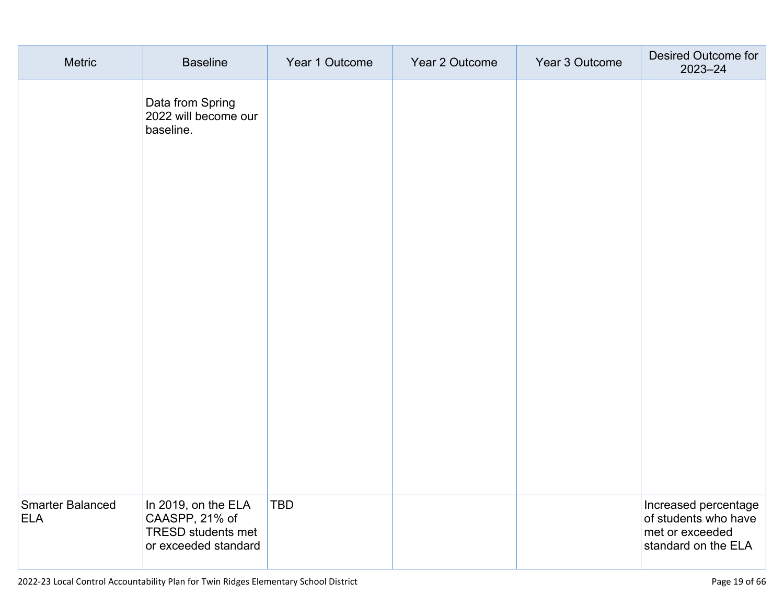| Metric                                | <b>Baseline</b>                                                                            | Year 1 Outcome | Year 2 Outcome | Year 3 Outcome | Desired Outcome for<br>2023-24                                                         |
|---------------------------------------|--------------------------------------------------------------------------------------------|----------------|----------------|----------------|----------------------------------------------------------------------------------------|
|                                       | Data from Spring<br>2022 will become our<br>baseline.                                      |                |                |                |                                                                                        |
|                                       |                                                                                            |                |                |                |                                                                                        |
| <b>Smarter Balanced</b><br><b>ELA</b> | In 2019, on the ELA<br>CAASPP, 21% of<br><b>TRESD students met</b><br>or exceeded standard | <b>TBD</b>     |                |                | Increased percentage<br>of students who have<br>met or exceeded<br>standard on the ELA |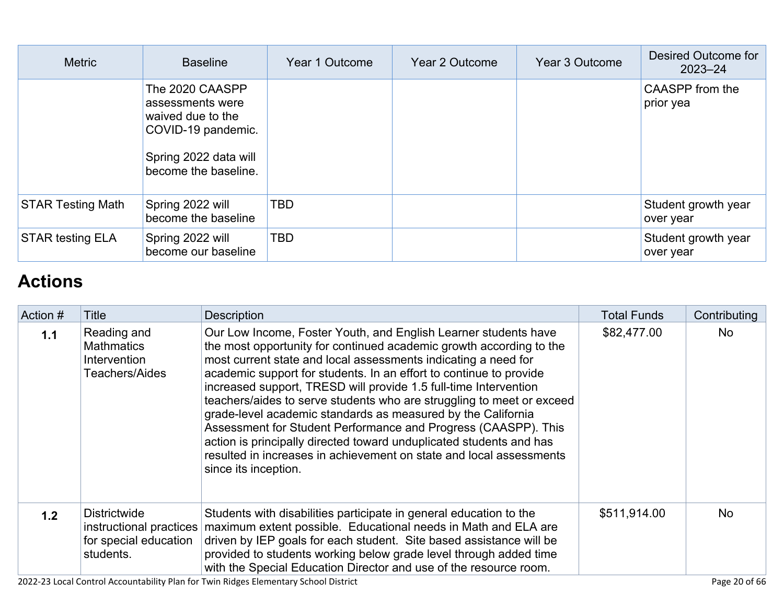| <b>Metric</b>            | <b>Baseline</b>                                                                                                                 | Year 1 Outcome | Year 2 Outcome | Year 3 Outcome | Desired Outcome for<br>$2023 - 24$ |
|--------------------------|---------------------------------------------------------------------------------------------------------------------------------|----------------|----------------|----------------|------------------------------------|
|                          | The 2020 CAASPP<br>assessments were<br>waived due to the<br>COVID-19 pandemic.<br>Spring 2022 data will<br>become the baseline. |                |                |                | CAASPP from the<br>prior yea       |
| <b>STAR Testing Math</b> | Spring 2022 will<br>become the baseline                                                                                         | <b>TBD</b>     |                |                | Student growth year<br>over year   |
| <b>STAR testing ELA</b>  | Spring 2022 will<br>become our baseline                                                                                         | <b>TBD</b>     |                |                | Student growth year<br>over year   |

# **[Actions](http://www.doc-tracking.com/screenshots/22LCAP/Instructions/22LCAPInstructions.htm#actions)**

| Action # | Title                                                                                | <b>Description</b>                                                                                                                                                                                                                                                                                                                                                                                                                                                                                                                                                                                                                                                                                                                  | <b>Total Funds</b> | Contributing |
|----------|--------------------------------------------------------------------------------------|-------------------------------------------------------------------------------------------------------------------------------------------------------------------------------------------------------------------------------------------------------------------------------------------------------------------------------------------------------------------------------------------------------------------------------------------------------------------------------------------------------------------------------------------------------------------------------------------------------------------------------------------------------------------------------------------------------------------------------------|--------------------|--------------|
| 1.1      | Reading and<br><b>Mathmatics</b><br>Intervention<br><b>Teachers/Aides</b>            | Our Low Income, Foster Youth, and English Learner students have<br>the most opportunity for continued academic growth according to the<br>most current state and local assessments indicating a need for<br>academic support for students. In an effort to continue to provide<br>increased support, TRESD will provide 1.5 full-time Intervention<br>teachers/aides to serve students who are struggling to meet or exceed<br>grade-level academic standards as measured by the California<br>Assessment for Student Performance and Progress (CAASPP). This<br>action is principally directed toward unduplicated students and has<br>resulted in increases in achievement on state and local assessments<br>since its inception. | \$82,477.00        | <b>No</b>    |
| 1.2      | <b>Districtwide</b><br>instructional practices<br>for special education<br>students. | Students with disabilities participate in general education to the<br>maximum extent possible. Educational needs in Math and ELA are<br>driven by IEP goals for each student. Site based assistance will be<br>provided to students working below grade level through added time<br>with the Special Education Director and use of the resource room.                                                                                                                                                                                                                                                                                                                                                                               | \$511,914.00       | <b>No</b>    |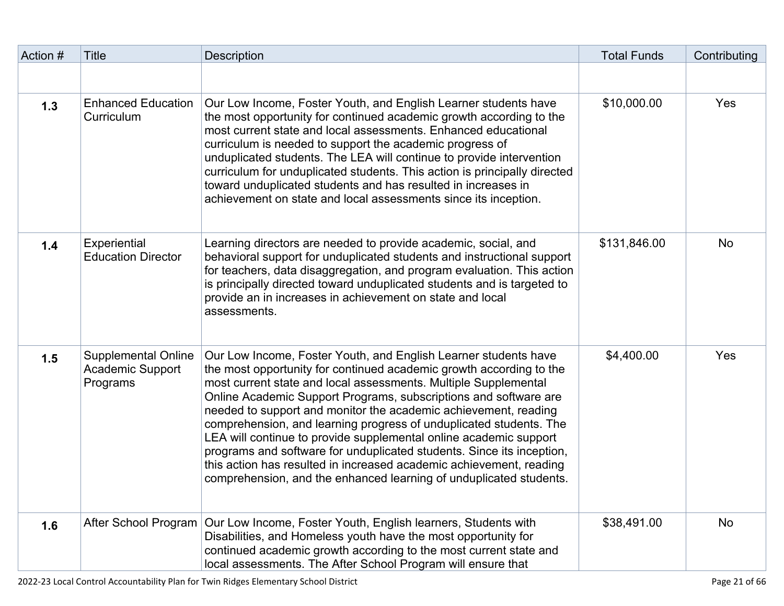| Action # | <b>Title</b>                                                      | <b>Description</b>                                                                                                                                                                                                                                                                                                                                                                                                                                                                                                                                                                                                                                                                                                | <b>Total Funds</b> | Contributing |
|----------|-------------------------------------------------------------------|-------------------------------------------------------------------------------------------------------------------------------------------------------------------------------------------------------------------------------------------------------------------------------------------------------------------------------------------------------------------------------------------------------------------------------------------------------------------------------------------------------------------------------------------------------------------------------------------------------------------------------------------------------------------------------------------------------------------|--------------------|--------------|
|          |                                                                   |                                                                                                                                                                                                                                                                                                                                                                                                                                                                                                                                                                                                                                                                                                                   |                    |              |
| 1.3      | <b>Enhanced Education</b><br>Curriculum                           | Our Low Income, Foster Youth, and English Learner students have<br>the most opportunity for continued academic growth according to the<br>most current state and local assessments. Enhanced educational<br>curriculum is needed to support the academic progress of<br>unduplicated students. The LEA will continue to provide intervention<br>curriculum for unduplicated students. This action is principally directed<br>toward unduplicated students and has resulted in increases in<br>achievement on state and local assessments since its inception.                                                                                                                                                     | \$10,000.00        | Yes          |
| 1.4      | Experiential<br><b>Education Director</b>                         | Learning directors are needed to provide academic, social, and<br>behavioral support for unduplicated students and instructional support<br>for teachers, data disaggregation, and program evaluation. This action<br>is principally directed toward unduplicated students and is targeted to<br>provide an in increases in achievement on state and local<br>assessments.                                                                                                                                                                                                                                                                                                                                        | \$131,846.00       | <b>No</b>    |
| 1.5      | <b>Supplemental Online</b><br><b>Academic Support</b><br>Programs | Our Low Income, Foster Youth, and English Learner students have<br>the most opportunity for continued academic growth according to the<br>most current state and local assessments. Multiple Supplemental<br>Online Academic Support Programs, subscriptions and software are<br>needed to support and monitor the academic achievement, reading<br>comprehension, and learning progress of unduplicated students. The<br>LEA will continue to provide supplemental online academic support<br>programs and software for unduplicated students. Since its inception,<br>this action has resulted in increased academic achievement, reading<br>comprehension, and the enhanced learning of unduplicated students. | \$4,400.00         | Yes          |
| 1.6      | After School Program                                              | Our Low Income, Foster Youth, English learners, Students with<br>Disabilities, and Homeless youth have the most opportunity for<br>continued academic growth according to the most current state and<br>local assessments. The After School Program will ensure that                                                                                                                                                                                                                                                                                                                                                                                                                                              | \$38,491.00        | <b>No</b>    |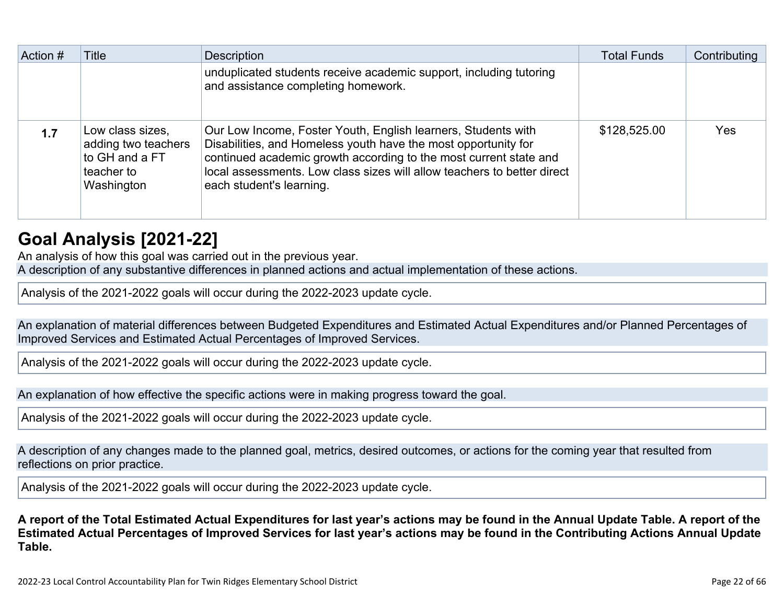| Action # | Title                                                                                 | <b>Description</b>                                                                                                                                                                                                                                                                                          | <b>Total Funds</b> | Contributing |
|----------|---------------------------------------------------------------------------------------|-------------------------------------------------------------------------------------------------------------------------------------------------------------------------------------------------------------------------------------------------------------------------------------------------------------|--------------------|--------------|
|          |                                                                                       | unduplicated students receive academic support, including tutoring<br>and assistance completing homework.                                                                                                                                                                                                   |                    |              |
| 1.7      | Low class sizes,<br>adding two teachers<br>to GH and a FT<br>teacher to<br>Washington | Our Low Income, Foster Youth, English learners, Students with<br>Disabilities, and Homeless youth have the most opportunity for<br>continued academic growth according to the most current state and<br>local assessments. Low class sizes will allow teachers to better direct<br>each student's learning. | \$128,525.00       | Yes          |

# **[Goal Analysis \[2021-22\]](http://www.doc-tracking.com/screenshots/22LCAP/Instructions/22LCAPInstructions.htm#GoalAnalysis)**

An analysis of how this goal was carried out in the previous year. A description of any substantive differences in planned actions and actual implementation of these actions.

Analysis of the 2021-2022 goals will occur during the 2022-2023 update cycle.

An explanation of material differences between Budgeted Expenditures and Estimated Actual Expenditures and/or Planned Percentages of Improved Services and Estimated Actual Percentages of Improved Services.

Analysis of the 2021-2022 goals will occur during the 2022-2023 update cycle.

An explanation of how effective the specific actions were in making progress toward the goal.

Analysis of the 2021-2022 goals will occur during the 2022-2023 update cycle.

A description of any changes made to the planned goal, metrics, desired outcomes, or actions for the coming year that resulted from reflections on prior practice.

Analysis of the 2021-2022 goals will occur during the 2022-2023 update cycle.

**A report of the Total Estimated Actual Expenditures for last year's actions may be found in the Annual Update Table. A report of the Estimated Actual Percentages of Improved Services for last year's actions may be found in the Contributing Actions Annual Update Table.**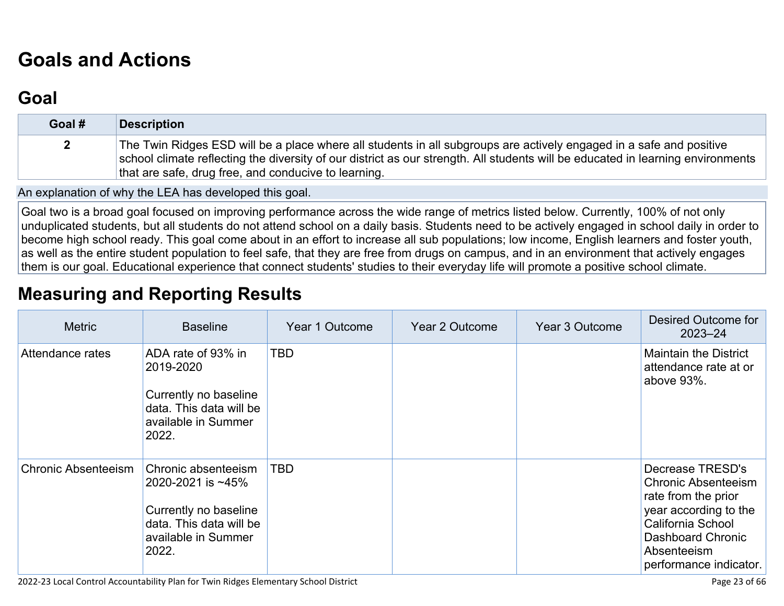# **[Goals and Actions](http://www.doc-tracking.com/screenshots/22LCAP/Instructions/22LCAPInstructions.htm#GoalsandActions)**

## **[Goal](http://www.doc-tracking.com/screenshots/22LCAP/Instructions/22LCAPInstructions.htm#goalDescription)**

| Goal #       | <b>Description</b>                                                                                                                                                                                                                                                                                             |
|--------------|----------------------------------------------------------------------------------------------------------------------------------------------------------------------------------------------------------------------------------------------------------------------------------------------------------------|
| $\mathbf{2}$ | The Twin Ridges ESD will be a place where all students in all subgroups are actively engaged in a safe and positive<br>school climate reflecting the diversity of our district as our strength. All students will be educated in learning environments<br>that are safe, drug free, and conducive to learning. |

An explanation of why the LEA has developed this goal.

Goal two is a broad goal focused on improving performance across the wide range of metrics listed below. Currently, 100% of not only unduplicated students, but all students do not attend school on a daily basis. Students need to be actively engaged in school daily in order to become high school ready. This goal come about in an effort to increase all sub populations; low income, English learners and foster youth, as well as the entire student population to feel safe, that they are free from drugs on campus, and in an environment that actively engages them is our goal. Educational experience that connect students' studies to their everyday life will promote a positive school climate.

# **[Measuring and Reporting Results](http://www.doc-tracking.com/screenshots/22LCAP/Instructions/22LCAPInstructions.htm#MeasuringandReportingResults)**

| <b>Metric</b>              | <b>Baseline</b>                                                                                                              | Year 1 Outcome | Year 2 Outcome | Year 3 Outcome | Desired Outcome for<br>$2023 - 24$                                                                                                                                                |
|----------------------------|------------------------------------------------------------------------------------------------------------------------------|----------------|----------------|----------------|-----------------------------------------------------------------------------------------------------------------------------------------------------------------------------------|
| Attendance rates           | ADA rate of 93% in<br>2019-2020<br>Currently no baseline<br>data. This data will be<br>available in Summer<br>2022.          | <b>TBD</b>     |                |                | <b>Maintain the District</b><br>attendance rate at or<br>above $93\%$ .                                                                                                           |
| <b>Chronic Absenteeism</b> | Chronic absenteeism<br>2020-2021 is ~45%<br>Currently no baseline<br>data. This data will be<br>available in Summer<br>2022. | <b>TBD</b>     |                |                | Decrease TRESD's<br><b>Chronic Absenteeism</b><br>rate from the prior<br>year according to the<br>California School<br>Dashboard Chronic<br>Absenteeism<br>performance indicator. |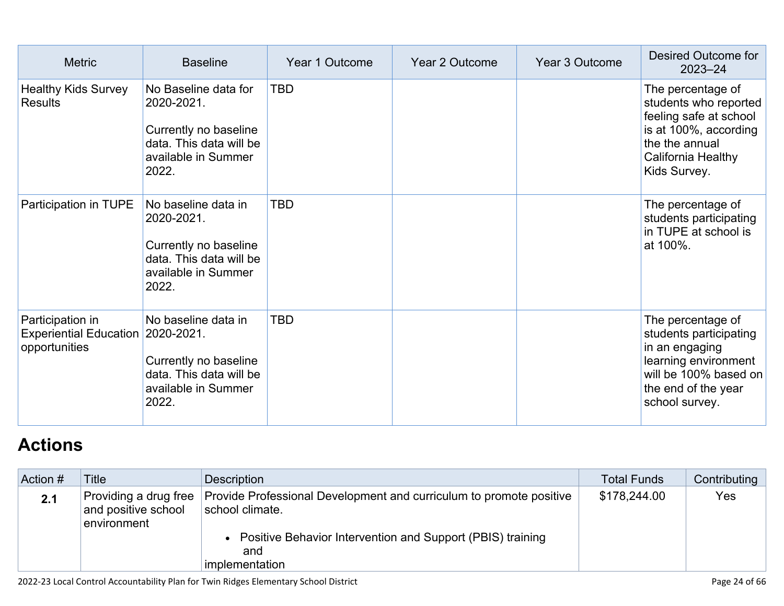| <b>Metric</b>                                                      | <b>Baseline</b>                                                                                                        | Year 1 Outcome | Year 2 Outcome | Year 3 Outcome | Desired Outcome for<br>$2023 - 24$                                                                                                                      |
|--------------------------------------------------------------------|------------------------------------------------------------------------------------------------------------------------|----------------|----------------|----------------|---------------------------------------------------------------------------------------------------------------------------------------------------------|
| <b>Healthy Kids Survey</b><br>Results                              | No Baseline data for<br>2020-2021.<br>Currently no baseline<br>data. This data will be<br>available in Summer<br>2022. | <b>TBD</b>     |                |                | The percentage of<br>students who reported<br>feeling safe at school<br>is at 100%, according<br>the the annual<br>California Healthy<br>Kids Survey.   |
| Participation in TUPE                                              | No baseline data in<br>2020-2021.<br>Currently no baseline<br>data. This data will be<br>available in Summer<br>2022.  | TBD            |                |                | The percentage of<br>students participating<br>in TUPE at school is<br>at 100%.                                                                         |
| Participation in<br><b>Experiential Education</b><br>opportunities | No baseline data in<br>2020-2021.<br>Currently no baseline<br>data. This data will be<br>available in Summer<br>2022.  | <b>TBD</b>     |                |                | The percentage of<br>students participating<br>in an engaging<br>learning environment<br>will be 100% based on<br>the end of the year<br>school survey. |

# **[Actions](http://www.doc-tracking.com/screenshots/22LCAP/Instructions/22LCAPInstructions.htm#actions)**

| Action # | <b>Title</b>                                                | Description                                                                                                                                                                     | <b>Total Funds</b> | Contributing |
|----------|-------------------------------------------------------------|---------------------------------------------------------------------------------------------------------------------------------------------------------------------------------|--------------------|--------------|
| 2.1      | Providing a drug free<br>and positive school<br>environment | Provide Professional Development and curriculum to promote positive<br>school climate.<br>• Positive Behavior Intervention and Support (PBIS) training<br>and<br>implementation | \$178,244.00       | Yes          |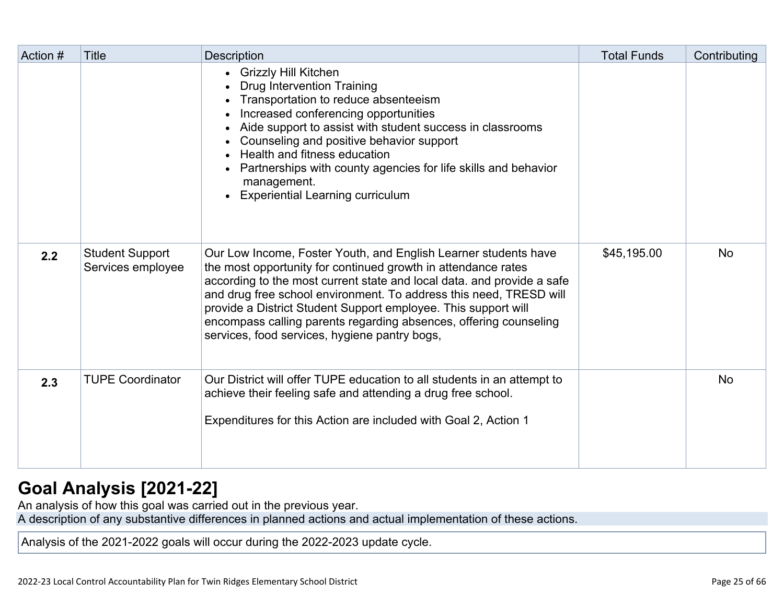| Action # | <b>Title</b>                                | <b>Description</b>                                                                                                                                                                                                                                                                                                                                                                                                                                                       | <b>Total Funds</b> | Contributing |
|----------|---------------------------------------------|--------------------------------------------------------------------------------------------------------------------------------------------------------------------------------------------------------------------------------------------------------------------------------------------------------------------------------------------------------------------------------------------------------------------------------------------------------------------------|--------------------|--------------|
|          |                                             | • Grizzly Hill Kitchen<br><b>Drug Intervention Training</b><br>Transportation to reduce absenteeism<br>Increased conferencing opportunities<br>Aide support to assist with student success in classrooms<br>Counseling and positive behavior support<br>Health and fitness education<br>• Partnerships with county agencies for life skills and behavior<br>management.<br>• Experiential Learning curriculum                                                            |                    |              |
| 2.2      | <b>Student Support</b><br>Services employee | Our Low Income, Foster Youth, and English Learner students have<br>the most opportunity for continued growth in attendance rates<br>according to the most current state and local data. and provide a safe<br>and drug free school environment. To address this need, TRESD will<br>provide a District Student Support employee. This support will<br>encompass calling parents regarding absences, offering counseling<br>services, food services, hygiene pantry bogs, | \$45,195.00        | <b>No</b>    |
| 2.3      | <b>TUPE Coordinator</b>                     | Our District will offer TUPE education to all students in an attempt to<br>achieve their feeling safe and attending a drug free school.<br>Expenditures for this Action are included with Goal 2, Action 1                                                                                                                                                                                                                                                               |                    | <b>No</b>    |

## **[Goal Analysis \[2021-22\]](http://www.doc-tracking.com/screenshots/22LCAP/Instructions/22LCAPInstructions.htm#GoalAnalysis)**

An analysis of how this goal was carried out in the previous year.

A description of any substantive differences in planned actions and actual implementation of these actions.

Analysis of the 2021-2022 goals will occur during the 2022-2023 update cycle.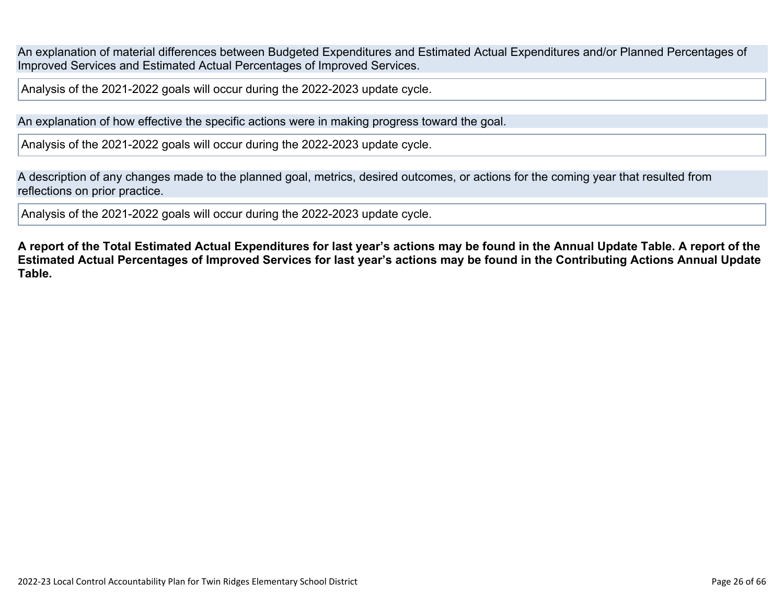An explanation of material differences between Budgeted Expenditures and Estimated Actual Expenditures and/or Planned Percentages of Improved Services and Estimated Actual Percentages of Improved Services.

Analysis of the 2021-2022 goals will occur during the 2022-2023 update cycle.

An explanation of how effective the specific actions were in making progress toward the goal.

Analysis of the 2021-2022 goals will occur during the 2022-2023 update cycle.

A description of any changes made to the planned goal, metrics, desired outcomes, or actions for the coming year that resulted from reflections on prior practice.

Analysis of the 2021-2022 goals will occur during the 2022-2023 update cycle.

**A report of the Total Estimated Actual Expenditures for last year's actions may be found in the Annual Update Table. A report of the Estimated Actual Percentages of Improved Services for last year's actions may be found in the Contributing Actions Annual Update Table.**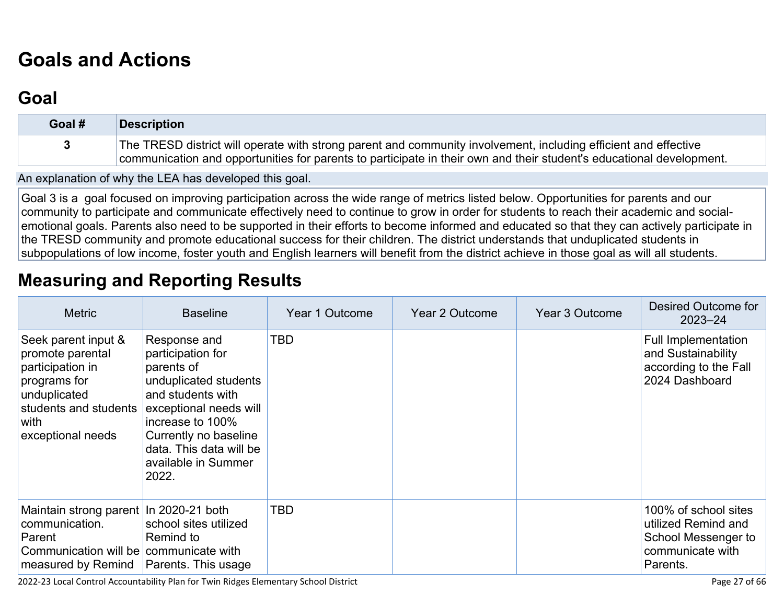# **[Goals and Actions](http://www.doc-tracking.com/screenshots/22LCAP/Instructions/22LCAPInstructions.htm#GoalsandActions)**

## **[Goal](http://www.doc-tracking.com/screenshots/22LCAP/Instructions/22LCAPInstructions.htm#goalDescription)**

| Goal # | <b>Description</b>                                                                                                                                                                                                                      |
|--------|-----------------------------------------------------------------------------------------------------------------------------------------------------------------------------------------------------------------------------------------|
|        | The TRESD district will operate with strong parent and community involvement, including efficient and effective<br>communication and opportunities for parents to participate in their own and their student's educational development. |

An explanation of why the LEA has developed this goal.

Goal 3 is a goal focused on improving participation across the wide range of metrics listed below. Opportunities for parents and our community to participate and communicate effectively need to continue to grow in order for students to reach their academic and socialemotional goals. Parents also need to be supported in their efforts to become informed and educated so that they can actively participate in the TRESD community and promote educational success for their children. The district understands that unduplicated students in subpopulations of low income, foster youth and English learners will benefit from the district achieve in those goal as will all students.

## **[Measuring and Reporting Results](http://www.doc-tracking.com/screenshots/22LCAP/Instructions/22LCAPInstructions.htm#MeasuringandReportingResults)**

| <b>Metric</b>                                                                                                                                            | <b>Baseline</b>                                                                                                                                                                                                                 | Year 1 Outcome | Year 2 Outcome | Year 3 Outcome | Desired Outcome for<br>$2023 - 24$                                                                 |
|----------------------------------------------------------------------------------------------------------------------------------------------------------|---------------------------------------------------------------------------------------------------------------------------------------------------------------------------------------------------------------------------------|----------------|----------------|----------------|----------------------------------------------------------------------------------------------------|
| Seek parent input &<br>promote parental<br>participation in<br>programs for<br>unduplicated<br>students and students<br>with<br>exceptional needs        | Response and<br>participation for<br>parents of<br>unduplicated students<br>and students with<br>exceptional needs will<br>increase to 100%<br>Currently no baseline<br>data. This data will be<br>available in Summer<br>2022. | TBD            |                |                | <b>Full Implementation</b><br>and Sustainability<br>according to the Fall<br>2024 Dashboard        |
| Maintain strong parent In 2020-21 both<br>communication.<br>Parent<br>Communication will be communicate with<br>measured by Remind   Parents. This usage | school sites utilized<br>Remind to                                                                                                                                                                                              | TBD            |                |                | 100% of school sites<br>utilized Remind and<br>School Messenger to<br>communicate with<br>Parents. |

2022-23 Local Control Accountability Plan for Twin Ridges Elementary School District **Page 27** of 66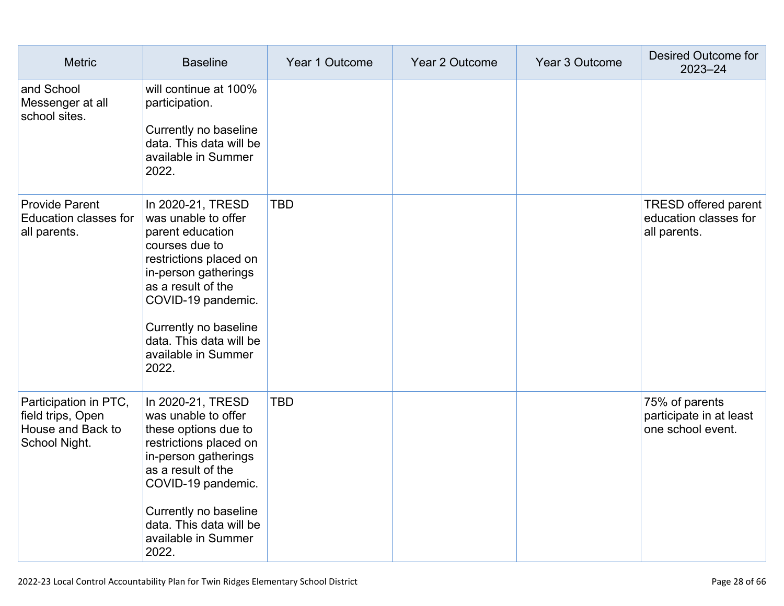| <b>Metric</b>                                                                    | <b>Baseline</b>                                                                                                                                                                                                                                                  | Year 1 Outcome | Year 2 Outcome | Year 3 Outcome | Desired Outcome for<br>$2023 - 24$                                   |
|----------------------------------------------------------------------------------|------------------------------------------------------------------------------------------------------------------------------------------------------------------------------------------------------------------------------------------------------------------|----------------|----------------|----------------|----------------------------------------------------------------------|
| and School<br>Messenger at all<br>school sites.                                  | will continue at 100%<br>participation.<br>Currently no baseline<br>data. This data will be<br>available in Summer<br>2022.                                                                                                                                      |                |                |                |                                                                      |
| <b>Provide Parent</b><br><b>Education classes for</b><br>all parents.            | In 2020-21, TRESD<br>was unable to offer<br>parent education<br>courses due to<br>restrictions placed on<br>in-person gatherings<br>as a result of the<br>COVID-19 pandemic.<br>Currently no baseline<br>data. This data will be<br>available in Summer<br>2022. | <b>TBD</b>     |                |                | <b>TRESD offered parent</b><br>education classes for<br>all parents. |
| Participation in PTC,<br>field trips, Open<br>House and Back to<br>School Night. | In 2020-21, TRESD<br>was unable to offer<br>these options due to<br>restrictions placed on<br>in-person gatherings<br>as a result of the<br>COVID-19 pandemic.<br>Currently no baseline<br>data. This data will be<br>available in Summer<br>2022.               | <b>TBD</b>     |                |                | 75% of parents<br>participate in at least<br>one school event.       |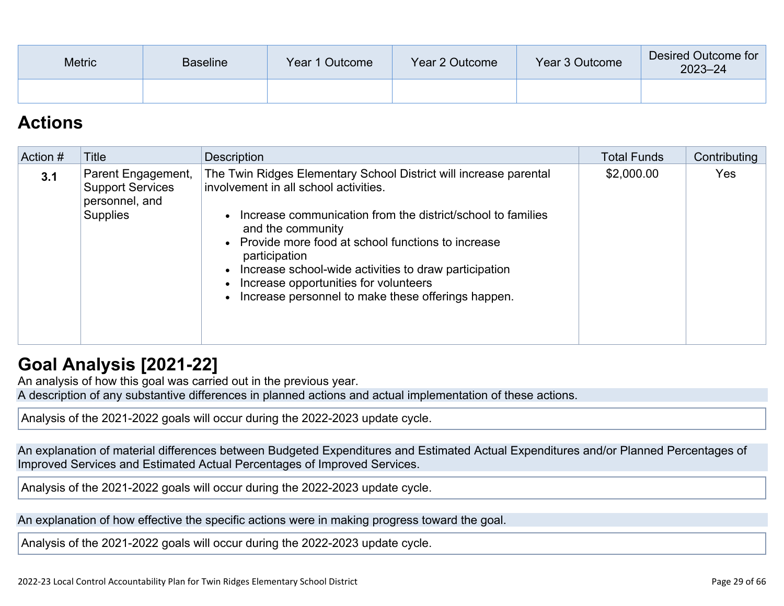| <b>Metric</b> | <b>Baseline</b> | Year 1 Outcome | Year 2 Outcome | Year 3 Outcome | Desired Outcome for<br>$2023 - 24$ |
|---------------|-----------------|----------------|----------------|----------------|------------------------------------|
|               |                 |                |                |                |                                    |

## **[Actions](http://www.doc-tracking.com/screenshots/22LCAP/Instructions/22LCAPInstructions.htm#actions)**

| Action # | Title                                                                              | <b>Description</b>                                                                                                                                                                                                                                                                                                                                                                                                                   | <b>Total Funds</b> | Contributing |
|----------|------------------------------------------------------------------------------------|--------------------------------------------------------------------------------------------------------------------------------------------------------------------------------------------------------------------------------------------------------------------------------------------------------------------------------------------------------------------------------------------------------------------------------------|--------------------|--------------|
| 3.1      | Parent Engagement,<br><b>Support Services</b><br>personnel, and<br><b>Supplies</b> | The Twin Ridges Elementary School District will increase parental<br>involvement in all school activities.<br>• Increase communication from the district/school to families<br>and the community<br>• Provide more food at school functions to increase<br>participation<br>• Increase school-wide activities to draw participation<br>Increase opportunities for volunteers<br>• Increase personnel to make these offerings happen. | \$2,000.00         | <b>Yes</b>   |

## **[Goal Analysis \[2021-22\]](http://www.doc-tracking.com/screenshots/22LCAP/Instructions/22LCAPInstructions.htm#GoalAnalysis)**

An analysis of how this goal was carried out in the previous year.

A description of any substantive differences in planned actions and actual implementation of these actions.

Analysis of the 2021-2022 goals will occur during the 2022-2023 update cycle.

An explanation of material differences between Budgeted Expenditures and Estimated Actual Expenditures and/or Planned Percentages of Improved Services and Estimated Actual Percentages of Improved Services.

Analysis of the 2021-2022 goals will occur during the 2022-2023 update cycle.

An explanation of how effective the specific actions were in making progress toward the goal.

Analysis of the 2021-2022 goals will occur during the 2022-2023 update cycle.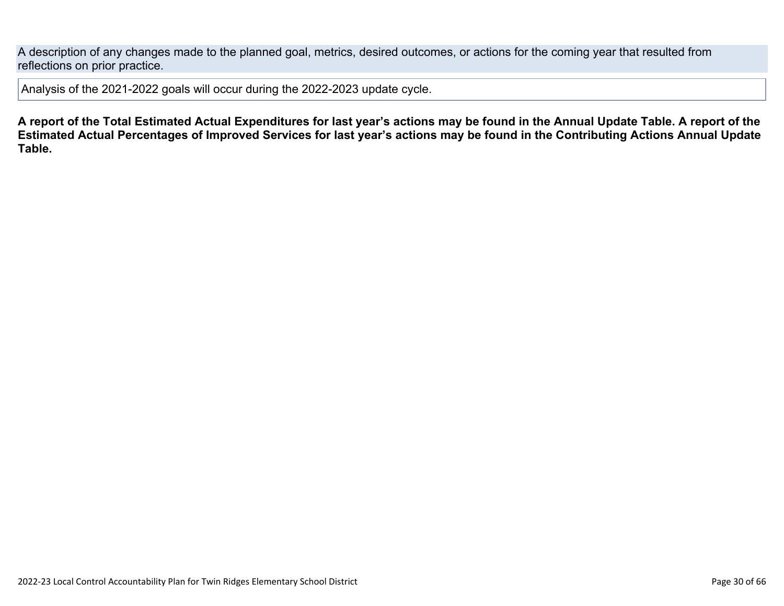A description of any changes made to the planned goal, metrics, desired outcomes, or actions for the coming year that resulted from reflections on prior practice.

Analysis of the 2021-2022 goals will occur during the 2022-2023 update cycle.

**A report of the Total Estimated Actual Expenditures for last year's actions may be found in the Annual Update Table. A report of the Estimated Actual Percentages of Improved Services for last year's actions may be found in the Contributing Actions Annual Update Table.**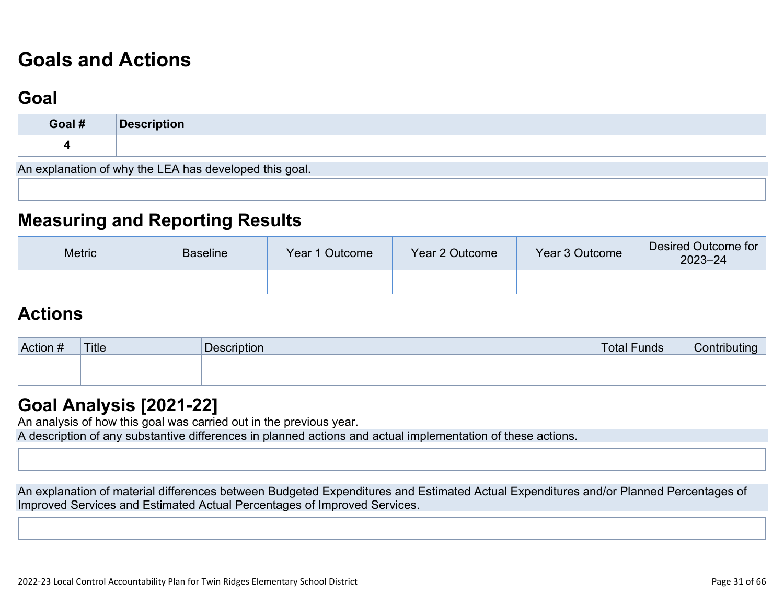# **[Goals and Actions](http://www.doc-tracking.com/screenshots/22LCAP/Instructions/22LCAPInstructions.htm#GoalsandActions)**

## **[Goal](http://www.doc-tracking.com/screenshots/22LCAP/Instructions/22LCAPInstructions.htm#goalDescription)**

| Goal #                                                 | <b>Description</b> |  |  |  |  |
|--------------------------------------------------------|--------------------|--|--|--|--|
|                                                        |                    |  |  |  |  |
| An explanation of why the LEA has developed this goal. |                    |  |  |  |  |

### **[Measuring and Reporting Results](http://www.doc-tracking.com/screenshots/22LCAP/Instructions/22LCAPInstructions.htm#MeasuringandReportingResults)**

| <b>Metric</b> | <b>Baseline</b> | Year 1 Outcome | Year 2 Outcome | Year 3 Outcome | Desired Outcome for<br>$2023 - 24$ |
|---------------|-----------------|----------------|----------------|----------------|------------------------------------|
|               |                 |                |                |                |                                    |

### **[Actions](http://www.doc-tracking.com/screenshots/22LCAP/Instructions/22LCAPInstructions.htm#actions)**

| Action # | Title | Description | <b>Total Funds</b> | utına<br><b>CONTINU</b> |
|----------|-------|-------------|--------------------|-------------------------|
|          |       |             |                    |                         |
|          |       |             |                    |                         |

### **[Goal Analysis \[2021-22\]](http://www.doc-tracking.com/screenshots/22LCAP/Instructions/22LCAPInstructions.htm#GoalAnalysis)**

An analysis of how this goal was carried out in the previous year.

A description of any substantive differences in planned actions and actual implementation of these actions.

An explanation of material differences between Budgeted Expenditures and Estimated Actual Expenditures and/or Planned Percentages of Improved Services and Estimated Actual Percentages of Improved Services.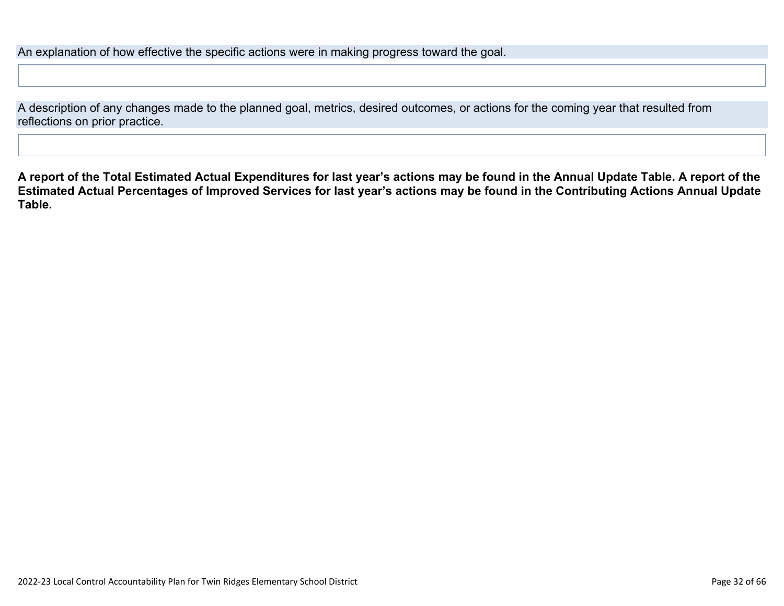An explanation of how effective the specific actions were in making progress toward the goal.

A description of any changes made to the planned goal, metrics, desired outcomes, or actions for the coming year that resulted from reflections on prior practice.

**A report of the Total Estimated Actual Expenditures for last year's actions may be found in the Annual Update Table. A report of the Estimated Actual Percentages of Improved Services for last year's actions may be found in the Contributing Actions Annual Update Table.**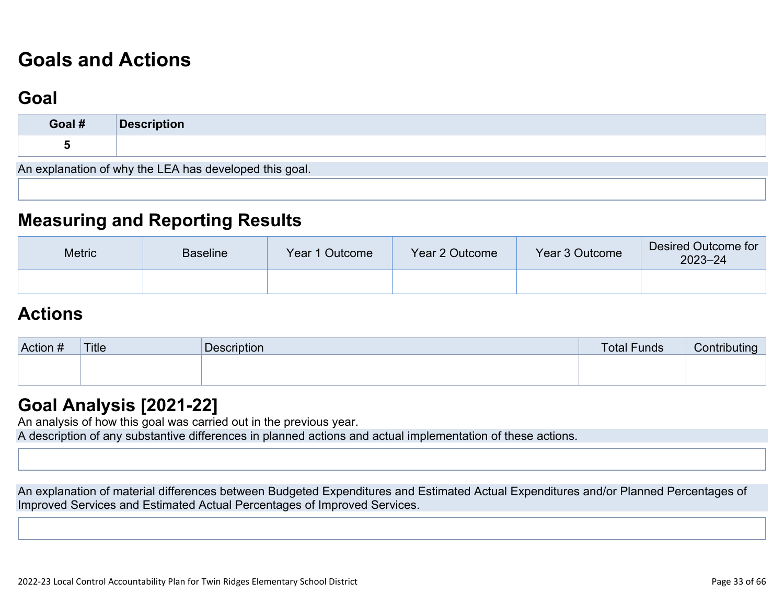# **[Goals and Actions](http://www.doc-tracking.com/screenshots/22LCAP/Instructions/22LCAPInstructions.htm#GoalsandActions)**

## **[Goal](http://www.doc-tracking.com/screenshots/22LCAP/Instructions/22LCAPInstructions.htm#goalDescription)**

| Goal # | Description                                            |
|--------|--------------------------------------------------------|
|        |                                                        |
|        | An explanation of why the LEA has developed this goal. |

### **[Measuring and Reporting Results](http://www.doc-tracking.com/screenshots/22LCAP/Instructions/22LCAPInstructions.htm#MeasuringandReportingResults)**

| <b>Metric</b> | <b>Baseline</b> | Year 1 Outcome | Year 2 Outcome | Year 3 Outcome | Desired Outcome for<br>$2023 - 24$ |
|---------------|-----------------|----------------|----------------|----------------|------------------------------------|
|               |                 |                |                |                |                                    |

### **[Actions](http://www.doc-tracking.com/screenshots/22LCAP/Instructions/22LCAPInstructions.htm#actions)**

| Action # | Title | <b>Description</b> | <b>Total Funds</b> | Contributina |
|----------|-------|--------------------|--------------------|--------------|
|          |       |                    |                    |              |
|          |       |                    |                    |              |

### **[Goal Analysis \[2021-22\]](http://www.doc-tracking.com/screenshots/22LCAP/Instructions/22LCAPInstructions.htm#GoalAnalysis)**

An analysis of how this goal was carried out in the previous year.

A description of any substantive differences in planned actions and actual implementation of these actions.

An explanation of material differences between Budgeted Expenditures and Estimated Actual Expenditures and/or Planned Percentages of Improved Services and Estimated Actual Percentages of Improved Services.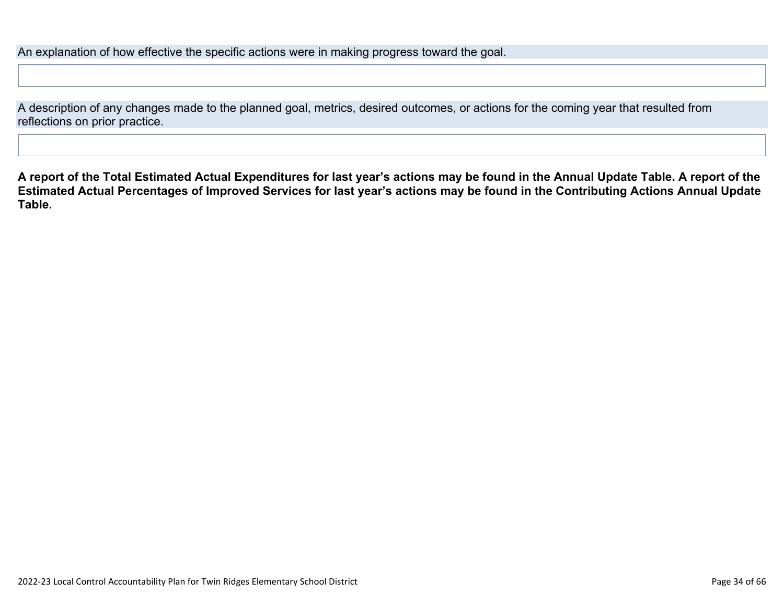An explanation of how effective the specific actions were in making progress toward the goal.

A description of any changes made to the planned goal, metrics, desired outcomes, or actions for the coming year that resulted from reflections on prior practice.

**A report of the Total Estimated Actual Expenditures for last year's actions may be found in the Annual Update Table. A report of the Estimated Actual Percentages of Improved Services for last year's actions may be found in the Contributing Actions Annual Update Table.**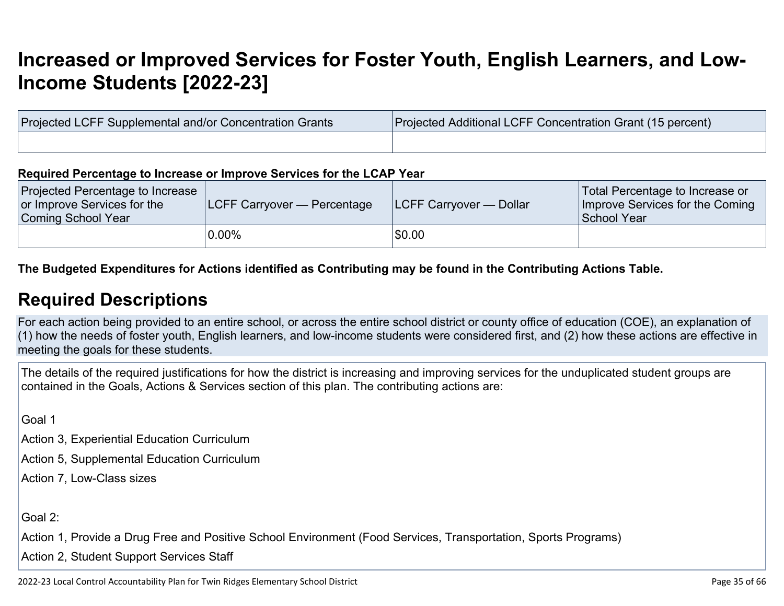# **[Increased or Improved Services for Foster Youth, English Learners, and Low-](http://www.doc-tracking.com/screenshots/22LCAP/Instructions/22LCAPInstructions.htm#IncreasedImprovedServices)[Income Students \[2022-23\]](http://www.doc-tracking.com/screenshots/22LCAP/Instructions/22LCAPInstructions.htm#IncreasedImprovedServices)**

| Projected LCFF Supplemental and/or Concentration Grants | Projected Additional LCFF Concentration Grant (15 percent) |
|---------------------------------------------------------|------------------------------------------------------------|
|                                                         |                                                            |

#### **Required Percentage to Increase or Improve Services for the LCAP Year**

| <b>Projected Percentage to Increase</b><br>or Improve Services for the<br>Coming School Year | <b>LCFF Carryover — Percentage</b> | <b>ILCFF Carryover — Dollar</b> | Total Percentage to Increase or<br>Improve Services for the Coming<br>School Year |
|----------------------------------------------------------------------------------------------|------------------------------------|---------------------------------|-----------------------------------------------------------------------------------|
|                                                                                              | $0.00\%$                           | \$0.00                          |                                                                                   |

### **The Budgeted Expenditures for Actions identified as Contributing may be found in the Contributing Actions Table.**

### **[Required Descriptions](http://www.doc-tracking.com/screenshots/22LCAP/Instructions/22LCAPInstructions.htm#RequiredDescriptions)**

For each action being provided to an entire school, or across the entire school district or county office of education (COE), an explanation of (1) how the needs of foster youth, English learners, and low-income students were considered first, and (2) how these actions are effective in meeting the goals for these students.

The details of the required justifications for how the district is increasing and improving services for the unduplicated student groups are contained in the Goals, Actions & Services section of this plan. The contributing actions are:

Goal 1

Action 3, Experiential Education Curriculum

Action 5, Supplemental Education Curriculum

Action 7, Low-Class sizes

Goal 2:

Action 1, Provide a Drug Free and Positive School Environment (Food Services, Transportation, Sports Programs)

Action 2, Student Support Services Staff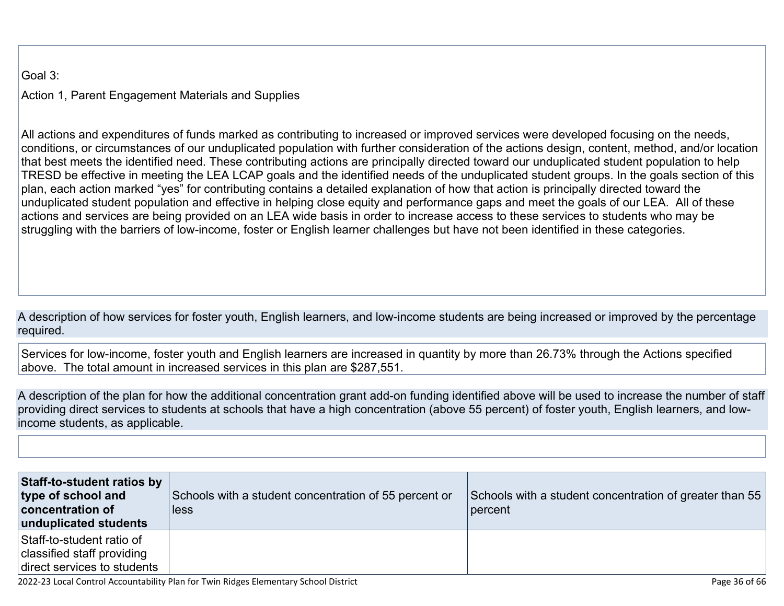Goal 3:

Action 1, Parent Engagement Materials and Supplies

All actions and expenditures of funds marked as contributing to increased or improved services were developed focusing on the needs, conditions, or circumstances of our unduplicated population with further consideration of the actions design, content, method, and/or location that best meets the identified need. These contributing actions are principally directed toward our unduplicated student population to help TRESD be effective in meeting the LEA LCAP goals and the identified needs of the unduplicated student groups. In the goals section of this plan, each action marked "yes" for contributing contains a detailed explanation of how that action is principally directed toward the unduplicated student population and effective in helping close equity and performance gaps and meet the goals of our LEA. All of these actions and services are being provided on an LEA wide basis in order to increase access to these services to students who may be struggling with the barriers of low-income, foster or English learner challenges but have not been identified in these categories.

A description of how services for foster youth, English learners, and low-income students are being increased or improved by the percentage required.

Services for low-income, foster youth and English learners are increased in quantity by more than 26.73% through the Actions specified above. The total amount in increased services in this plan are \$287,551.

A description of the plan for how the additional concentration grant add-on funding identified above will be used to increase the number of staff providing direct services to students at schools that have a high concentration (above 55 percent) of foster youth, English learners, and lowincome students, as applicable.

| Staff-to-student ratios by<br>type of school and<br>concentration of<br>unduplicated students | Schools with a student concentration of 55 percent or<br>less | Schools with a student concentration of greater than 55<br>  percent |
|-----------------------------------------------------------------------------------------------|---------------------------------------------------------------|----------------------------------------------------------------------|
| Staff-to-student ratio of<br>classified staff providing<br>direct services to students        |                                                               |                                                                      |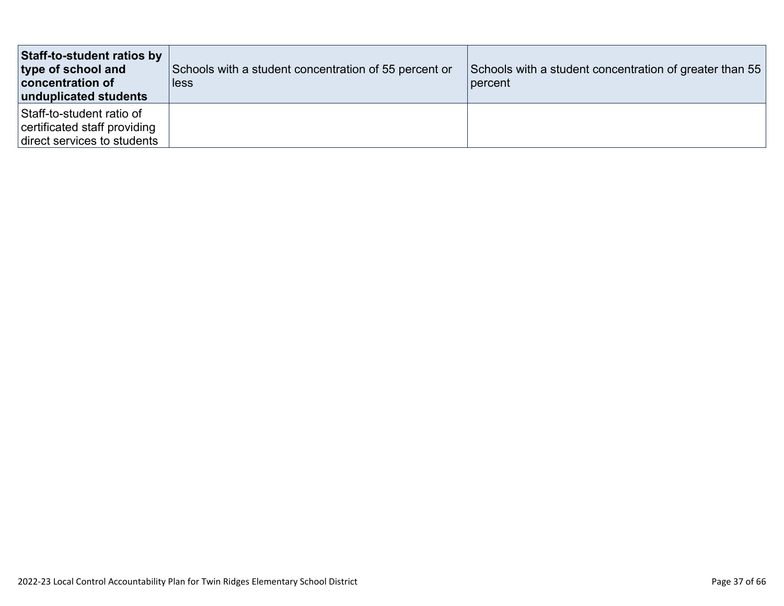| Staff-to-student ratios by<br>type of school and<br>concentration of<br>unduplicated students | Schools with a student concentration of 55 percent or<br>less | Schools with a student concentration of greater than 55<br>percent |
|-----------------------------------------------------------------------------------------------|---------------------------------------------------------------|--------------------------------------------------------------------|
| Staff-to-student ratio of<br>certificated staff providing<br>direct services to students      |                                                               |                                                                    |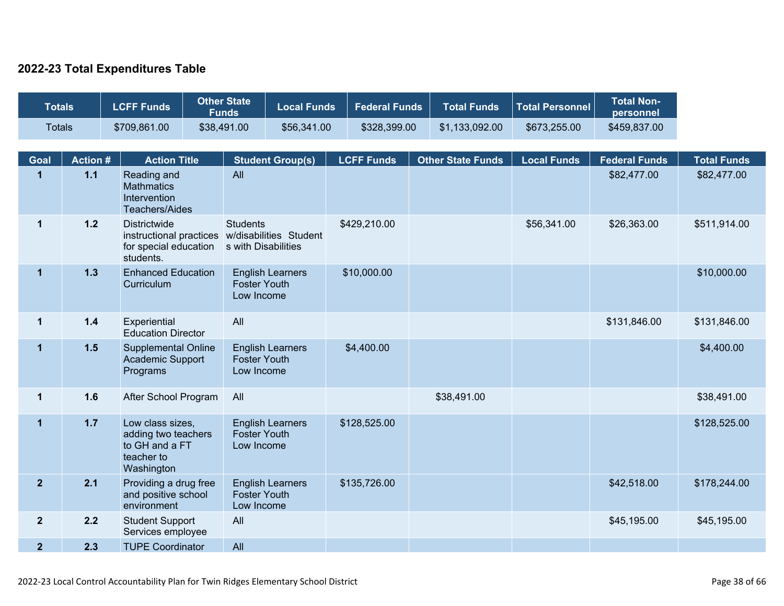### **2022-23 Total Expenditures Table**

| <b>Totals</b>        |                         | <b>LCFF Funds</b>                                                                                | <b>Other State</b><br><b>Funds</b>     | <b>Local Funds</b>      |                   | <b>Federal Funds</b> | <b>Total Funds</b>       | <b>Total Personnel</b> | <b>Total Non-</b><br>personnel      |                                   |
|----------------------|-------------------------|--------------------------------------------------------------------------------------------------|----------------------------------------|-------------------------|-------------------|----------------------|--------------------------|------------------------|-------------------------------------|-----------------------------------|
| <b>Totals</b>        |                         | \$709,861.00                                                                                     | \$38,491.00                            | \$56,341.00             |                   | \$328,399.00         | \$1,133,092.00           | \$673,255.00           | \$459,837.00                        |                                   |
|                      |                         |                                                                                                  |                                        |                         |                   |                      |                          |                        |                                     |                                   |
| Goal<br>$\mathbf{1}$ | <b>Action#</b><br>$1.1$ | <b>Action Title</b><br>Reading and<br><b>Mathmatics</b><br>Intervention<br><b>Teachers/Aides</b> | All                                    | <b>Student Group(s)</b> | <b>LCFF Funds</b> |                      | <b>Other State Funds</b> | <b>Local Funds</b>     | <b>Federal Funds</b><br>\$82,477.00 | <b>Total Funds</b><br>\$82,477.00 |
| $\mathbf{1}$         | $1.2$                   | <b>Districtwide</b><br>instructional practices<br>for special education<br>students.             | <b>Students</b><br>s with Disabilities | w/disabilities Student  | \$429,210.00      |                      |                          | \$56,341.00            | \$26,363.00                         | \$511,914.00                      |
| $\mathbf{1}$         | $1.3$                   | <b>Enhanced Education</b><br>Curriculum                                                          | <b>Foster Youth</b><br>Low Income      | <b>English Learners</b> | \$10,000.00       |                      |                          |                        |                                     | \$10,000.00                       |
| $\mathbf{1}$         | $1.4$                   | Experiential<br><b>Education Director</b>                                                        | All                                    |                         |                   |                      |                          |                        | \$131,846.00                        | \$131,846.00                      |
| $\mathbf{1}$         | 1.5                     | <b>Supplemental Online</b><br><b>Academic Support</b><br>Programs                                | <b>Foster Youth</b><br>Low Income      | <b>English Learners</b> | \$4,400.00        |                      |                          |                        |                                     | \$4,400.00                        |
| $\mathbf{1}$         | 1.6                     | After School Program                                                                             | All                                    |                         |                   |                      | \$38,491.00              |                        |                                     | \$38,491.00                       |
| $\mathbf{1}$         | $1.7$                   | Low class sizes,<br>adding two teachers<br>to GH and a FT<br>teacher to<br>Washington            | <b>Foster Youth</b><br>Low Income      | <b>English Learners</b> | \$128,525.00      |                      |                          |                        |                                     | \$128,525.00                      |
| $\mathbf{2}$         | 2.1                     | Providing a drug free<br>and positive school<br>environment                                      | <b>Foster Youth</b><br>Low Income      | <b>English Learners</b> | \$135,726.00      |                      |                          |                        | \$42,518.00                         | \$178,244.00                      |
| $\mathbf{2}$         | 2.2                     | <b>Student Support</b><br>Services employee                                                      | All                                    |                         |                   |                      |                          |                        | \$45,195.00                         | \$45,195.00                       |
| $\overline{2}$       | 2.3                     | <b>TUPE Coordinator</b>                                                                          | All                                    |                         |                   |                      |                          |                        |                                     |                                   |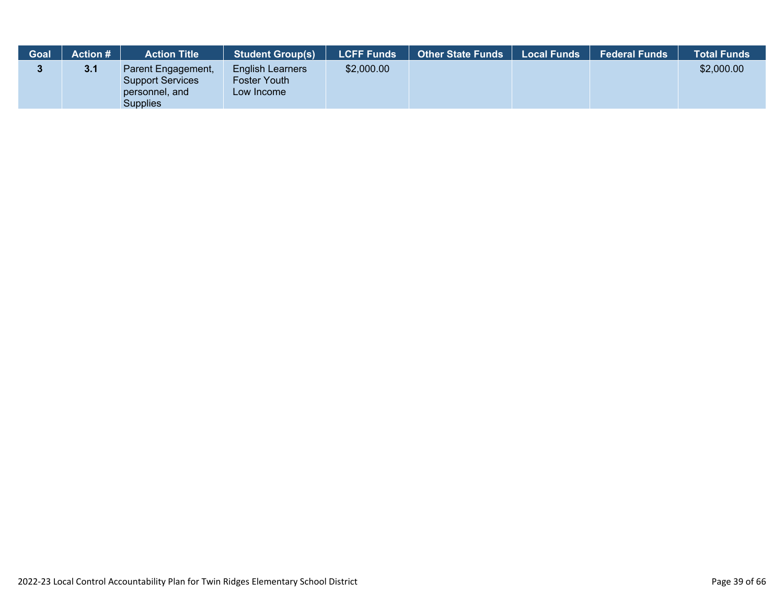| Goal | <b>Action #</b> | <b>Action Title</b>                                                         | <b>Student Group(s)</b>                               | <b>LCFF Funds</b> | <b>Other State Funds</b> | Local Funds | <b>Federal Funds</b> | <b>Total Funds</b> |
|------|-----------------|-----------------------------------------------------------------------------|-------------------------------------------------------|-------------------|--------------------------|-------------|----------------------|--------------------|
|      | 3.1             | Parent Engagement,<br><b>Support Services</b><br>personnel, and<br>Supplies | <b>English Learners</b><br>Foster Youth<br>Low Income | \$2,000.00        |                          |             |                      | \$2,000.00         |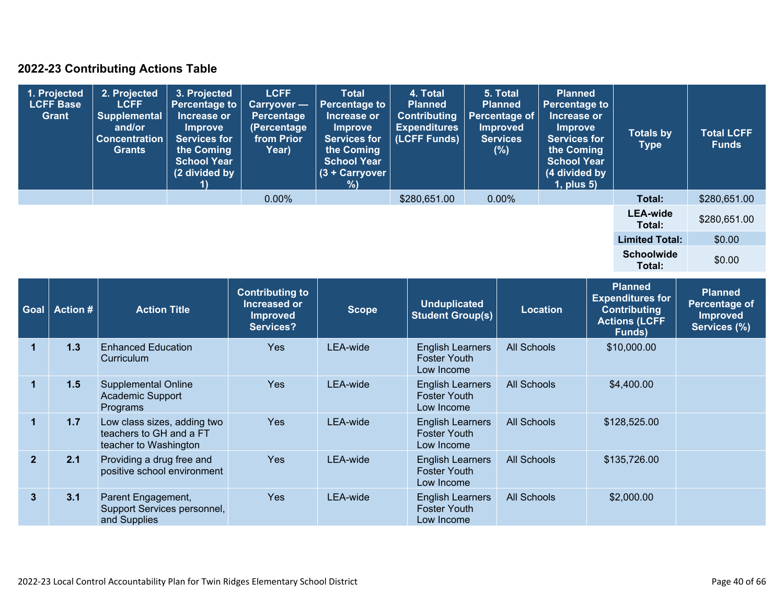### **2022-23 Contributing Actions Table**

| 1. Projected<br><b>LCFF Base</b><br>Grant | 2. Projected<br><b>LCFF</b><br><b>Supplemental</b><br>and/or<br><b>Concentration</b><br>Grants | 3. Projected<br>Percentage to<br>Increase or<br><b>Improve</b><br><b>Services for</b><br>the Coming<br><b>School Year</b><br>(2 divided by | <b>LCFF</b><br><b>Carryover</b> —<br>Percentage<br>(Percentage<br>from Prior<br>Year) | <b>Total</b><br><b>Percentage to</b><br>Increase or<br><b>Improve</b><br><b>Services for</b><br>the Coming<br><b>School Year</b><br>(3 + Carryover<br>%) | 4. Total<br><b>Planned</b><br><b>Contributing</b><br><b>Expenditures</b><br>(LCFF Funds) | 5. Total<br><b>Planned</b><br>Percentage of<br><b>Improved</b><br><b>Services</b><br>(%) | <b>Planned</b><br><b>Percentage to</b><br>Increase or<br><b>Improve</b><br><b>Services for</b><br>the Coming<br><b>School Year</b><br>(4 divided by<br>$1$ , plus $5$ ) | <b>Totals by</b><br><b>Type</b> | <b>Total LCFF</b><br><b>Funds</b> |
|-------------------------------------------|------------------------------------------------------------------------------------------------|--------------------------------------------------------------------------------------------------------------------------------------------|---------------------------------------------------------------------------------------|----------------------------------------------------------------------------------------------------------------------------------------------------------|------------------------------------------------------------------------------------------|------------------------------------------------------------------------------------------|-------------------------------------------------------------------------------------------------------------------------------------------------------------------------|---------------------------------|-----------------------------------|
|                                           |                                                                                                |                                                                                                                                            | 0.00%                                                                                 |                                                                                                                                                          | \$280,651.00                                                                             | $0.00\%$                                                                                 |                                                                                                                                                                         | Total:                          | \$280,651.00                      |
|                                           |                                                                                                |                                                                                                                                            |                                                                                       |                                                                                                                                                          |                                                                                          |                                                                                          |                                                                                                                                                                         | <b>LEA-wide</b><br>Total:       | \$280,651.00                      |
|                                           |                                                                                                |                                                                                                                                            |                                                                                       |                                                                                                                                                          |                                                                                          |                                                                                          |                                                                                                                                                                         | <b>Limited Total:</b>           | \$0.00                            |
|                                           |                                                                                                |                                                                                                                                            |                                                                                       |                                                                                                                                                          |                                                                                          |                                                                                          |                                                                                                                                                                         | <b>Schoolwide</b><br>Total:     | \$0.00                            |

| <b>Goal</b>    | <b>Action #</b> | <b>Action Title</b>                                                             | <b>Contributing to</b><br>Increased or<br><b>Improved</b><br>Services? | <b>Scope</b> | <b>Unduplicated</b><br><b>Student Group(s)</b>               | <b>Location</b>    | <b>Planned</b><br><b>Expenditures for</b><br><b>Contributing</b><br><b>Actions (LCFF</b><br>Funds) | <b>Planned</b><br>Percentage of<br><b>Improved</b><br>Services (%) |
|----------------|-----------------|---------------------------------------------------------------------------------|------------------------------------------------------------------------|--------------|--------------------------------------------------------------|--------------------|----------------------------------------------------------------------------------------------------|--------------------------------------------------------------------|
|                | 1.3             | <b>Enhanced Education</b><br>Curriculum                                         | <b>Yes</b>                                                             | LEA-wide     | <b>English Learners</b><br><b>Foster Youth</b><br>Low Income | <b>All Schools</b> | \$10,000.00                                                                                        |                                                                    |
|                | 1.5             | <b>Supplemental Online</b><br><b>Academic Support</b><br>Programs               | <b>Yes</b>                                                             | LEA-wide     | <b>English Learners</b><br><b>Foster Youth</b><br>Low Income | All Schools        | \$4,400.00                                                                                         |                                                                    |
|                | 1.7             | Low class sizes, adding two<br>teachers to GH and a FT<br>teacher to Washington | <b>Yes</b>                                                             | LEA-wide     | <b>English Learners</b><br><b>Foster Youth</b><br>Low Income | <b>All Schools</b> | \$128,525.00                                                                                       |                                                                    |
| $\overline{2}$ | 2.1             | Providing a drug free and<br>positive school environment                        | <b>Yes</b>                                                             | LEA-wide     | <b>English Learners</b><br><b>Foster Youth</b><br>Low Income | <b>All Schools</b> | \$135,726.00                                                                                       |                                                                    |
| 3              | 3.1             | Parent Engagement,<br>Support Services personnel,<br>and Supplies               | <b>Yes</b>                                                             | LEA-wide     | <b>English Learners</b><br><b>Foster Youth</b><br>Low Income | All Schools        | \$2,000.00                                                                                         |                                                                    |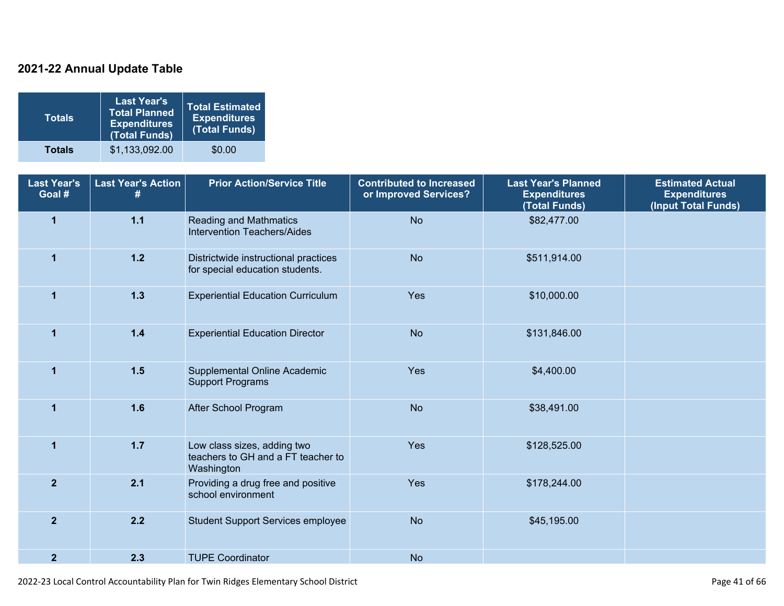### **2021-22 Annual Update Table**

| Totals        | <b>Last Year's</b><br><b>Total Planned</b><br><b>Expenditures</b><br>(Total Funds) | <b>Total Estimated</b><br><b>Expenditures</b><br>(Total Funds) |
|---------------|------------------------------------------------------------------------------------|----------------------------------------------------------------|
| <b>Totals</b> | \$1,133,092.00                                                                     | \$0.00                                                         |

| <b>Last Year's</b><br>Goal # | <b>Last Year's Action</b> | <b>Prior Action/Service Title</b>                                               | <b>Contributed to Increased</b><br>or Improved Services? | <b>Last Year's Planned</b><br><b>Expenditures</b><br>(Total Funds) | <b>Estimated Actual</b><br><b>Expenditures</b><br>(Input Total Funds) |
|------------------------------|---------------------------|---------------------------------------------------------------------------------|----------------------------------------------------------|--------------------------------------------------------------------|-----------------------------------------------------------------------|
| $\overline{1}$               | $1.1$                     | <b>Reading and Mathmatics</b><br><b>Intervention Teachers/Aides</b>             | <b>No</b>                                                | \$82,477.00                                                        |                                                                       |
| $\mathbf{1}$                 | $1.2$                     | Districtwide instructional practices<br>for special education students.         | <b>No</b>                                                | \$511,914.00                                                       |                                                                       |
| $\overline{1}$               | $1.3$                     | <b>Experiential Education Curriculum</b>                                        | Yes                                                      | \$10,000.00                                                        |                                                                       |
| $\mathbf{1}$                 | $1.4$                     | <b>Experiential Education Director</b>                                          | <b>No</b>                                                | \$131,846.00                                                       |                                                                       |
| $\mathbf{1}$                 | $1.5$                     | Supplemental Online Academic<br><b>Support Programs</b>                         | Yes                                                      | \$4,400.00                                                         |                                                                       |
| $\overline{1}$               | 1.6                       | After School Program                                                            | <b>No</b>                                                | \$38,491.00                                                        |                                                                       |
| $\mathbf 1$                  | $1.7$                     | Low class sizes, adding two<br>teachers to GH and a FT teacher to<br>Washington | Yes                                                      | \$128,525.00                                                       |                                                                       |
| 2 <sup>2</sup>               | 2.1                       | Providing a drug free and positive<br>school environment                        | Yes                                                      | \$178,244.00                                                       |                                                                       |
| $\overline{2}$               | 2.2                       | <b>Student Support Services employee</b>                                        | <b>No</b>                                                | \$45,195.00                                                        |                                                                       |
| $\overline{2}$               | 2.3                       | <b>TUPE Coordinator</b>                                                         | <b>No</b>                                                |                                                                    |                                                                       |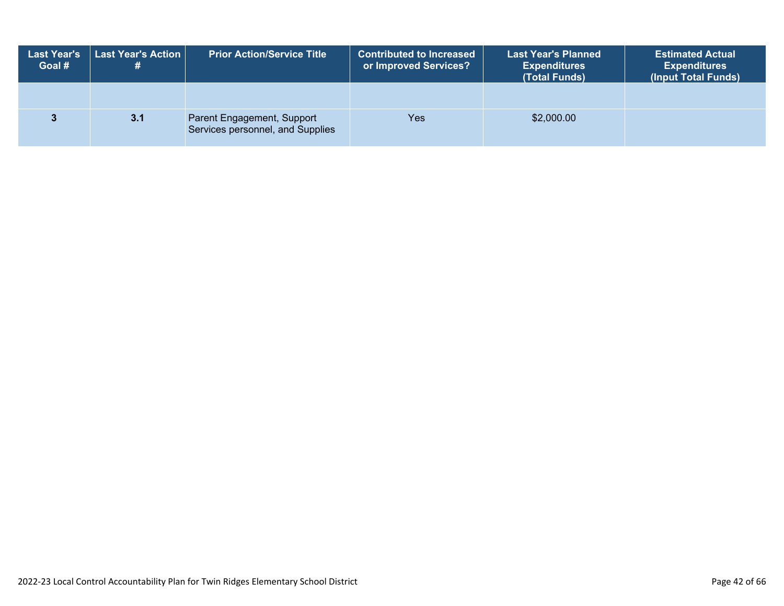| <b>Last Year's</b><br>Goal # | <b>Last Year's Action</b><br># | <b>Prior Action/Service Title</b>                              | <b>Contributed to Increased</b><br>or Improved Services? | <b>Last Year's Planned</b><br><b>Expenditures</b><br>(Total Funds) | <b>Estimated Actual</b><br><b>Expenditures</b><br>(Input Total Funds) |
|------------------------------|--------------------------------|----------------------------------------------------------------|----------------------------------------------------------|--------------------------------------------------------------------|-----------------------------------------------------------------------|
|                              |                                |                                                                |                                                          |                                                                    |                                                                       |
|                              | 3.1                            | Parent Engagement, Support<br>Services personnel, and Supplies | Yes                                                      | \$2,000.00                                                         |                                                                       |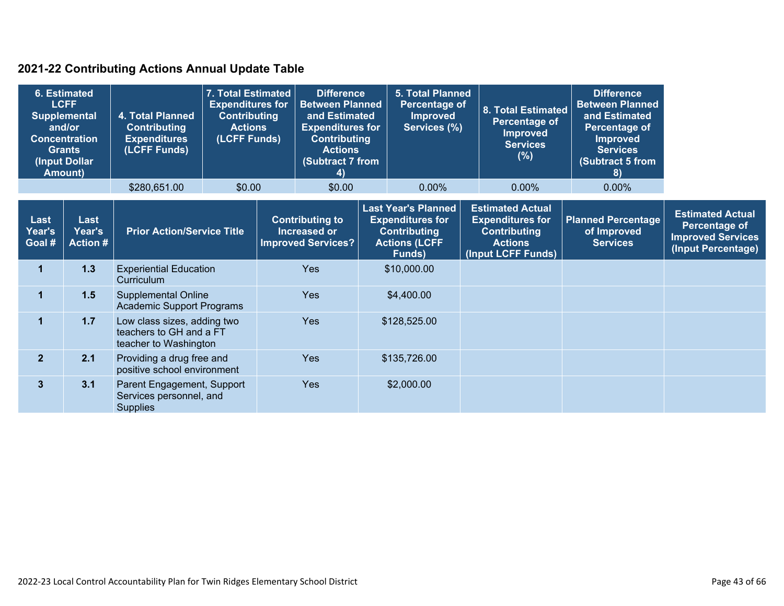### **2021-22 Contributing Actions Annual Update Table**

| <b>6. Estimated</b><br><b>LCFF</b><br><b>Supplemental</b><br>and/or<br><b>Concentration</b><br><b>Grants</b><br>(Input Dollar<br><b>Amount)</b> |                                   | 7. Total Estimated<br><b>Expenditures for</b><br>4. Total Planned<br><b>Contributing</b><br><b>Actions</b><br><b>Contributing</b><br><b>Expenditures</b><br>(LCFF Funds)<br>(LCFF Funds) |                                   | <b>Difference</b><br><b>Between Planned</b><br>and Estimated<br><b>Expenditures for</b><br><b>Contributing</b><br><b>Actions</b><br>(Subtract 7 from<br>4) |                                                                            |  | <b>5. Total Planned</b><br>Percentage of<br>Improved<br>Services (%)                                           |  | 8. Total Estimated<br>Percentage of<br><b>Improved</b><br><b>Services</b><br>(% )                                 | <b>Difference</b><br><b>Between Planned</b><br>and Estimated<br>Percentage of<br><b>Improved</b><br><b>Services</b><br>(Subtract 5 from<br>8) |                                                                                            |
|-------------------------------------------------------------------------------------------------------------------------------------------------|-----------------------------------|------------------------------------------------------------------------------------------------------------------------------------------------------------------------------------------|-----------------------------------|------------------------------------------------------------------------------------------------------------------------------------------------------------|----------------------------------------------------------------------------|--|----------------------------------------------------------------------------------------------------------------|--|-------------------------------------------------------------------------------------------------------------------|-----------------------------------------------------------------------------------------------------------------------------------------------|--------------------------------------------------------------------------------------------|
|                                                                                                                                                 |                                   | \$280,651.00                                                                                                                                                                             | \$0.00                            |                                                                                                                                                            | \$0.00                                                                     |  | 0.00%                                                                                                          |  | $0.00\%$                                                                                                          | $0.00\%$                                                                                                                                      |                                                                                            |
| Last<br>Year's<br>Goal #                                                                                                                        | Last<br>Year's<br><b>Action #</b> |                                                                                                                                                                                          | <b>Prior Action/Service Title</b> |                                                                                                                                                            | <b>Contributing to</b><br><b>Increased or</b><br><b>Improved Services?</b> |  | <b>Last Year's Planned</b><br><b>Expenditures for</b><br><b>Contributing</b><br><b>Actions (LCFF</b><br>Funds) |  | <b>Estimated Actual</b><br><b>Expenditures for</b><br><b>Contributing</b><br><b>Actions</b><br>(Input LCFF Funds) | <b>Planned Percentage</b><br>of Improved<br><b>Services</b>                                                                                   | <b>Estimated Actual</b><br>Percentage of<br><b>Improved Services</b><br>(Input Percentage) |
| 1                                                                                                                                               | 1.3                               | <b>Experiential Education</b><br>Curriculum                                                                                                                                              |                                   | <b>Yes</b>                                                                                                                                                 |                                                                            |  | \$10,000.00                                                                                                    |  |                                                                                                                   |                                                                                                                                               |                                                                                            |
| 1                                                                                                                                               | 1.5                               | <b>Supplemental Online</b><br><b>Academic Support Programs</b>                                                                                                                           |                                   |                                                                                                                                                            | <b>Yes</b>                                                                 |  | \$4,400.00                                                                                                     |  |                                                                                                                   |                                                                                                                                               |                                                                                            |
| $\mathbf 1$                                                                                                                                     | 1.7                               | Low class sizes, adding two<br>teachers to GH and a FT<br>teacher to Washington                                                                                                          |                                   |                                                                                                                                                            | Yes                                                                        |  | \$128,525.00                                                                                                   |  |                                                                                                                   |                                                                                                                                               |                                                                                            |
| $\overline{2}$                                                                                                                                  | 2.1                               | Providing a drug free and<br>positive school environment                                                                                                                                 |                                   | <b>Yes</b>                                                                                                                                                 |                                                                            |  | \$135,726.00                                                                                                   |  |                                                                                                                   |                                                                                                                                               |                                                                                            |
| $\mathbf{3}$                                                                                                                                    | 3.1                               | Parent Engagement, Support<br>Services personnel, and<br><b>Supplies</b>                                                                                                                 |                                   |                                                                                                                                                            | <b>Yes</b>                                                                 |  | \$2,000.00                                                                                                     |  |                                                                                                                   |                                                                                                                                               |                                                                                            |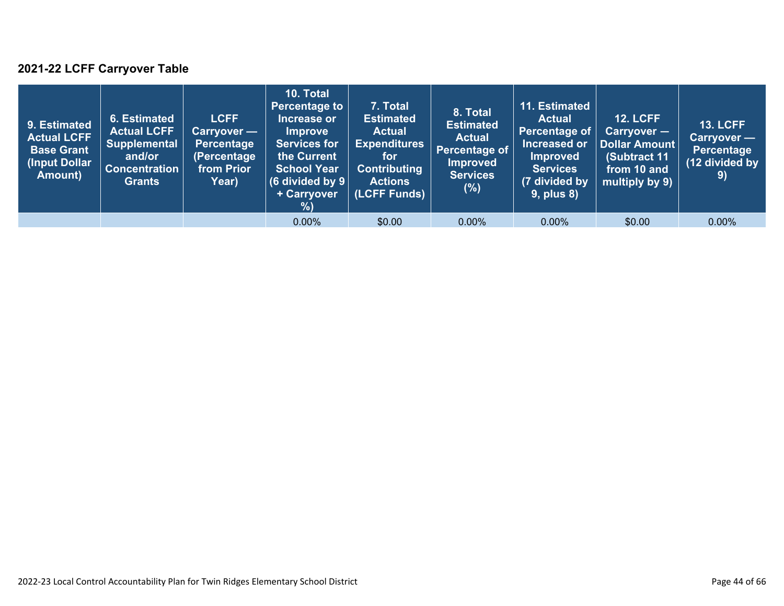### **2021-22 LCFF Carryover Table**

| 9. Estimated<br><b>Actual LCFF</b><br><b>Base Grant</b><br>(Input Dollar<br>Amount) | 6. Estimated<br><b>Actual LCFF</b><br><b>Supplemental</b><br>and/or<br><b>Concentration</b><br><b>Grants</b> | <b>LCFF</b><br>Carryover —<br>Percentage<br>(Percentage<br>from Prior<br>Year) | <b>10. Total</b><br><b>Percentage to</b><br>Increase or<br><b>Improve</b><br><b>Services for</b><br>the Current<br><b>School Year</b><br>(6 divided by $9$ $ $<br>+ Carryover<br>%) | 7. Total<br><b>Estimated</b><br><b>Actual</b><br><b>Expenditures</b><br>for<br><b>Contributing</b><br><b>Actions</b><br>(LCFF Funds) | 8. Total<br><b>Estimated</b><br><b>Actual</b><br>Percentage of<br><b>Improved</b><br><b>Services</b><br>$(\%)$ | 11. Estimated<br><b>Actual</b><br>Percentage of<br>Increased or<br><b>Improved</b><br><b>Services</b><br>(7 divided by<br><b>9, plus 8)</b> | <b>12. LCFF</b><br>$Carryover -$<br>Dollar Amount<br>(Subtract 11<br>from 10 and<br>multiply by 9) | <b>13. LCFF</b><br><b>Carryover</b> —<br>Percentage<br>(12 divided by<br>9) |
|-------------------------------------------------------------------------------------|--------------------------------------------------------------------------------------------------------------|--------------------------------------------------------------------------------|-------------------------------------------------------------------------------------------------------------------------------------------------------------------------------------|--------------------------------------------------------------------------------------------------------------------------------------|----------------------------------------------------------------------------------------------------------------|---------------------------------------------------------------------------------------------------------------------------------------------|----------------------------------------------------------------------------------------------------|-----------------------------------------------------------------------------|
|                                                                                     |                                                                                                              |                                                                                | $0.00\%$                                                                                                                                                                            | \$0.00                                                                                                                               | $0.00\%$                                                                                                       | $0.00\%$                                                                                                                                    | \$0.00                                                                                             | 0.00%                                                                       |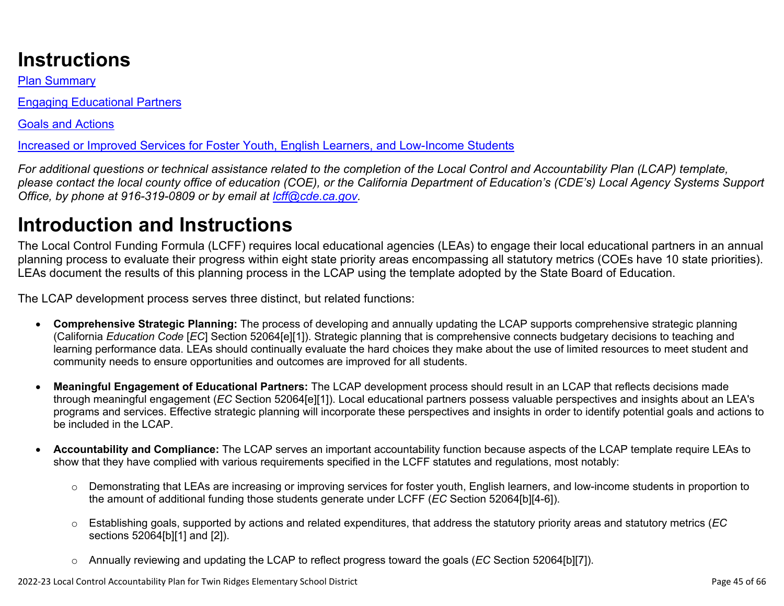# **Instructions**

Plan Summary

Engaging Educational Partners

Goals and Actions

Increased or Improved Services for Foster Youth, English Learners, and Low-Income Students

*For additional questions or technical assistance related to the completion of the Local Control and Accountability Plan (LCAP) template, please contact the local county office of education (COE), or the California Department of Education's (CDE's) Local Agency Systems Support Office, by phone at 916-319-0809 or by email at [lcff@cde.ca.gov](mailto:lcff@cde.ca.gov).*

# **Introduction and Instructions**

The Local Control Funding Formula (LCFF) requires local educational agencies (LEAs) to engage their local educational partners in an annual planning process to evaluate their progress within eight state priority areas encompassing all statutory metrics (COEs have 10 state priorities). LEAs document the results of this planning process in the LCAP using the template adopted by the State Board of Education.

The LCAP development process serves three distinct, but related functions:

- **Comprehensive Strategic Planning:** The process of developing and annually updating the LCAP supports comprehensive strategic planning (California *Education Code* [*EC*] Section 52064[e][1]). Strategic planning that is comprehensive connects budgetary decisions to teaching and learning performance data. LEAs should continually evaluate the hard choices they make about the use of limited resources to meet student and community needs to ensure opportunities and outcomes are improved for all students.
- **Meaningful Engagement of Educational Partners:** The LCAP development process should result in an LCAP that reflects decisions made through meaningful engagement (*EC* Section 52064[e][1]). Local educational partners possess valuable perspectives and insights about an LEA's programs and services. Effective strategic planning will incorporate these perspectives and insights in order to identify potential goals and actions to be included in the LCAP.
- **Accountability and Compliance:** The LCAP serves an important accountability function because aspects of the LCAP template require LEAs to show that they have complied with various requirements specified in the LCFF statutes and regulations, most notably:
	- o Demonstrating that LEAs are increasing or improving services for foster youth, English learners, and low-income students in proportion to the amount of additional funding those students generate under LCFF (*EC* Section 52064[b][4-6]).
	- o Establishing goals, supported by actions and related expenditures, that address the statutory priority areas and statutory metrics (*EC* sections 52064[b][1] and [2]).
	- o Annually reviewing and updating the LCAP to reflect progress toward the goals (*EC* Section 52064[b][7]).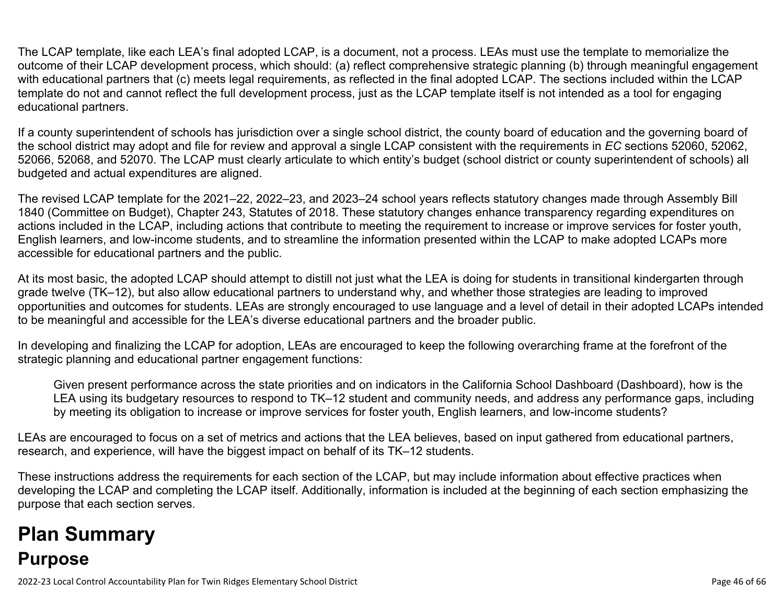The LCAP template, like each LEA's final adopted LCAP, is a document, not a process. LEAs must use the template to memorialize the outcome of their LCAP development process, which should: (a) reflect comprehensive strategic planning (b) through meaningful engagement with educational partners that (c) meets legal requirements, as reflected in the final adopted LCAP. The sections included within the LCAP template do not and cannot reflect the full development process, just as the LCAP template itself is not intended as a tool for engaging educational partners.

If a county superintendent of schools has jurisdiction over a single school district, the county board of education and the governing board of the school district may adopt and file for review and approval a single LCAP consistent with the requirements in *EC* sections 52060, 52062, 52066, 52068, and 52070. The LCAP must clearly articulate to which entity's budget (school district or county superintendent of schools) all budgeted and actual expenditures are aligned.

The revised LCAP template for the 2021–22, 2022–23, and 2023–24 school years reflects statutory changes made through Assembly Bill 1840 (Committee on Budget), Chapter 243, Statutes of 2018. These statutory changes enhance transparency regarding expenditures on actions included in the LCAP, including actions that contribute to meeting the requirement to increase or improve services for foster youth, English learners, and low-income students, and to streamline the information presented within the LCAP to make adopted LCAPs more accessible for educational partners and the public.

At its most basic, the adopted LCAP should attempt to distill not just what the LEA is doing for students in transitional kindergarten through grade twelve (TK–12), but also allow educational partners to understand why, and whether those strategies are leading to improved opportunities and outcomes for students. LEAs are strongly encouraged to use language and a level of detail in their adopted LCAPs intended to be meaningful and accessible for the LEA's diverse educational partners and the broader public.

In developing and finalizing the LCAP for adoption, LEAs are encouraged to keep the following overarching frame at the forefront of the strategic planning and educational partner engagement functions:

Given present performance across the state priorities and on indicators in the California School Dashboard (Dashboard), how is the LEA using its budgetary resources to respond to TK–12 student and community needs, and address any performance gaps, including by meeting its obligation to increase or improve services for foster youth, English learners, and low-income students?

LEAs are encouraged to focus on a set of metrics and actions that the LEA believes, based on input gathered from educational partners, research, and experience, will have the biggest impact on behalf of its TK–12 students.

These instructions address the requirements for each section of the LCAP, but may include information about effective practices when developing the LCAP and completing the LCAP itself. Additionally, information is included at the beginning of each section emphasizing the purpose that each section serves.

# **Plan Summary Purpose**

2022-23 Local Control Accountability Plan for Twin Ridges Elementary School District Page 46 of 66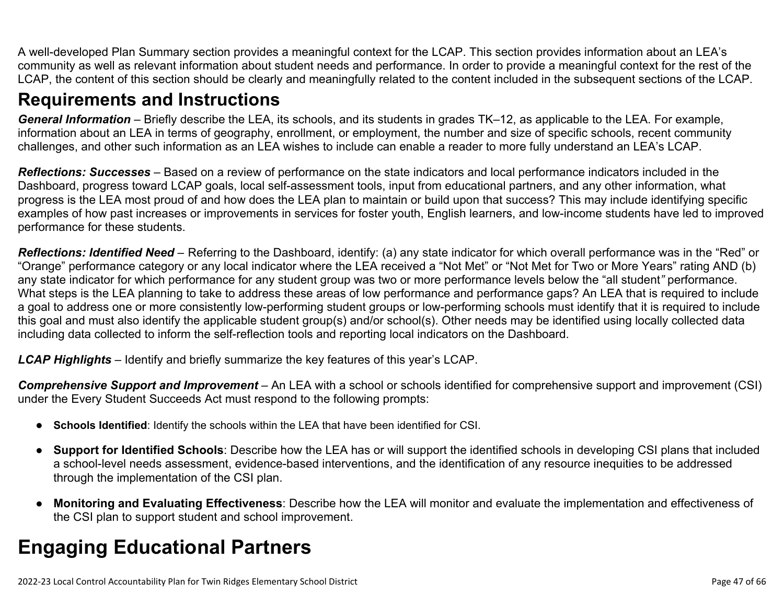A well-developed Plan Summary section provides a meaningful context for the LCAP. This section provides information about an LEA's community as well as relevant information about student needs and performance. In order to provide a meaningful context for the rest of the LCAP, the content of this section should be clearly and meaningfully related to the content included in the subsequent sections of the LCAP.

## **Requirements and Instructions**

*General Information* – Briefly describe the LEA, its schools, and its students in grades TK–12, as applicable to the LEA. For example, information about an LEA in terms of geography, enrollment, or employment, the number and size of specific schools, recent community challenges, and other such information as an LEA wishes to include can enable a reader to more fully understand an LEA's LCAP.

*Reflections: Successes* – Based on a review of performance on the state indicators and local performance indicators included in the Dashboard, progress toward LCAP goals, local self-assessment tools, input from educational partners, and any other information, what progress is the LEA most proud of and how does the LEA plan to maintain or build upon that success? This may include identifying specific examples of how past increases or improvements in services for foster youth, English learners, and low-income students have led to improved performance for these students.

*Reflections: Identified Need* – Referring to the Dashboard, identify: (a) any state indicator for which overall performance was in the "Red" or "Orange" performance category or any local indicator where the LEA received a "Not Met" or "Not Met for Two or More Years" rating AND (b) any state indicator for which performance for any student group was two or more performance levels below the "all student*"* performance. What steps is the LEA planning to take to address these areas of low performance and performance gaps? An LEA that is required to include a goal to address one or more consistently low-performing student groups or low-performing schools must identify that it is required to include this goal and must also identify the applicable student group(s) and/or school(s). Other needs may be identified using locally collected data including data collected to inform the self-reflection tools and reporting local indicators on the Dashboard.

*LCAP Highlights* – Identify and briefly summarize the key features of this year's LCAP.

*Comprehensive Support and Improvement* – An LEA with a school or schools identified for comprehensive support and improvement (CSI) under the Every Student Succeeds Act must respond to the following prompts:

- **Schools Identified**: Identify the schools within the LEA that have been identified for CSI.
- **Support for Identified Schools**: Describe how the LEA has or will support the identified schools in developing CSI plans that included a school-level needs assessment, evidence-based interventions, and the identification of any resource inequities to be addressed through the implementation of the CSI plan.
- **Monitoring and Evaluating Effectiveness**: Describe how the LEA will monitor and evaluate the implementation and effectiveness of the CSI plan to support student and school improvement.

# **Engaging Educational Partners**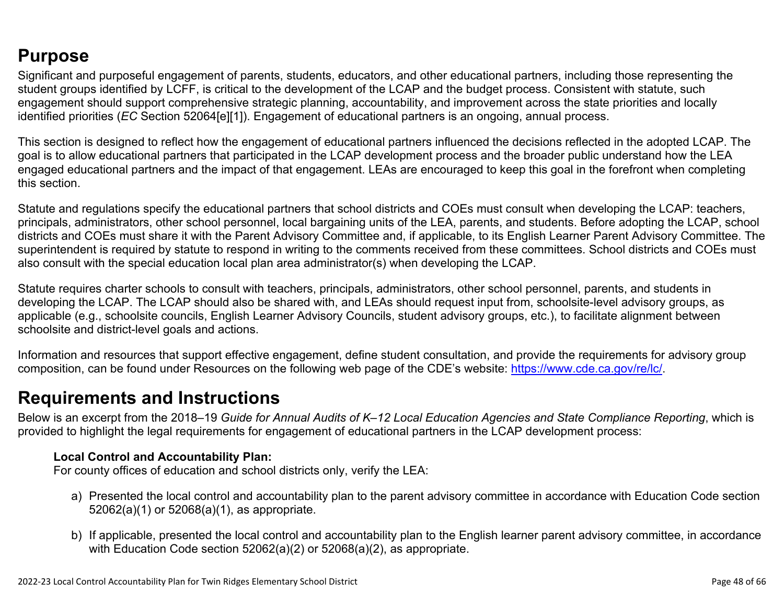## **Purpose**

Significant and purposeful engagement of parents, students, educators, and other educational partners, including those representing the student groups identified by LCFF, is critical to the development of the LCAP and the budget process. Consistent with statute, such engagement should support comprehensive strategic planning, accountability, and improvement across the state priorities and locally identified priorities (*EC* Section 52064[e][1]). Engagement of educational partners is an ongoing, annual process.

This section is designed to reflect how the engagement of educational partners influenced the decisions reflected in the adopted LCAP. The goal is to allow educational partners that participated in the LCAP development process and the broader public understand how the LEA engaged educational partners and the impact of that engagement. LEAs are encouraged to keep this goal in the forefront when completing this section.

Statute and regulations specify the educational partners that school districts and COEs must consult when developing the LCAP: teachers, principals, administrators, other school personnel, local bargaining units of the LEA, parents, and students. Before adopting the LCAP, school districts and COEs must share it with the Parent Advisory Committee and, if applicable, to its English Learner Parent Advisory Committee. The superintendent is required by statute to respond in writing to the comments received from these committees. School districts and COEs must also consult with the special education local plan area administrator(s) when developing the LCAP.

Statute requires charter schools to consult with teachers, principals, administrators, other school personnel, parents, and students in developing the LCAP. The LCAP should also be shared with, and LEAs should request input from, schoolsite-level advisory groups, as applicable (e.g., schoolsite councils, English Learner Advisory Councils, student advisory groups, etc.), to facilitate alignment between schoolsite and district-level goals and actions.

Information and resources that support effective engagement, define student consultation, and provide the requirements for advisory group composition, can be found under Resources on the following web page of the CDE's website: <https://www.cde.ca.gov/re/lc/>.

### **Requirements and Instructions**

Below is an excerpt from the 2018–19 *Guide for Annual Audits of K–12 Local Education Agencies and State Compliance Reporting*, which is provided to highlight the legal requirements for engagement of educational partners in the LCAP development process:

### **Local Control and Accountability Plan:**

For county offices of education and school districts only, verify the LEA:

- a) Presented the local control and accountability plan to the parent advisory committee in accordance with Education Code section 52062(a)(1) or 52068(a)(1), as appropriate.
- b) If applicable, presented the local control and accountability plan to the English learner parent advisory committee, in accordance with Education Code section 52062(a)(2) or 52068(a)(2), as appropriate.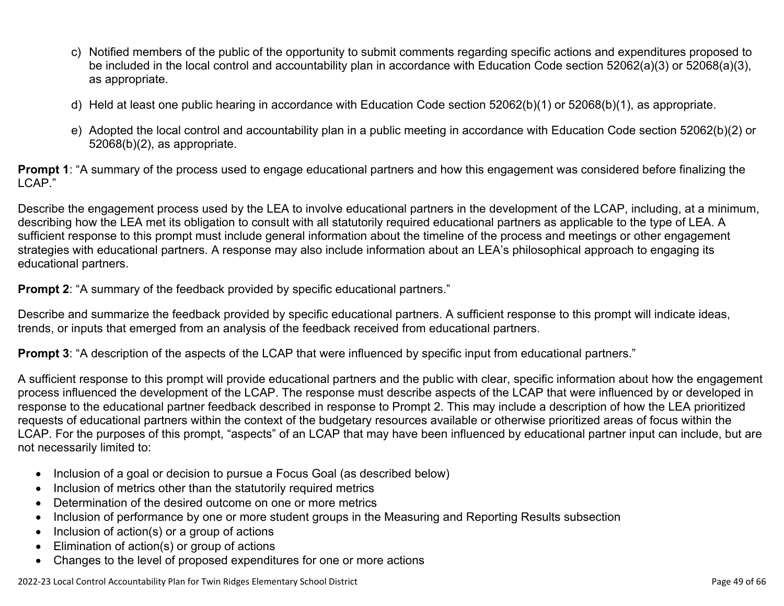- c) Notified members of the public of the opportunity to submit comments regarding specific actions and expenditures proposed to be included in the local control and accountability plan in accordance with Education Code section 52062(a)(3) or 52068(a)(3), as appropriate.
- d) Held at least one public hearing in accordance with Education Code section 52062(b)(1) or 52068(b)(1), as appropriate.
- e) Adopted the local control and accountability plan in a public meeting in accordance with Education Code section 52062(b)(2) or 52068(b)(2), as appropriate.

**Prompt 1**: "A summary of the process used to engage educational partners and how this engagement was considered before finalizing the LCAP."

Describe the engagement process used by the LEA to involve educational partners in the development of the LCAP, including, at a minimum, describing how the LEA met its obligation to consult with all statutorily required educational partners as applicable to the type of LEA. A sufficient response to this prompt must include general information about the timeline of the process and meetings or other engagement strategies with educational partners. A response may also include information about an LEA's philosophical approach to engaging its educational partners.

**Prompt 2:** "A summary of the feedback provided by specific educational partners."

Describe and summarize the feedback provided by specific educational partners. A sufficient response to this prompt will indicate ideas, trends, or inputs that emerged from an analysis of the feedback received from educational partners.

**Prompt 3**: "A description of the aspects of the LCAP that were influenced by specific input from educational partners."

A sufficient response to this prompt will provide educational partners and the public with clear, specific information about how the engagement process influenced the development of the LCAP. The response must describe aspects of the LCAP that were influenced by or developed in response to the educational partner feedback described in response to Prompt 2. This may include a description of how the LEA prioritized requests of educational partners within the context of the budgetary resources available or otherwise prioritized areas of focus within the LCAP. For the purposes of this prompt, "aspects" of an LCAP that may have been influenced by educational partner input can include, but are not necessarily limited to:

- Inclusion of a goal or decision to pursue a Focus Goal (as described below)
- Inclusion of metrics other than the statutorily required metrics
- Determination of the desired outcome on one or more metrics
- Inclusion of performance by one or more student groups in the Measuring and Reporting Results subsection
- Inclusion of action(s) or a group of actions
- Elimination of action(s) or group of actions
- Changes to the level of proposed expenditures for one or more actions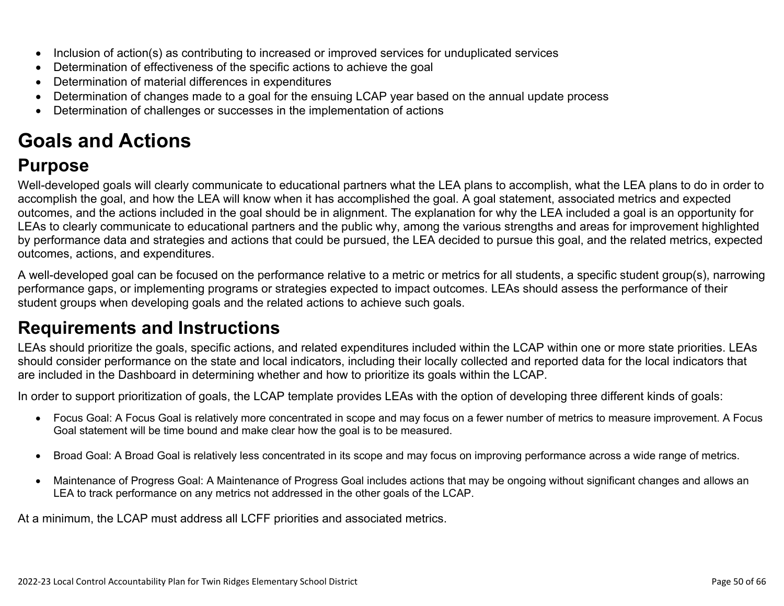- Inclusion of action(s) as contributing to increased or improved services for unduplicated services
- Determination of effectiveness of the specific actions to achieve the goal
- Determination of material differences in expenditures
- Determination of changes made to a goal for the ensuing LCAP year based on the annual update process
- Determination of challenges or successes in the implementation of actions

# **Goals and Actions**

## **Purpose**

Well-developed goals will clearly communicate to educational partners what the LEA plans to accomplish, what the LEA plans to do in order to accomplish the goal, and how the LEA will know when it has accomplished the goal. A goal statement, associated metrics and expected outcomes, and the actions included in the goal should be in alignment. The explanation for why the LEA included a goal is an opportunity for LEAs to clearly communicate to educational partners and the public why, among the various strengths and areas for improvement highlighted by performance data and strategies and actions that could be pursued, the LEA decided to pursue this goal, and the related metrics, expected outcomes, actions, and expenditures.

A well-developed goal can be focused on the performance relative to a metric or metrics for all students, a specific student group(s), narrowing performance gaps, or implementing programs or strategies expected to impact outcomes. LEAs should assess the performance of their student groups when developing goals and the related actions to achieve such goals.

## **Requirements and Instructions**

LEAs should prioritize the goals, specific actions, and related expenditures included within the LCAP within one or more state priorities. LEAs should consider performance on the state and local indicators, including their locally collected and reported data for the local indicators that are included in the Dashboard in determining whether and how to prioritize its goals within the LCAP.

In order to support prioritization of goals, the LCAP template provides LEAs with the option of developing three different kinds of goals:

- Focus Goal: A Focus Goal is relatively more concentrated in scope and may focus on a fewer number of metrics to measure improvement. A Focus Goal statement will be time bound and make clear how the goal is to be measured.
- Broad Goal: A Broad Goal is relatively less concentrated in its scope and may focus on improving performance across a wide range of metrics.
- Maintenance of Progress Goal: A Maintenance of Progress Goal includes actions that may be ongoing without significant changes and allows an LEA to track performance on any metrics not addressed in the other goals of the LCAP.

At a minimum, the LCAP must address all LCFF priorities and associated metrics.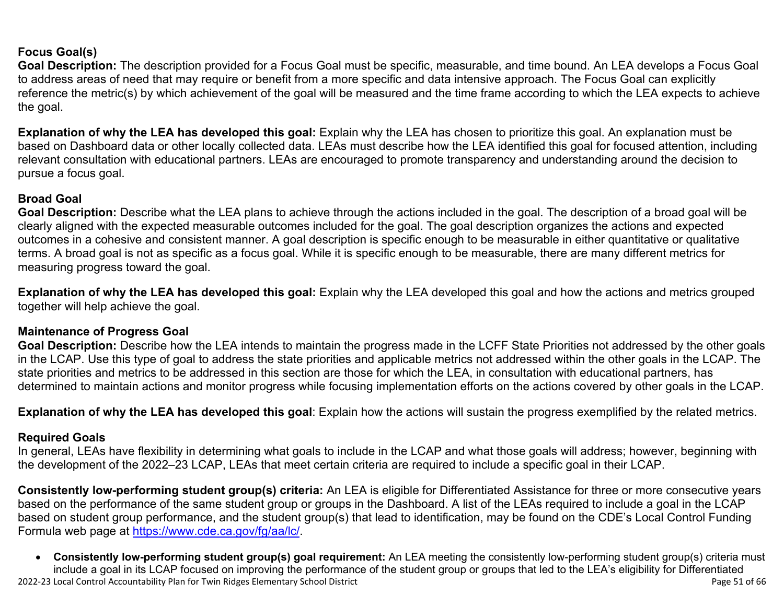### **Focus Goal(s)**

**Goal Description:** The description provided for a Focus Goal must be specific, measurable, and time bound. An LEA develops a Focus Goal to address areas of need that may require or benefit from a more specific and data intensive approach. The Focus Goal can explicitly reference the metric(s) by which achievement of the goal will be measured and the time frame according to which the LEA expects to achieve the goal.

**Explanation of why the LEA has developed this goal:** Explain why the LEA has chosen to prioritize this goal. An explanation must be based on Dashboard data or other locally collected data. LEAs must describe how the LEA identified this goal for focused attention, including relevant consultation with educational partners. LEAs are encouraged to promote transparency and understanding around the decision to pursue a focus goal.

#### **Broad Goal**

Goal Description: Describe what the LEA plans to achieve through the actions included in the goal. The description of a broad goal will be clearly aligned with the expected measurable outcomes included for the goal. The goal description organizes the actions and expected outcomes in a cohesive and consistent manner. A goal description is specific enough to be measurable in either quantitative or qualitative terms. A broad goal is not as specific as a focus goal. While it is specific enough to be measurable, there are many different metrics for measuring progress toward the goal.

**Explanation of why the LEA has developed this goal:** Explain why the LEA developed this goal and how the actions and metrics grouped together will help achieve the goal.

#### **Maintenance of Progress Goal**

**Goal Description:** Describe how the LEA intends to maintain the progress made in the LCFF State Priorities not addressed by the other goals in the LCAP. Use this type of goal to address the state priorities and applicable metrics not addressed within the other goals in the LCAP. The state priorities and metrics to be addressed in this section are those for which the LEA, in consultation with educational partners, has determined to maintain actions and monitor progress while focusing implementation efforts on the actions covered by other goals in the LCAP.

**Explanation of why the LEA has developed this goal**: Explain how the actions will sustain the progress exemplified by the related metrics.

#### **Required Goals**

In general, LEAs have flexibility in determining what goals to include in the LCAP and what those goals will address; however, beginning with the development of the 2022–23 LCAP, LEAs that meet certain criteria are required to include a specific goal in their LCAP.

**Consistently low-performing student group(s) criteria:** An LEA is eligible for Differentiated Assistance for three or more consecutive years based on the performance of the same student group or groups in the Dashboard. A list of the LEAs required to include a goal in the LCAP based on student group performance, and the student group(s) that lead to identification, may be found on the CDE's Local Control Funding Formula web page at [https://www.cde.ca.gov/fg/aa/lc/.](https://www.cde.ca.gov/fg/aa/lc/)

2022-23 Local Control Accountability Plan for Twin Ridges Elementary School District Page 51 of 66 • **Consistently low-performing student group(s) goal requirement:** An LEA meeting the consistently low-performing student group(s) criteria must include a goal in its LCAP focused on improving the performance of the student group or groups that led to the LEA's eligibility for Differentiated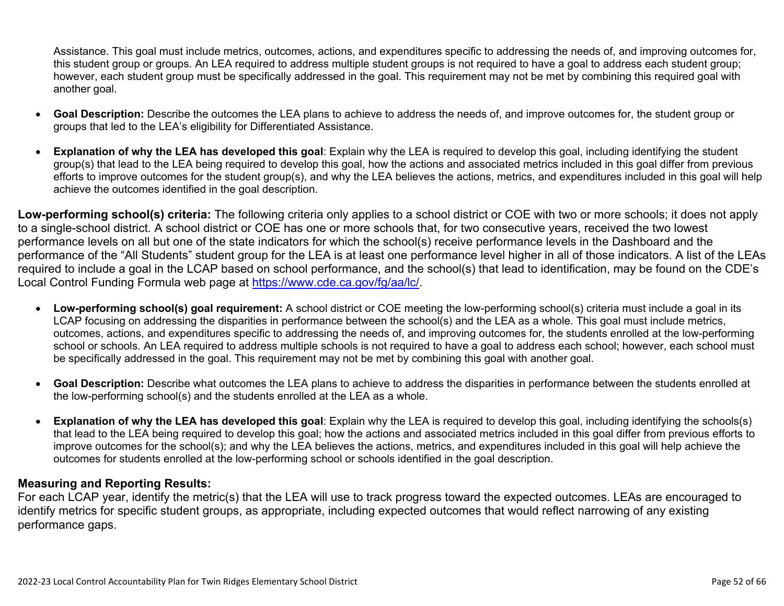Assistance. This goal must include metrics, outcomes, actions, and expenditures specific to addressing the needs of, and improving outcomes for, this student group or groups. An LEA required to address multiple student groups is not required to have a goal to address each student group; however, each student group must be specifically addressed in the goal. This requirement may not be met by combining this required goal with another goal.

- **Goal Description:** Describe the outcomes the LEA plans to achieve to address the needs of, and improve outcomes for, the student group or groups that led to the LEA's eligibility for Differentiated Assistance.
- **Explanation of why the LEA has developed this goal**: Explain why the LEA is required to develop this goal, including identifying the student group(s) that lead to the LEA being required to develop this goal, how the actions and associated metrics included in this goal differ from previous efforts to improve outcomes for the student group(s), and why the LEA believes the actions, metrics, and expenditures included in this goal will help achieve the outcomes identified in the goal description.

**Low-performing school(s) criteria:** The following criteria only applies to a school district or COE with two or more schools; it does not apply to a single-school district. A school district or COE has one or more schools that, for two consecutive years, received the two lowest performance levels on all but one of the state indicators for which the school(s) receive performance levels in the Dashboard and the performance of the "All Students" student group for the LEA is at least one performance level higher in all of those indicators. A list of the LEAs required to include a goal in the LCAP based on school performance, and the school(s) that lead to identification, may be found on the CDE's Local Control Funding Formula web page at [https://www.cde.ca.gov/fg/aa/lc/.](https://www.cde.ca.gov/fg/aa/lc/)

- **Low-performing school(s) goal requirement:** A school district or COE meeting the low-performing school(s) criteria must include a goal in its LCAP focusing on addressing the disparities in performance between the school(s) and the LEA as a whole. This goal must include metrics, outcomes, actions, and expenditures specific to addressing the needs of, and improving outcomes for, the students enrolled at the low-performing school or schools. An LEA required to address multiple schools is not required to have a goal to address each school; however, each school must be specifically addressed in the goal. This requirement may not be met by combining this goal with another goal.
- **Goal Description:** Describe what outcomes the LEA plans to achieve to address the disparities in performance between the students enrolled at the low-performing school(s) and the students enrolled at the LEA as a whole.
- **Explanation of why the LEA has developed this goal**: Explain why the LEA is required to develop this goal, including identifying the schools(s) that lead to the LEA being required to develop this goal; how the actions and associated metrics included in this goal differ from previous efforts to improve outcomes for the school(s); and why the LEA believes the actions, metrics, and expenditures included in this goal will help achieve the outcomes for students enrolled at the low-performing school or schools identified in the goal description.

### **Measuring and Reporting Results:**

For each LCAP year, identify the metric(s) that the LEA will use to track progress toward the expected outcomes. LEAs are encouraged to identify metrics for specific student groups, as appropriate, including expected outcomes that would reflect narrowing of any existing performance gaps.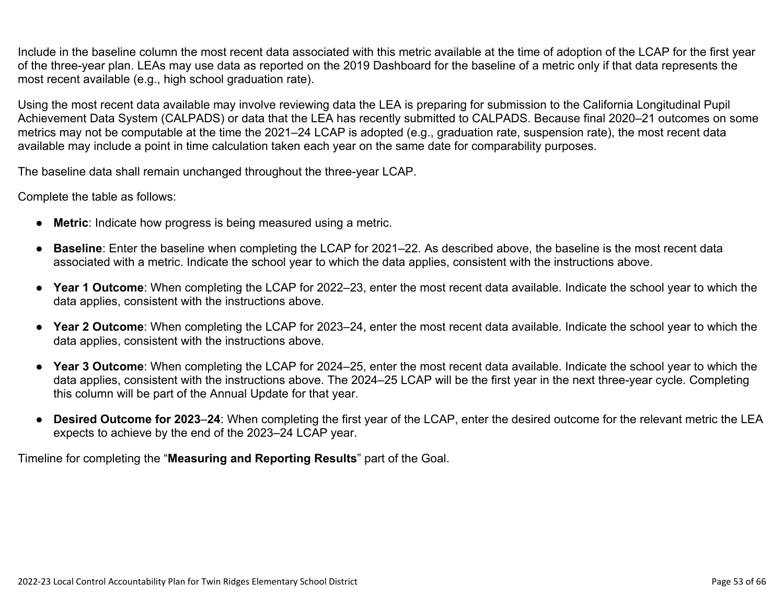Include in the baseline column the most recent data associated with this metric available at the time of adoption of the LCAP for the first year of the three-year plan. LEAs may use data as reported on the 2019 Dashboard for the baseline of a metric only if that data represents the most recent available (e.g., high school graduation rate).

Using the most recent data available may involve reviewing data the LEA is preparing for submission to the California Longitudinal Pupil Achievement Data System (CALPADS) or data that the LEA has recently submitted to CALPADS. Because final 2020–21 outcomes on some metrics may not be computable at the time the 2021–24 LCAP is adopted (e.g., graduation rate, suspension rate), the most recent data available may include a point in time calculation taken each year on the same date for comparability purposes.

The baseline data shall remain unchanged throughout the three-year LCAP.

Complete the table as follows:

- **Metric**: Indicate how progress is being measured using a metric.
- **Baseline**: Enter the baseline when completing the LCAP for 2021–22. As described above, the baseline is the most recent data associated with a metric. Indicate the school year to which the data applies, consistent with the instructions above.
- **Year 1 Outcome**: When completing the LCAP for 2022–23, enter the most recent data available. Indicate the school year to which the data applies, consistent with the instructions above.
- **Year 2 Outcome**: When completing the LCAP for 2023–24, enter the most recent data available. Indicate the school year to which the data applies, consistent with the instructions above.
- **Year 3 Outcome**: When completing the LCAP for 2024–25, enter the most recent data available. Indicate the school year to which the data applies, consistent with the instructions above. The 2024–25 LCAP will be the first year in the next three-year cycle. Completing this column will be part of the Annual Update for that year.
- **Desired Outcome for 2023**–**24**: When completing the first year of the LCAP, enter the desired outcome for the relevant metric the LEA expects to achieve by the end of the 2023–24 LCAP year.

Timeline for completing the "**Measuring and Reporting Results**" part of the Goal.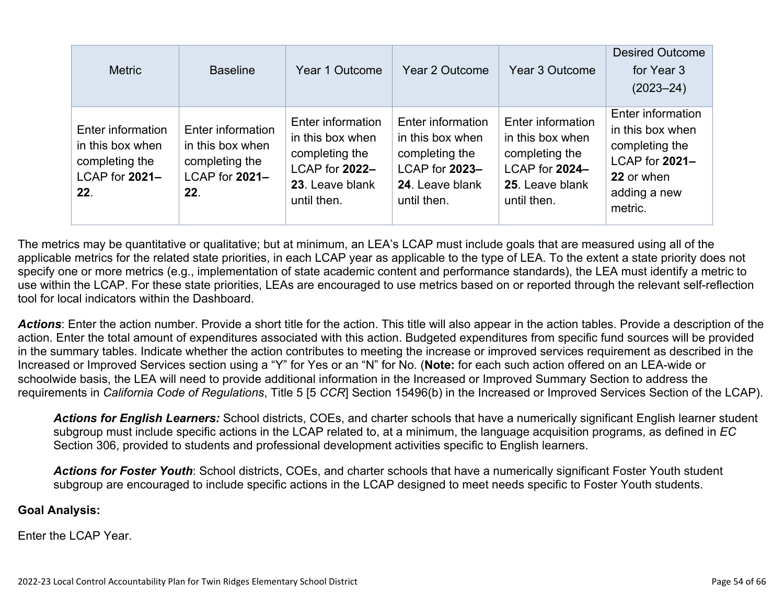| <b>Metric</b>                                                                    | <b>Baseline</b>                                                                  | Year 1 Outcome                                                                                              | Year 2 Outcome                                                                                              | Year 3 Outcome                                                                                              | <b>Desired Outcome</b><br>for Year 3<br>$(2023 - 24)$                                                              |
|----------------------------------------------------------------------------------|----------------------------------------------------------------------------------|-------------------------------------------------------------------------------------------------------------|-------------------------------------------------------------------------------------------------------------|-------------------------------------------------------------------------------------------------------------|--------------------------------------------------------------------------------------------------------------------|
| Enter information<br>in this box when<br>completing the<br>LCAP for 2021-<br>22. | Enter information<br>in this box when<br>completing the<br>LCAP for 2021-<br>22. | Enter information<br>in this box when<br>completing the<br>LCAP for 2022-<br>23. Leave blank<br>until then. | Enter information<br>in this box when<br>completing the<br>LCAP for 2023-<br>24. Leave blank<br>until then. | Enter information<br>in this box when<br>completing the<br>LCAP for 2024-<br>25. Leave blank<br>until then. | Enter information<br>in this box when<br>completing the<br>LCAP for 2021-<br>22 or when<br>adding a new<br>metric. |

The metrics may be quantitative or qualitative; but at minimum, an LEA's LCAP must include goals that are measured using all of the applicable metrics for the related state priorities, in each LCAP year as applicable to the type of LEA. To the extent a state priority does not specify one or more metrics (e.g., implementation of state academic content and performance standards), the LEA must identify a metric to use within the LCAP. For these state priorities, LEAs are encouraged to use metrics based on or reported through the relevant self-reflection tool for local indicators within the Dashboard.

*Actions*: Enter the action number. Provide a short title for the action. This title will also appear in the action tables. Provide a description of the action. Enter the total amount of expenditures associated with this action. Budgeted expenditures from specific fund sources will be provided in the summary tables. Indicate whether the action contributes to meeting the increase or improved services requirement as described in the Increased or Improved Services section using a "Y" for Yes or an "N" for No. (**Note:** for each such action offered on an LEA-wide or schoolwide basis, the LEA will need to provide additional information in the Increased or Improved Summary Section to address the requirements in *California Code of Regulations*, Title 5 [5 *CCR*] Section 15496(b) in the Increased or Improved Services Section of the LCAP).

*Actions for English Learners:* School districts, COEs, and charter schools that have a numerically significant English learner student subgroup must include specific actions in the LCAP related to, at a minimum, the language acquisition programs, as defined in *EC* Section 306, provided to students and professional development activities specific to English learners.

*Actions for Foster Youth*: School districts, COEs, and charter schools that have a numerically significant Foster Youth student subgroup are encouraged to include specific actions in the LCAP designed to meet needs specific to Foster Youth students.

#### **Goal Analysis:**

Enter the LCAP Year.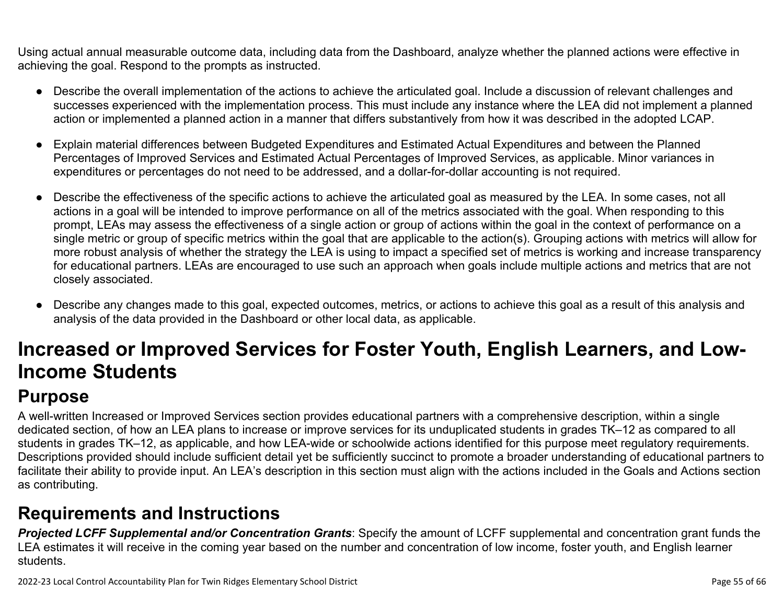Using actual annual measurable outcome data, including data from the Dashboard, analyze whether the planned actions were effective in achieving the goal. Respond to the prompts as instructed.

- Describe the overall implementation of the actions to achieve the articulated goal. Include a discussion of relevant challenges and successes experienced with the implementation process. This must include any instance where the LEA did not implement a planned action or implemented a planned action in a manner that differs substantively from how it was described in the adopted LCAP.
- Explain material differences between Budgeted Expenditures and Estimated Actual Expenditures and between the Planned Percentages of Improved Services and Estimated Actual Percentages of Improved Services, as applicable. Minor variances in expenditures or percentages do not need to be addressed, and a dollar-for-dollar accounting is not required.
- Describe the effectiveness of the specific actions to achieve the articulated goal as measured by the LEA. In some cases, not all actions in a goal will be intended to improve performance on all of the metrics associated with the goal. When responding to this prompt, LEAs may assess the effectiveness of a single action or group of actions within the goal in the context of performance on a single metric or group of specific metrics within the goal that are applicable to the action(s). Grouping actions with metrics will allow for more robust analysis of whether the strategy the LEA is using to impact a specified set of metrics is working and increase transparency for educational partners. LEAs are encouraged to use such an approach when goals include multiple actions and metrics that are not closely associated.
- Describe any changes made to this goal, expected outcomes, metrics, or actions to achieve this goal as a result of this analysis and analysis of the data provided in the Dashboard or other local data, as applicable.

# **Increased or Improved Services for Foster Youth, English Learners, and Low-Income Students**

# **Purpose**

A well-written Increased or Improved Services section provides educational partners with a comprehensive description, within a single dedicated section, of how an LEA plans to increase or improve services for its unduplicated students in grades TK–12 as compared to all students in grades TK–12, as applicable, and how LEA-wide or schoolwide actions identified for this purpose meet regulatory requirements. Descriptions provided should include sufficient detail yet be sufficiently succinct to promote a broader understanding of educational partners to facilitate their ability to provide input. An LEA's description in this section must align with the actions included in the Goals and Actions section as contributing.

# **Requirements and Instructions**

*Projected LCFF Supplemental and/or Concentration Grants*: Specify the amount of LCFF supplemental and concentration grant funds the LEA estimates it will receive in the coming year based on the number and concentration of low income, foster youth, and English learner students.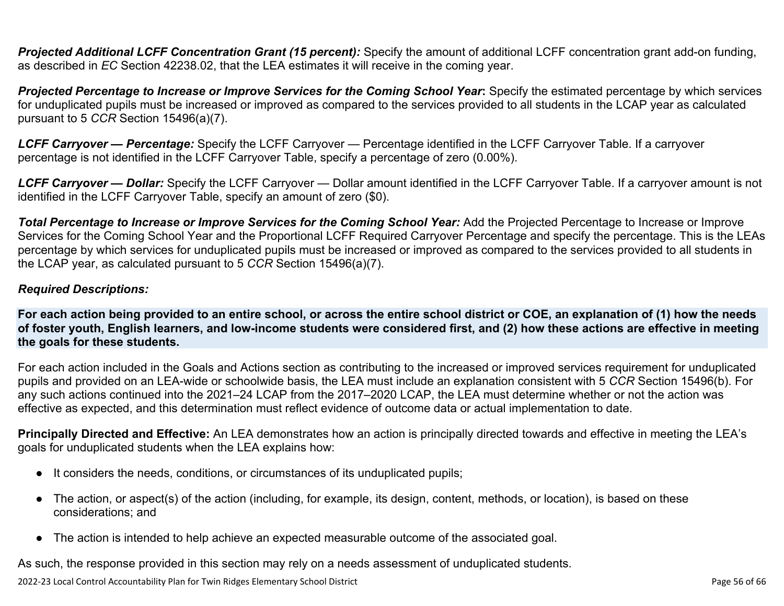**Projected Additional LCFF Concentration Grant (15 percent):** Specify the amount of additional LCFF concentration grant add-on funding, as described in *EC* Section 42238.02, that the LEA estimates it will receive in the coming year.

*Projected Percentage to Increase or Improve Services for the Coming School Year***:** Specify the estimated percentage by which services for unduplicated pupils must be increased or improved as compared to the services provided to all students in the LCAP year as calculated pursuant to 5 *CCR* Section 15496(a)(7).

*LCFF Carryover — Percentage:* Specify the LCFF Carryover — Percentage identified in the LCFF Carryover Table. If a carryover percentage is not identified in the LCFF Carryover Table, specify a percentage of zero (0.00%).

*LCFF Carryover — Dollar:* Specify the LCFF Carryover — Dollar amount identified in the LCFF Carryover Table. If a carryover amount is not identified in the LCFF Carryover Table, specify an amount of zero (\$0).

**Total Percentage to Increase or Improve Services for the Coming School Year:** Add the Projected Percentage to Increase or Improve Services for the Coming School Year and the Proportional LCFF Required Carryover Percentage and specify the percentage. This is the LEAs percentage by which services for unduplicated pupils must be increased or improved as compared to the services provided to all students in the LCAP year, as calculated pursuant to 5 *CCR* Section 15496(a)(7).

#### *Required Descriptions:*

**For each action being provided to an entire school, or across the entire school district or COE, an explanation of (1) how the needs of foster youth, English learners, and low-income students were considered first, and (2) how these actions are effective in meeting the goals for these students.**

For each action included in the Goals and Actions section as contributing to the increased or improved services requirement for unduplicated pupils and provided on an LEA-wide or schoolwide basis, the LEA must include an explanation consistent with 5 *CCR* Section 15496(b). For any such actions continued into the 2021–24 LCAP from the 2017–2020 LCAP, the LEA must determine whether or not the action was effective as expected, and this determination must reflect evidence of outcome data or actual implementation to date.

**Principally Directed and Effective:** An LEA demonstrates how an action is principally directed towards and effective in meeting the LEA's goals for unduplicated students when the LEA explains how:

- It considers the needs, conditions, or circumstances of its unduplicated pupils;
- The action, or aspect(s) of the action (including, for example, its design, content, methods, or location), is based on these considerations; and
- The action is intended to help achieve an expected measurable outcome of the associated goal.

As such, the response provided in this section may rely on a needs assessment of unduplicated students.

2022-23 Local Control Accountability Plan for Twin Ridges Elementary School District Page 10 and 2022-23 Local Control Accountability Plan for Twin Ridges Elementary School District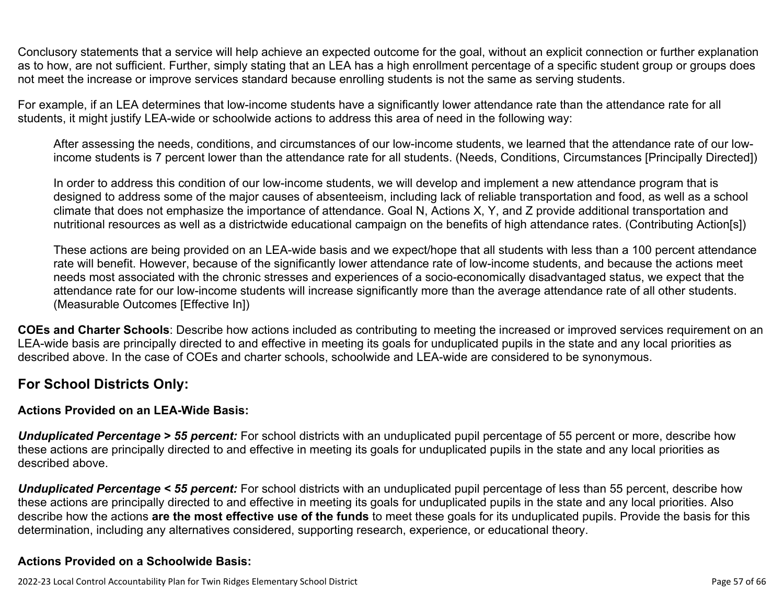Conclusory statements that a service will help achieve an expected outcome for the goal, without an explicit connection or further explanation as to how, are not sufficient. Further, simply stating that an LEA has a high enrollment percentage of a specific student group or groups does not meet the increase or improve services standard because enrolling students is not the same as serving students.

For example, if an LEA determines that low-income students have a significantly lower attendance rate than the attendance rate for all students, it might justify LEA-wide or schoolwide actions to address this area of need in the following way:

After assessing the needs, conditions, and circumstances of our low-income students, we learned that the attendance rate of our lowincome students is 7 percent lower than the attendance rate for all students. (Needs, Conditions, Circumstances [Principally Directed])

In order to address this condition of our low-income students, we will develop and implement a new attendance program that is designed to address some of the major causes of absenteeism, including lack of reliable transportation and food, as well as a school climate that does not emphasize the importance of attendance. Goal N, Actions X, Y, and Z provide additional transportation and nutritional resources as well as a districtwide educational campaign on the benefits of high attendance rates. (Contributing Action[s])

These actions are being provided on an LEA-wide basis and we expect/hope that all students with less than a 100 percent attendance rate will benefit. However, because of the significantly lower attendance rate of low-income students, and because the actions meet needs most associated with the chronic stresses and experiences of a socio-economically disadvantaged status, we expect that the attendance rate for our low-income students will increase significantly more than the average attendance rate of all other students. (Measurable Outcomes [Effective In])

**COEs and Charter Schools**: Describe how actions included as contributing to meeting the increased or improved services requirement on an LEA-wide basis are principally directed to and effective in meeting its goals for unduplicated pupils in the state and any local priorities as described above. In the case of COEs and charter schools, schoolwide and LEA-wide are considered to be synonymous.

### **For School Districts Only:**

### **Actions Provided on an LEA-Wide Basis:**

*Unduplicated Percentage > 55 percent:* For school districts with an unduplicated pupil percentage of 55 percent or more, describe how these actions are principally directed to and effective in meeting its goals for unduplicated pupils in the state and any local priorities as described above.

*Unduplicated Percentage < 55 percent:* For school districts with an unduplicated pupil percentage of less than 55 percent, describe how these actions are principally directed to and effective in meeting its goals for unduplicated pupils in the state and any local priorities. Also describe how the actions **are the most effective use of the funds** to meet these goals for its unduplicated pupils. Provide the basis for this determination, including any alternatives considered, supporting research, experience, or educational theory.

### **Actions Provided on a Schoolwide Basis:**

2022-23 Local Control Accountability Plan for Twin Ridges Elementary School District **Page 57** of 66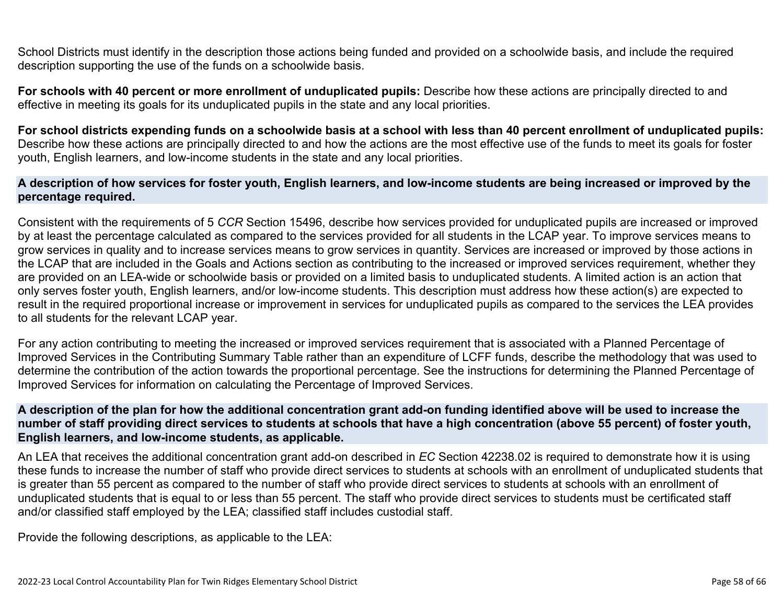School Districts must identify in the description those actions being funded and provided on a schoolwide basis, and include the required description supporting the use of the funds on a schoolwide basis.

**For schools with 40 percent or more enrollment of unduplicated pupils:** Describe how these actions are principally directed to and effective in meeting its goals for its unduplicated pupils in the state and any local priorities.

**For school districts expending funds on a schoolwide basis at a school with less than 40 percent enrollment of unduplicated pupils:** Describe how these actions are principally directed to and how the actions are the most effective use of the funds to meet its goals for foster youth, English learners, and low-income students in the state and any local priorities.

#### **A description of how services for foster youth, English learners, and low-income students are being increased or improved by the percentage required.**

Consistent with the requirements of 5 *CCR* Section 15496, describe how services provided for unduplicated pupils are increased or improved by at least the percentage calculated as compared to the services provided for all students in the LCAP year. To improve services means to grow services in quality and to increase services means to grow services in quantity. Services are increased or improved by those actions in the LCAP that are included in the Goals and Actions section as contributing to the increased or improved services requirement, whether they are provided on an LEA-wide or schoolwide basis or provided on a limited basis to unduplicated students. A limited action is an action that only serves foster youth, English learners, and/or low-income students. This description must address how these action(s) are expected to result in the required proportional increase or improvement in services for unduplicated pupils as compared to the services the LEA provides to all students for the relevant LCAP year.

For any action contributing to meeting the increased or improved services requirement that is associated with a Planned Percentage of Improved Services in the Contributing Summary Table rather than an expenditure of LCFF funds, describe the methodology that was used to determine the contribution of the action towards the proportional percentage. See the instructions for determining the Planned Percentage of Improved Services for information on calculating the Percentage of Improved Services.

#### **A description of the plan for how the additional concentration grant add-on funding identified above will be used to increase the number of staff providing direct services to students at schools that have a high concentration (above 55 percent) of foster youth, English learners, and low-income students, as applicable.**

An LEA that receives the additional concentration grant add-on described in *EC* Section 42238.02 is required to demonstrate how it is using these funds to increase the number of staff who provide direct services to students at schools with an enrollment of unduplicated students that is greater than 55 percent as compared to the number of staff who provide direct services to students at schools with an enrollment of unduplicated students that is equal to or less than 55 percent. The staff who provide direct services to students must be certificated staff and/or classified staff employed by the LEA; classified staff includes custodial staff.

Provide the following descriptions, as applicable to the LEA: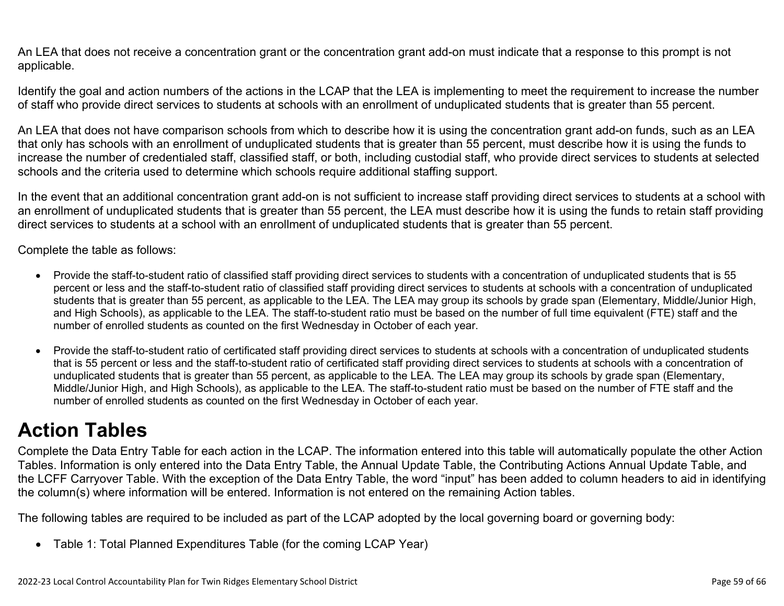An LEA that does not receive a concentration grant or the concentration grant add-on must indicate that a response to this prompt is not applicable.

Identify the goal and action numbers of the actions in the LCAP that the LEA is implementing to meet the requirement to increase the number of staff who provide direct services to students at schools with an enrollment of unduplicated students that is greater than 55 percent.

An LEA that does not have comparison schools from which to describe how it is using the concentration grant add-on funds, such as an LEA that only has schools with an enrollment of unduplicated students that is greater than 55 percent, must describe how it is using the funds to increase the number of credentialed staff, classified staff, or both, including custodial staff, who provide direct services to students at selected schools and the criteria used to determine which schools require additional staffing support.

In the event that an additional concentration grant add-on is not sufficient to increase staff providing direct services to students at a school with an enrollment of unduplicated students that is greater than 55 percent, the LEA must describe how it is using the funds to retain staff providing direct services to students at a school with an enrollment of unduplicated students that is greater than 55 percent.

Complete the table as follows:

- Provide the staff-to-student ratio of classified staff providing direct services to students with a concentration of unduplicated students that is 55 percent or less and the staff-to-student ratio of classified staff providing direct services to students at schools with a concentration of unduplicated students that is greater than 55 percent, as applicable to the LEA. The LEA may group its schools by grade span (Elementary, Middle/Junior High, and High Schools), as applicable to the LEA. The staff-to-student ratio must be based on the number of full time equivalent (FTE) staff and the number of enrolled students as counted on the first Wednesday in October of each year.
- Provide the staff-to-student ratio of certificated staff providing direct services to students at schools with a concentration of unduplicated students that is 55 percent or less and the staff-to-student ratio of certificated staff providing direct services to students at schools with a concentration of unduplicated students that is greater than 55 percent, as applicable to the LEA. The LEA may group its schools by grade span (Elementary, Middle/Junior High, and High Schools), as applicable to the LEA. The staff-to-student ratio must be based on the number of FTE staff and the number of enrolled students as counted on the first Wednesday in October of each year.

# **Action Tables**

Complete the Data Entry Table for each action in the LCAP. The information entered into this table will automatically populate the other Action Tables. Information is only entered into the Data Entry Table, the Annual Update Table, the Contributing Actions Annual Update Table, and the LCFF Carryover Table. With the exception of the Data Entry Table, the word "input" has been added to column headers to aid in identifying the column(s) where information will be entered. Information is not entered on the remaining Action tables.

The following tables are required to be included as part of the LCAP adopted by the local governing board or governing body:

• Table 1: Total Planned Expenditures Table (for the coming LCAP Year)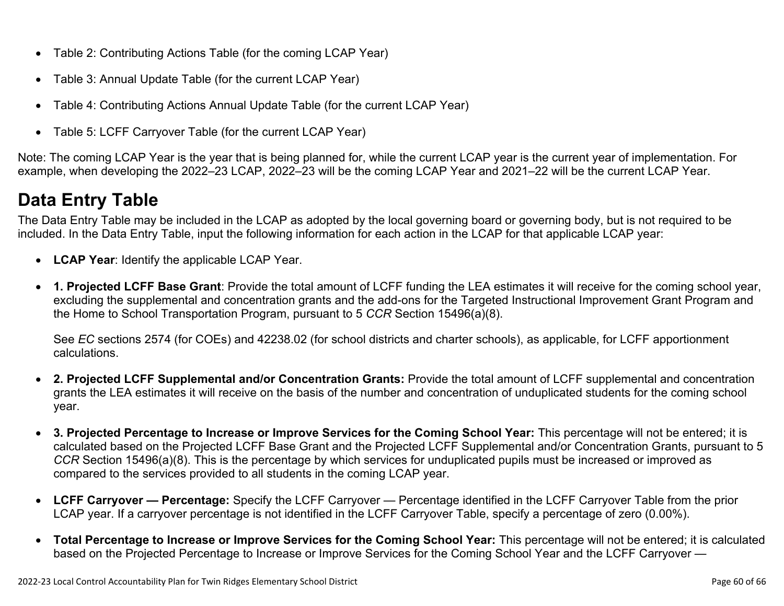- Table 2: Contributing Actions Table (for the coming LCAP Year)
- Table 3: Annual Update Table (for the current LCAP Year)
- Table 4: Contributing Actions Annual Update Table (for the current LCAP Year)
- Table 5: LCFF Carryover Table (for the current LCAP Year)

Note: The coming LCAP Year is the year that is being planned for, while the current LCAP year is the current year of implementation. For example, when developing the 2022–23 LCAP, 2022–23 will be the coming LCAP Year and 2021–22 will be the current LCAP Year.

# **Data Entry Table**

The Data Entry Table may be included in the LCAP as adopted by the local governing board or governing body, but is not required to be included. In the Data Entry Table, input the following information for each action in the LCAP for that applicable LCAP year:

- **LCAP Year**: Identify the applicable LCAP Year.
- **1. Projected LCFF Base Grant**: Provide the total amount of LCFF funding the LEA estimates it will receive for the coming school year, excluding the supplemental and concentration grants and the add-ons for the Targeted Instructional Improvement Grant Program and the Home to School Transportation Program, pursuant to 5 *CCR* Section 15496(a)(8).

See *EC* sections 2574 (for COEs) and 42238.02 (for school districts and charter schools), as applicable, for LCFF apportionment calculations.

- **2. Projected LCFF Supplemental and/or Concentration Grants:** Provide the total amount of LCFF supplemental and concentration grants the LEA estimates it will receive on the basis of the number and concentration of unduplicated students for the coming school year.
- **3. Projected Percentage to Increase or Improve Services for the Coming School Year:** This percentage will not be entered; it is calculated based on the Projected LCFF Base Grant and the Projected LCFF Supplemental and/or Concentration Grants, pursuant to 5 *CCR* Section 15496(a)(8). This is the percentage by which services for unduplicated pupils must be increased or improved as compared to the services provided to all students in the coming LCAP year.
- **LCFF Carryover Percentage:** Specify the LCFF Carryover Percentage identified in the LCFF Carryover Table from the prior LCAP year. If a carryover percentage is not identified in the LCFF Carryover Table, specify a percentage of zero (0.00%).
- **Total Percentage to Increase or Improve Services for the Coming School Year:** This percentage will not be entered; it is calculated based on the Projected Percentage to Increase or Improve Services for the Coming School Year and the LCFF Carryover —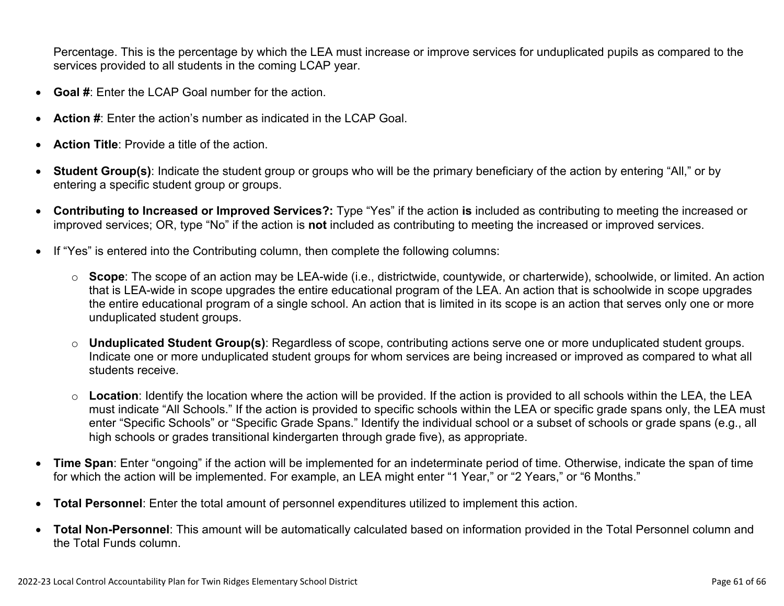Percentage. This is the percentage by which the LEA must increase or improve services for unduplicated pupils as compared to the services provided to all students in the coming LCAP year.

- **Goal #**: Enter the LCAP Goal number for the action.
- **Action #**: Enter the action's number as indicated in the LCAP Goal.
- **Action Title**: Provide a title of the action.
- **Student Group(s)**: Indicate the student group or groups who will be the primary beneficiary of the action by entering "All," or by entering a specific student group or groups.
- **Contributing to Increased or Improved Services?:** Type "Yes" if the action **is** included as contributing to meeting the increased or improved services; OR, type "No" if the action is **not** included as contributing to meeting the increased or improved services.
- If "Yes" is entered into the Contributing column, then complete the following columns:
	- o **Scope**: The scope of an action may be LEA-wide (i.e., districtwide, countywide, or charterwide), schoolwide, or limited. An action that is LEA-wide in scope upgrades the entire educational program of the LEA. An action that is schoolwide in scope upgrades the entire educational program of a single school. An action that is limited in its scope is an action that serves only one or more unduplicated student groups.
	- o **Unduplicated Student Group(s)**: Regardless of scope, contributing actions serve one or more unduplicated student groups. Indicate one or more unduplicated student groups for whom services are being increased or improved as compared to what all students receive.
	- o **Location**: Identify the location where the action will be provided. If the action is provided to all schools within the LEA, the LEA must indicate "All Schools." If the action is provided to specific schools within the LEA or specific grade spans only, the LEA must enter "Specific Schools" or "Specific Grade Spans." Identify the individual school or a subset of schools or grade spans (e.g., all high schools or grades transitional kindergarten through grade five), as appropriate.
- **Time Span**: Enter "ongoing" if the action will be implemented for an indeterminate period of time. Otherwise, indicate the span of time for which the action will be implemented. For example, an LEA might enter "1 Year," or "2 Years," or "6 Months."
- **Total Personnel**: Enter the total amount of personnel expenditures utilized to implement this action.
- **Total Non-Personnel**: This amount will be automatically calculated based on information provided in the Total Personnel column and the Total Funds column.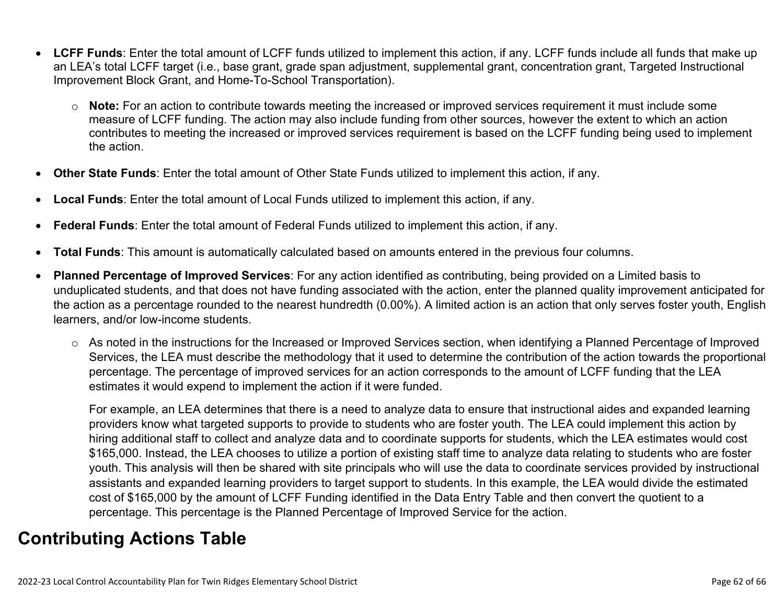- **LCFF Funds**: Enter the total amount of LCFF funds utilized to implement this action, if any. LCFF funds include all funds that make up an LEA's total LCFF target (i.e., base grant, grade span adjustment, supplemental grant, concentration grant, Targeted Instructional Improvement Block Grant, and Home-To-School Transportation).
	- o **Note:** For an action to contribute towards meeting the increased or improved services requirement it must include some measure of LCFF funding. The action may also include funding from other sources, however the extent to which an action contributes to meeting the increased or improved services requirement is based on the LCFF funding being used to implement the action.
- **Other State Funds**: Enter the total amount of Other State Funds utilized to implement this action, if any.
- **Local Funds**: Enter the total amount of Local Funds utilized to implement this action, if any.
- **Federal Funds**: Enter the total amount of Federal Funds utilized to implement this action, if any.
- **Total Funds**: This amount is automatically calculated based on amounts entered in the previous four columns.
- **Planned Percentage of Improved Services**: For any action identified as contributing, being provided on a Limited basis to unduplicated students, and that does not have funding associated with the action, enter the planned quality improvement anticipated for the action as a percentage rounded to the nearest hundredth (0.00%). A limited action is an action that only serves foster youth, English learners, and/or low-income students.
	- o As noted in the instructions for the Increased or Improved Services section, when identifying a Planned Percentage of Improved Services, the LEA must describe the methodology that it used to determine the contribution of the action towards the proportional percentage. The percentage of improved services for an action corresponds to the amount of LCFF funding that the LEA estimates it would expend to implement the action if it were funded.

For example, an LEA determines that there is a need to analyze data to ensure that instructional aides and expanded learning providers know what targeted supports to provide to students who are foster youth. The LEA could implement this action by hiring additional staff to collect and analyze data and to coordinate supports for students, which the LEA estimates would cost \$165,000. Instead, the LEA chooses to utilize a portion of existing staff time to analyze data relating to students who are foster youth. This analysis will then be shared with site principals who will use the data to coordinate services provided by instructional assistants and expanded learning providers to target support to students. In this example, the LEA would divide the estimated cost of \$165,000 by the amount of LCFF Funding identified in the Data Entry Table and then convert the quotient to a percentage. This percentage is the Planned Percentage of Improved Service for the action.

## **Contributing Actions Table**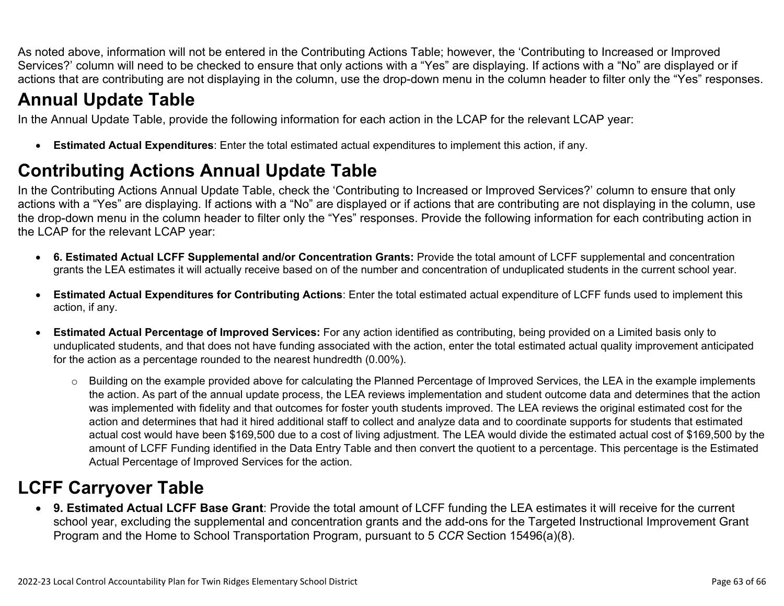As noted above, information will not be entered in the Contributing Actions Table; however, the 'Contributing to Increased or Improved Services?' column will need to be checked to ensure that only actions with a "Yes" are displaying. If actions with a "No" are displayed or if actions that are contributing are not displaying in the column, use the drop-down menu in the column header to filter only the "Yes" responses.

# **Annual Update Table**

In the Annual Update Table, provide the following information for each action in the LCAP for the relevant LCAP year:

• **Estimated Actual Expenditures**: Enter the total estimated actual expenditures to implement this action, if any.

# **Contributing Actions Annual Update Table**

In the Contributing Actions Annual Update Table, check the 'Contributing to Increased or Improved Services?' column to ensure that only actions with a "Yes" are displaying. If actions with a "No" are displayed or if actions that are contributing are not displaying in the column, use the drop-down menu in the column header to filter only the "Yes" responses. Provide the following information for each contributing action in the LCAP for the relevant LCAP year:

- **6. Estimated Actual LCFF Supplemental and/or Concentration Grants:** Provide the total amount of LCFF supplemental and concentration grants the LEA estimates it will actually receive based on of the number and concentration of unduplicated students in the current school year.
- **Estimated Actual Expenditures for Contributing Actions**: Enter the total estimated actual expenditure of LCFF funds used to implement this action, if any.
- **Estimated Actual Percentage of Improved Services:** For any action identified as contributing, being provided on a Limited basis only to unduplicated students, and that does not have funding associated with the action, enter the total estimated actual quality improvement anticipated for the action as a percentage rounded to the nearest hundredth (0.00%).
	- o Building on the example provided above for calculating the Planned Percentage of Improved Services, the LEA in the example implements the action. As part of the annual update process, the LEA reviews implementation and student outcome data and determines that the action was implemented with fidelity and that outcomes for foster youth students improved. The LEA reviews the original estimated cost for the action and determines that had it hired additional staff to collect and analyze data and to coordinate supports for students that estimated actual cost would have been \$169,500 due to a cost of living adjustment. The LEA would divide the estimated actual cost of \$169,500 by the amount of LCFF Funding identified in the Data Entry Table and then convert the quotient to a percentage. This percentage is the Estimated Actual Percentage of Improved Services for the action.

# **LCFF Carryover Table**

• **9. Estimated Actual LCFF Base Grant**: Provide the total amount of LCFF funding the LEA estimates it will receive for the current school year, excluding the supplemental and concentration grants and the add-ons for the Targeted Instructional Improvement Grant Program and the Home to School Transportation Program, pursuant to 5 *CCR* Section 15496(a)(8).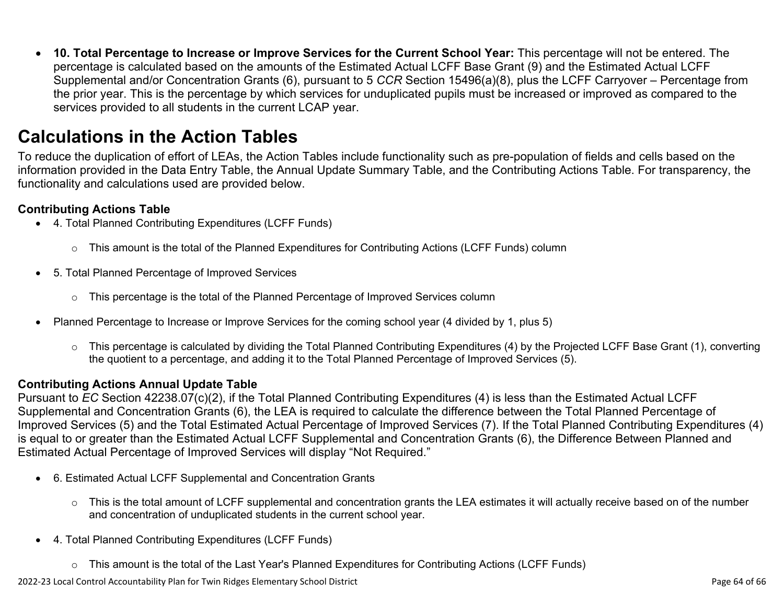• **10. Total Percentage to Increase or Improve Services for the Current School Year:** This percentage will not be entered. The percentage is calculated based on the amounts of the Estimated Actual LCFF Base Grant (9) and the Estimated Actual LCFF Supplemental and/or Concentration Grants (6), pursuant to 5 *CCR* Section 15496(a)(8), plus the LCFF Carryover – Percentage from the prior year. This is the percentage by which services for unduplicated pupils must be increased or improved as compared to the services provided to all students in the current LCAP year.

## **Calculations in the Action Tables**

To reduce the duplication of effort of LEAs, the Action Tables include functionality such as pre-population of fields and cells based on the information provided in the Data Entry Table, the Annual Update Summary Table, and the Contributing Actions Table. For transparency, the functionality and calculations used are provided below.

#### **Contributing Actions Table**

- 4. Total Planned Contributing Expenditures (LCFF Funds)
	- $\circ$  This amount is the total of the Planned Expenditures for Contributing Actions (LCFF Funds) column
- 5. Total Planned Percentage of Improved Services
	- $\circ$  This percentage is the total of the Planned Percentage of Improved Services column
- Planned Percentage to Increase or Improve Services for the coming school year (4 divided by 1, plus 5)
	- o This percentage is calculated by dividing the Total Planned Contributing Expenditures (4) by the Projected LCFF Base Grant (1), converting the quotient to a percentage, and adding it to the Total Planned Percentage of Improved Services (5).

### **Contributing Actions Annual Update Table**

Pursuant to *EC* Section 42238.07(c)(2), if the Total Planned Contributing Expenditures (4) is less than the Estimated Actual LCFF Supplemental and Concentration Grants (6), the LEA is required to calculate the difference between the Total Planned Percentage of Improved Services (5) and the Total Estimated Actual Percentage of Improved Services (7). If the Total Planned Contributing Expenditures (4) is equal to or greater than the Estimated Actual LCFF Supplemental and Concentration Grants (6), the Difference Between Planned and Estimated Actual Percentage of Improved Services will display "Not Required."

- 6. Estimated Actual LCFF Supplemental and Concentration Grants
	- $\circ$  This is the total amount of LCFF supplemental and concentration grants the LEA estimates it will actually receive based on of the number and concentration of unduplicated students in the current school year.
- 4. Total Planned Contributing Expenditures (LCFF Funds)
	- $\circ$  This amount is the total of the Last Year's Planned Expenditures for Contributing Actions (LCFF Funds)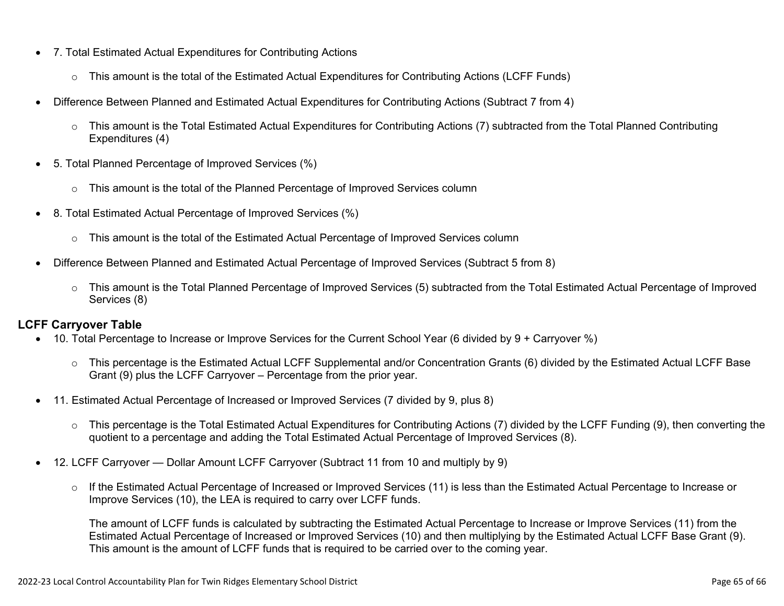- 7. Total Estimated Actual Expenditures for Contributing Actions
	- o This amount is the total of the Estimated Actual Expenditures for Contributing Actions (LCFF Funds)
- Difference Between Planned and Estimated Actual Expenditures for Contributing Actions (Subtract 7 from 4)
	- $\circ$  This amount is the Total Estimated Actual Expenditures for Contributing Actions (7) subtracted from the Total Planned Contributing Expenditures (4)
- 5. Total Planned Percentage of Improved Services (%)
	- $\circ$  This amount is the total of the Planned Percentage of Improved Services column
- 8. Total Estimated Actual Percentage of Improved Services (%)
	- o This amount is the total of the Estimated Actual Percentage of Improved Services column
- Difference Between Planned and Estimated Actual Percentage of Improved Services (Subtract 5 from 8)
	- o This amount is the Total Planned Percentage of Improved Services (5) subtracted from the Total Estimated Actual Percentage of Improved Services (8)

### **LCFF Carryover Table**

- 10. Total Percentage to Increase or Improve Services for the Current School Year (6 divided by 9 + Carryover %)
	- $\circ$  This percentage is the Estimated Actual LCFF Supplemental and/or Concentration Grants (6) divided by the Estimated Actual LCFF Base Grant (9) plus the LCFF Carryover – Percentage from the prior year.
- 11. Estimated Actual Percentage of Increased or Improved Services (7 divided by 9, plus 8)
	- o This percentage is the Total Estimated Actual Expenditures for Contributing Actions (7) divided by the LCFF Funding (9), then converting the quotient to a percentage and adding the Total Estimated Actual Percentage of Improved Services (8).
- 12. LCFF Carryover Dollar Amount LCFF Carryover (Subtract 11 from 10 and multiply by 9)
	- $\circ$  If the Estimated Actual Percentage of Increased or Improved Services (11) is less than the Estimated Actual Percentage to Increase or Improve Services (10), the LEA is required to carry over LCFF funds.

The amount of LCFF funds is calculated by subtracting the Estimated Actual Percentage to Increase or Improve Services (11) from the Estimated Actual Percentage of Increased or Improved Services (10) and then multiplying by the Estimated Actual LCFF Base Grant (9). This amount is the amount of LCFF funds that is required to be carried over to the coming year.